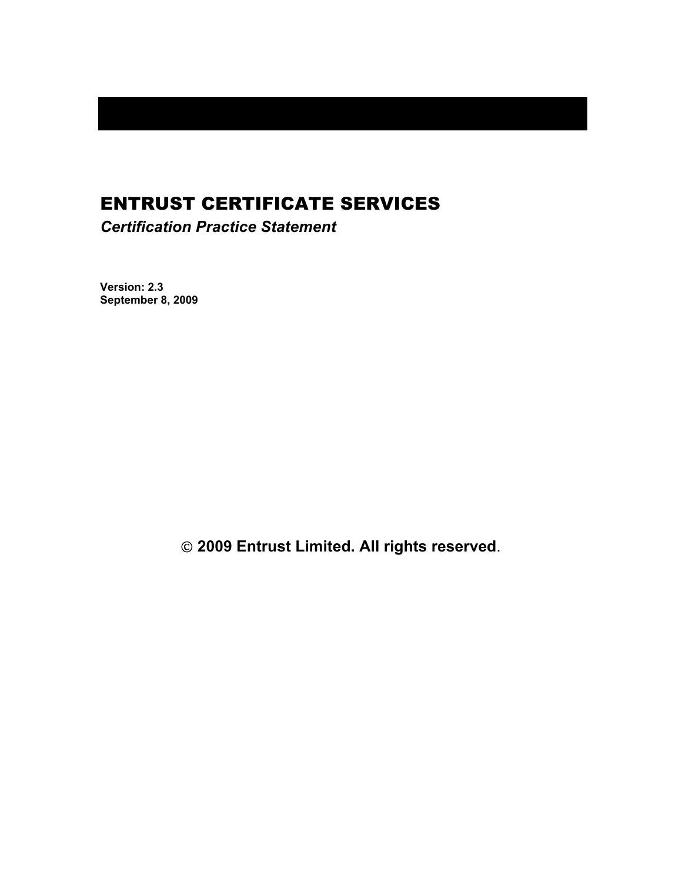# ENTRUST CERTIFICATE SERVICES

*Certification Practice Statement* 

**Version: 2.3 September 8, 2009** 

 **2009 Entrust Limited. All rights reserved**.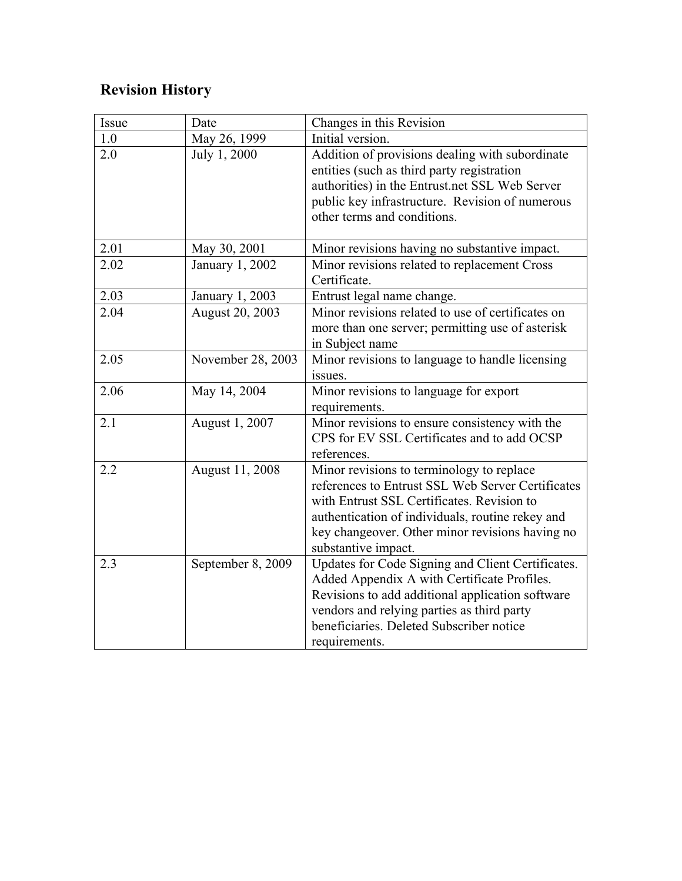# **Revision History**

| Issue | Date              | Changes in this Revision                                                                                                                                                                                                                                                   |
|-------|-------------------|----------------------------------------------------------------------------------------------------------------------------------------------------------------------------------------------------------------------------------------------------------------------------|
| 1.0   | May 26, 1999      | Initial version.                                                                                                                                                                                                                                                           |
| 2.0   | July 1, 2000      | Addition of provisions dealing with subordinate<br>entities (such as third party registration<br>authorities) in the Entrust.net SSL Web Server<br>public key infrastructure. Revision of numerous<br>other terms and conditions.                                          |
| 2.01  | May 30, 2001      | Minor revisions having no substantive impact.                                                                                                                                                                                                                              |
| 2.02  | January 1, 2002   | Minor revisions related to replacement Cross<br>Certificate.                                                                                                                                                                                                               |
| 2.03  | January 1, 2003   | Entrust legal name change.                                                                                                                                                                                                                                                 |
| 2.04  | August 20, 2003   | Minor revisions related to use of certificates on<br>more than one server; permitting use of asterisk<br>in Subject name                                                                                                                                                   |
| 2.05  | November 28, 2003 | Minor revisions to language to handle licensing<br>issues.                                                                                                                                                                                                                 |
| 2.06  | May 14, 2004      | Minor revisions to language for export<br>requirements.                                                                                                                                                                                                                    |
| 2.1   | August 1, 2007    | Minor revisions to ensure consistency with the<br>CPS for EV SSL Certificates and to add OCSP<br>references.                                                                                                                                                               |
| 2.2   | August 11, 2008   | Minor revisions to terminology to replace<br>references to Entrust SSL Web Server Certificates<br>with Entrust SSL Certificates. Revision to<br>authentication of individuals, routine rekey and<br>key changeover. Other minor revisions having no<br>substantive impact. |
| 2.3   | September 8, 2009 | Updates for Code Signing and Client Certificates.<br>Added Appendix A with Certificate Profiles.<br>Revisions to add additional application software<br>vendors and relying parties as third party<br>beneficiaries. Deleted Subscriber notice<br>requirements.            |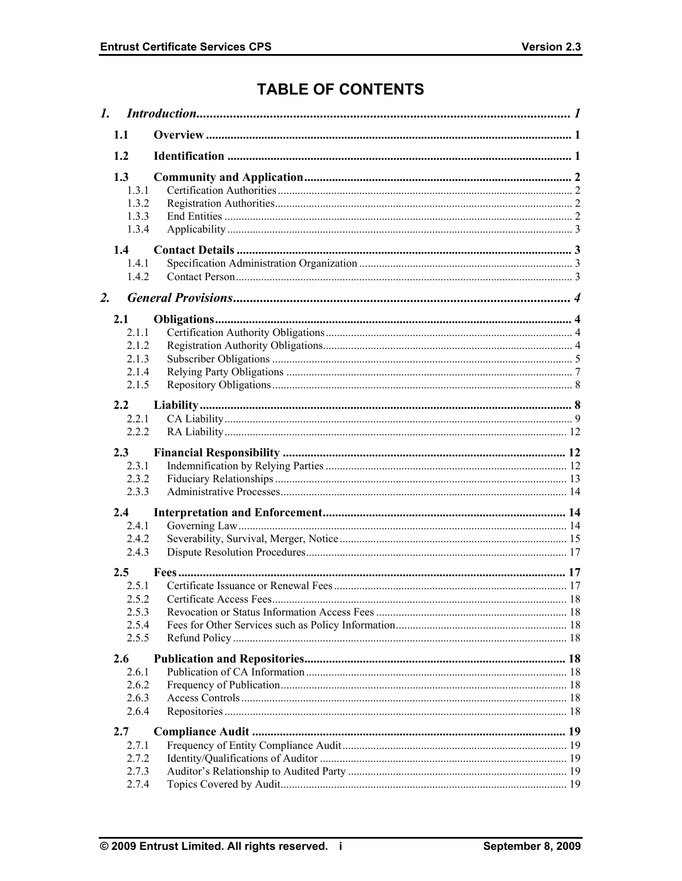## **TABLE OF CONTENTS**

|    | 1.1                                              |  |
|----|--------------------------------------------------|--|
|    | 1.2                                              |  |
|    | 1.3<br>1.3.1<br>1.3.2<br>1.3.3<br>1.3.4          |  |
|    | 1.4<br>1.4.1<br>1.4.2                            |  |
| 2. |                                                  |  |
|    | 2.1<br>2.1.1<br>2.1.2<br>2.1.3<br>2.1.4<br>2.1.5 |  |
|    | 2.2                                              |  |
|    | 2.2.1<br>2.2.2                                   |  |
|    |                                                  |  |
|    | 2.3<br>2.3.1                                     |  |
|    | 2.3.2                                            |  |
|    | 2.3.3                                            |  |
|    | 2.4                                              |  |
|    | 2.4.1                                            |  |
|    | 2.4.2<br>2.4.3                                   |  |
|    |                                                  |  |
|    | 2.5<br>2.5.1                                     |  |
|    | 2.5.2                                            |  |
|    | 2.5.3                                            |  |
|    | 2.5.4                                            |  |
|    | 2.5.5                                            |  |
|    | 2.6                                              |  |
|    | 2.6.1                                            |  |
|    | 2.6.2                                            |  |
|    | 2.6.3<br>2.6.4                                   |  |
|    |                                                  |  |
|    | 2.7                                              |  |
|    | 2.7.1<br>2.7.2                                   |  |
|    | 2.7.3                                            |  |
|    | 2.7.4                                            |  |
|    |                                                  |  |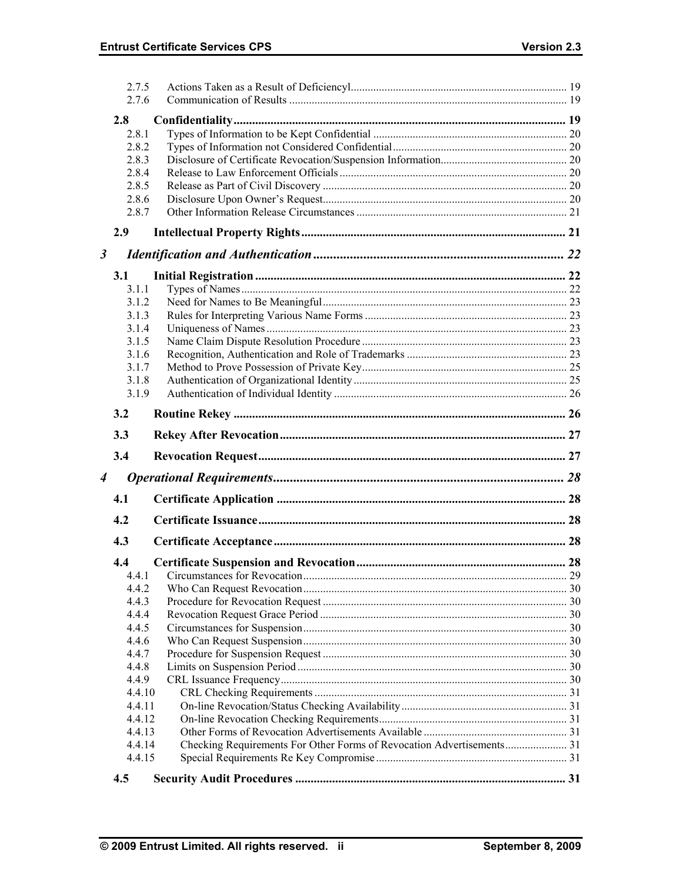|                      | 2.7.5<br>2.7.6   |  |
|----------------------|------------------|--|
|                      | 2.8              |  |
|                      | 2.8.1            |  |
|                      | 2.8.2            |  |
|                      | 2.8.3            |  |
|                      | 2.8.4            |  |
|                      | 2.8.5            |  |
|                      | 2.8.6            |  |
|                      | 2.8.7            |  |
|                      | 2.9              |  |
| $\boldsymbol{\beta}$ |                  |  |
|                      | 3.1              |  |
|                      | 3.1.1            |  |
|                      | 3.1.2            |  |
|                      | 3.1.3            |  |
|                      | 3.1.4            |  |
|                      | 3.1.5            |  |
|                      | 3.1.6            |  |
|                      | 3.1.7            |  |
|                      | 3.1.8            |  |
|                      | 3.1.9            |  |
|                      | 3.2              |  |
|                      | 3.3              |  |
|                      | 3.4              |  |
| 4                    |                  |  |
|                      |                  |  |
|                      | 4.1              |  |
|                      | 4.2              |  |
|                      | 4.3              |  |
|                      | 4.4              |  |
|                      | 4.4.1            |  |
|                      | 4.4.2            |  |
|                      | 4.4.3            |  |
|                      | 4.4.4            |  |
|                      | 4.4.5            |  |
|                      | 4.4.6            |  |
|                      | 4.4.7            |  |
|                      | 4.4.8            |  |
|                      | 4.4.9            |  |
|                      | 4.4.10           |  |
|                      | 4.4.11<br>4.4.12 |  |
|                      | 4.4.13           |  |
|                      | 4.4.14           |  |
|                      | 4.4.15           |  |
|                      | 4.5              |  |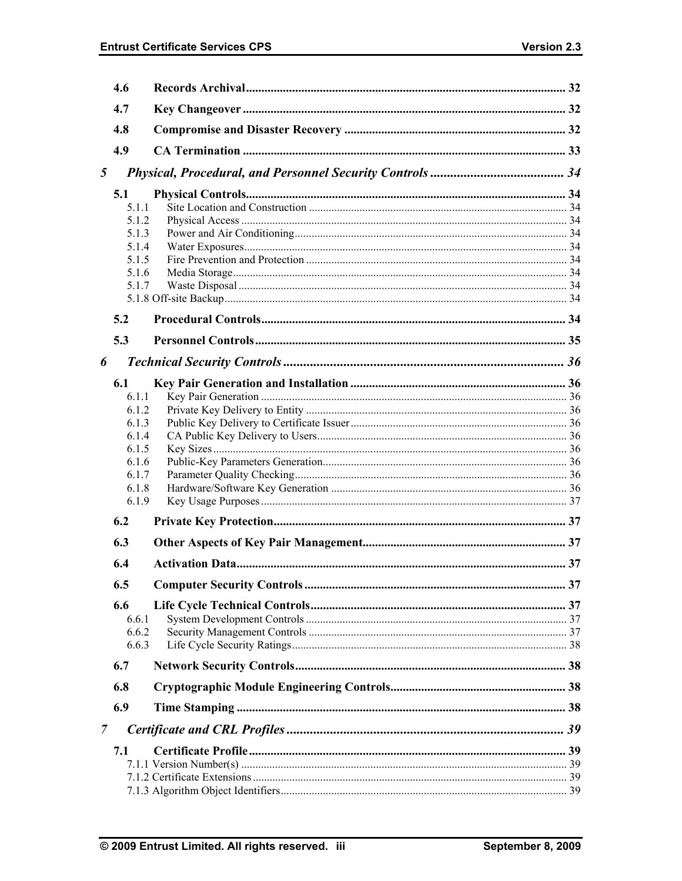|                | 4.6                                                                           |  |
|----------------|-------------------------------------------------------------------------------|--|
|                | 4.7                                                                           |  |
|                | 4.8                                                                           |  |
|                | 4.9                                                                           |  |
| 5              |                                                                               |  |
|                | 5.1<br>5.1.1<br>5.1.2<br>5.1.3<br>5.1.4<br>5.1.5<br>5.1.6                     |  |
|                | 5.1.7                                                                         |  |
|                | 5.2                                                                           |  |
|                | 5.3                                                                           |  |
|                |                                                                               |  |
| 6              | 6.1                                                                           |  |
|                | 6.1.1<br>6.1.2<br>6.1.3<br>6.1.4<br>6.1.5<br>6.1.6<br>6.1.7<br>6.1.8<br>6.1.9 |  |
|                | 6.2                                                                           |  |
|                | 6.3                                                                           |  |
|                | 6.4                                                                           |  |
|                | 6.5                                                                           |  |
|                | 6.6<br>6.6.1<br>6.6.2<br>6.6.3                                                |  |
|                | 6.7                                                                           |  |
|                | 6.8                                                                           |  |
|                | 6.9                                                                           |  |
| $\overline{7}$ |                                                                               |  |
|                | 7.1                                                                           |  |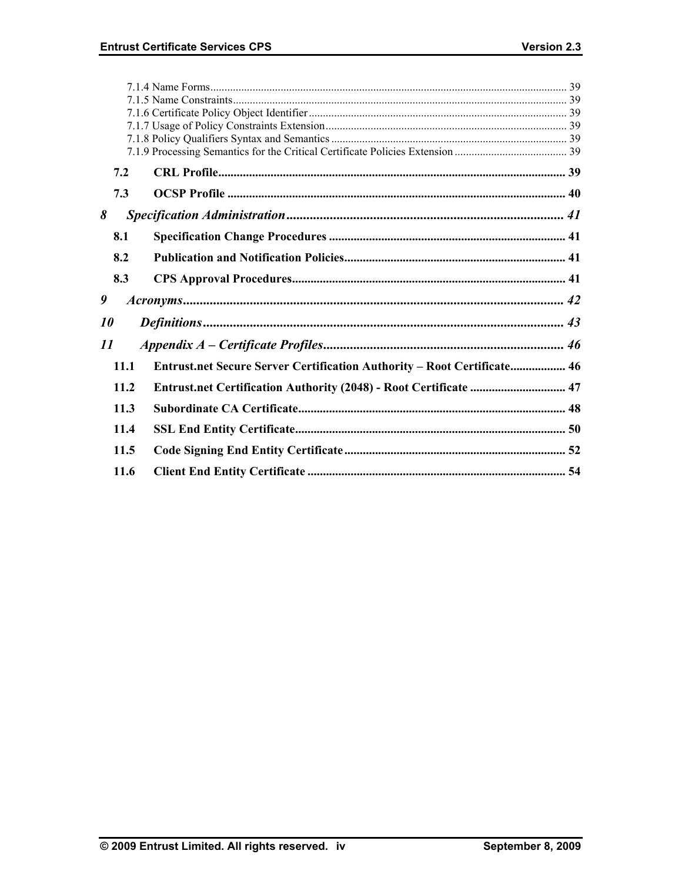|           | 7.2  |                                                                         |  |
|-----------|------|-------------------------------------------------------------------------|--|
|           | 7.3  |                                                                         |  |
| 8         |      |                                                                         |  |
|           | 8.1  |                                                                         |  |
|           | 8.2  |                                                                         |  |
|           | 8.3  |                                                                         |  |
| 9         |      |                                                                         |  |
| <i>10</i> |      |                                                                         |  |
| 11        |      |                                                                         |  |
|           | 11.1 | Entrust.net Secure Server Certification Authority - Root Certificate 46 |  |
|           | 11.2 | Entrust.net Certification Authority (2048) - Root Certificate  47       |  |
|           | 11.3 |                                                                         |  |
|           | 11.4 |                                                                         |  |
|           | 11.5 |                                                                         |  |
|           | 11.6 |                                                                         |  |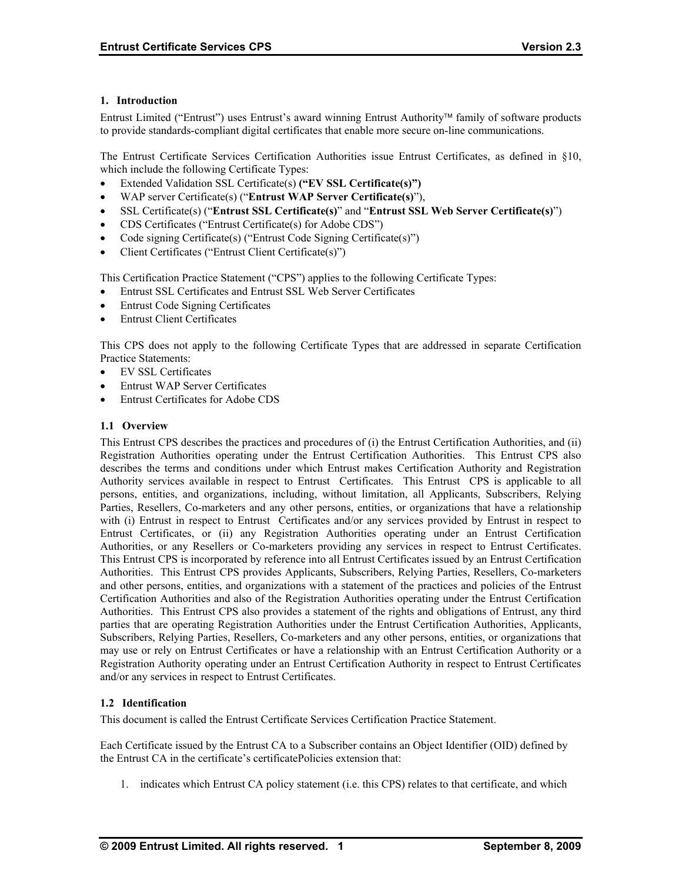## **1. Introduction**

Entrust Limited ("Entrust") uses Entrust's award winning Entrust Authority family of software products to provide standards-compliant digital certificates that enable more secure on-line communications.

The Entrust Certificate Services Certification Authorities issue Entrust Certificates, as defined in §10, which include the following Certificate Types:

- Extended Validation SSL Certificate(s) **("EV SSL Certificate(s)")**
- WAP server Certificate(s) ("**Entrust WAP Server Certificate(s)**"),
- SSL Certificate(s) ("**Entrust SSL Certificate(s)**" and "**Entrust SSL Web Server Certificate(s)**")
- CDS Certificates ("Entrust Certificate(s) for Adobe CDS")
- Code signing Certificate(s) ("Entrust Code Signing Certificate(s)")
- Client Certificates ("Entrust Client Certificate(s)")

This Certification Practice Statement ("CPS") applies to the following Certificate Types:

- Entrust SSL Certificates and Entrust SSL Web Server Certificates
- Entrust Code Signing Certificates
- **Entrust Client Certificates**

This CPS does not apply to the following Certificate Types that are addressed in separate Certification Practice Statements:

- EV SSL Certificates
- Entrust WAP Server Certificates
- Entrust Certificates for Adobe CDS

## **1.1 Overview**

This Entrust CPS describes the practices and procedures of (i) the Entrust Certification Authorities, and (ii) Registration Authorities operating under the Entrust Certification Authorities. This Entrust CPS also describes the terms and conditions under which Entrust makes Certification Authority and Registration Authority services available in respect to Entrust Certificates. This Entrust CPS is applicable to all persons, entities, and organizations, including, without limitation, all Applicants, Subscribers, Relying Parties, Resellers, Co-marketers and any other persons, entities, or organizations that have a relationship with (i) Entrust in respect to Entrust Certificates and/or any services provided by Entrust in respect to Entrust Certificates, or (ii) any Registration Authorities operating under an Entrust Certification Authorities, or any Resellers or Co-marketers providing any services in respect to Entrust Certificates. This Entrust CPS is incorporated by reference into all Entrust Certificates issued by an Entrust Certification Authorities. This Entrust CPS provides Applicants, Subscribers, Relying Parties, Resellers, Co-marketers and other persons, entities, and organizations with a statement of the practices and policies of the Entrust Certification Authorities and also of the Registration Authorities operating under the Entrust Certification Authorities. This Entrust CPS also provides a statement of the rights and obligations of Entrust, any third parties that are operating Registration Authorities under the Entrust Certification Authorities, Applicants, Subscribers, Relying Parties, Resellers, Co-marketers and any other persons, entities, or organizations that may use or rely on Entrust Certificates or have a relationship with an Entrust Certification Authority or a Registration Authority operating under an Entrust Certification Authority in respect to Entrust Certificates and/or any services in respect to Entrust Certificates.

#### **1.2 Identification**

This document is called the Entrust Certificate Services Certification Practice Statement.

Each Certificate issued by the Entrust CA to a Subscriber contains an Object Identifier (OID) defined by the Entrust CA in the certificate's certificatePolicies extension that:

1. indicates which Entrust CA policy statement (i.e. this CPS) relates to that certificate, and which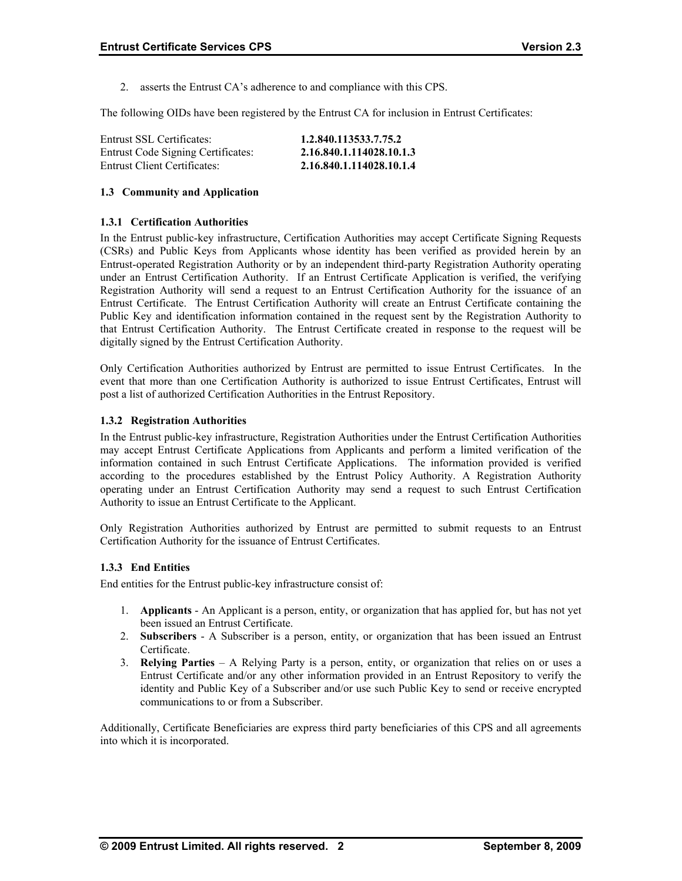2. asserts the Entrust CA's adherence to and compliance with this CPS.

The following OIDs have been registered by the Entrust CA for inclusion in Entrust Certificates:

| Entrust SSL Certificates:           | 1.2.840.113533.7.75.2    |
|-------------------------------------|--------------------------|
| Entrust Code Signing Certificates:  | 2.16.840.1.114028.10.1.3 |
| <b>Entrust Client Certificates:</b> | 2.16.840.1.114028.10.1.4 |

## **1.3 Community and Application**

#### **1.3.1 Certification Authorities**

In the Entrust public-key infrastructure, Certification Authorities may accept Certificate Signing Requests (CSRs) and Public Keys from Applicants whose identity has been verified as provided herein by an Entrust-operated Registration Authority or by an independent third-party Registration Authority operating under an Entrust Certification Authority. If an Entrust Certificate Application is verified, the verifying Registration Authority will send a request to an Entrust Certification Authority for the issuance of an Entrust Certificate. The Entrust Certification Authority will create an Entrust Certificate containing the Public Key and identification information contained in the request sent by the Registration Authority to that Entrust Certification Authority. The Entrust Certificate created in response to the request will be digitally signed by the Entrust Certification Authority.

Only Certification Authorities authorized by Entrust are permitted to issue Entrust Certificates. In the event that more than one Certification Authority is authorized to issue Entrust Certificates, Entrust will post a list of authorized Certification Authorities in the Entrust Repository.

## **1.3.2 Registration Authorities**

In the Entrust public-key infrastructure, Registration Authorities under the Entrust Certification Authorities may accept Entrust Certificate Applications from Applicants and perform a limited verification of the information contained in such Entrust Certificate Applications. The information provided is verified according to the procedures established by the Entrust Policy Authority. A Registration Authority operating under an Entrust Certification Authority may send a request to such Entrust Certification Authority to issue an Entrust Certificate to the Applicant.

Only Registration Authorities authorized by Entrust are permitted to submit requests to an Entrust Certification Authority for the issuance of Entrust Certificates.

#### **1.3.3 End Entities**

End entities for the Entrust public-key infrastructure consist of:

- 1. **Applicants** An Applicant is a person, entity, or organization that has applied for, but has not yet been issued an Entrust Certificate.
- 2. **Subscribers**  A Subscriber is a person, entity, or organization that has been issued an Entrust Certificate.
- 3. **Relying Parties**  A Relying Party is a person, entity, or organization that relies on or uses a Entrust Certificate and/or any other information provided in an Entrust Repository to verify the identity and Public Key of a Subscriber and/or use such Public Key to send or receive encrypted communications to or from a Subscriber.

Additionally, Certificate Beneficiaries are express third party beneficiaries of this CPS and all agreements into which it is incorporated.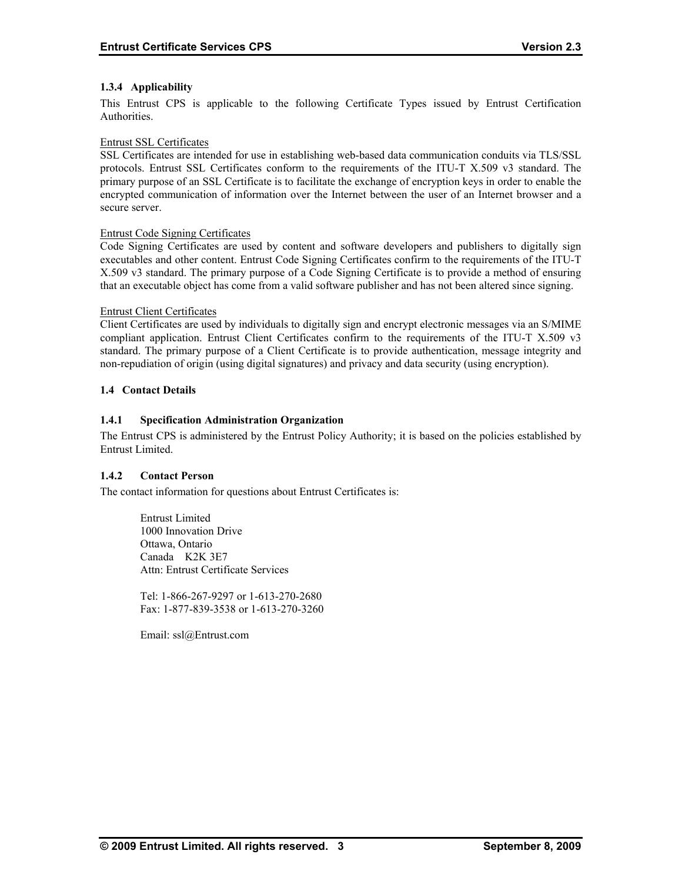## **1.3.4 Applicability**

This Entrust CPS is applicable to the following Certificate Types issued by Entrust Certification Authorities.

## Entrust SSL Certificates

SSL Certificates are intended for use in establishing web-based data communication conduits via TLS/SSL protocols. Entrust SSL Certificates conform to the requirements of the ITU-T X.509 v3 standard. The primary purpose of an SSL Certificate is to facilitate the exchange of encryption keys in order to enable the encrypted communication of information over the Internet between the user of an Internet browser and a secure server.

## Entrust Code Signing Certificates

Code Signing Certificates are used by content and software developers and publishers to digitally sign executables and other content. Entrust Code Signing Certificates confirm to the requirements of the ITU-T X.509 v3 standard. The primary purpose of a Code Signing Certificate is to provide a method of ensuring that an executable object has come from a valid software publisher and has not been altered since signing.

#### Entrust Client Certificates

Client Certificates are used by individuals to digitally sign and encrypt electronic messages via an S/MIME compliant application. Entrust Client Certificates confirm to the requirements of the ITU-T X.509 v3 standard. The primary purpose of a Client Certificate is to provide authentication, message integrity and non-repudiation of origin (using digital signatures) and privacy and data security (using encryption).

## **1.4 Contact Details**

## **1.4.1 Specification Administration Organization**

The Entrust CPS is administered by the Entrust Policy Authority; it is based on the policies established by Entrust Limited.

## **1.4.2 Contact Person**

The contact information for questions about Entrust Certificates is:

 Entrust Limited 1000 Innovation Drive Ottawa, Ontario Canada K2K 3E7 Attn: Entrust Certificate Services

Tel: 1-866-267-9297 or 1-613-270-2680 Fax: 1-877-839-3538 or 1-613-270-3260

Email: ssl@Entrust.com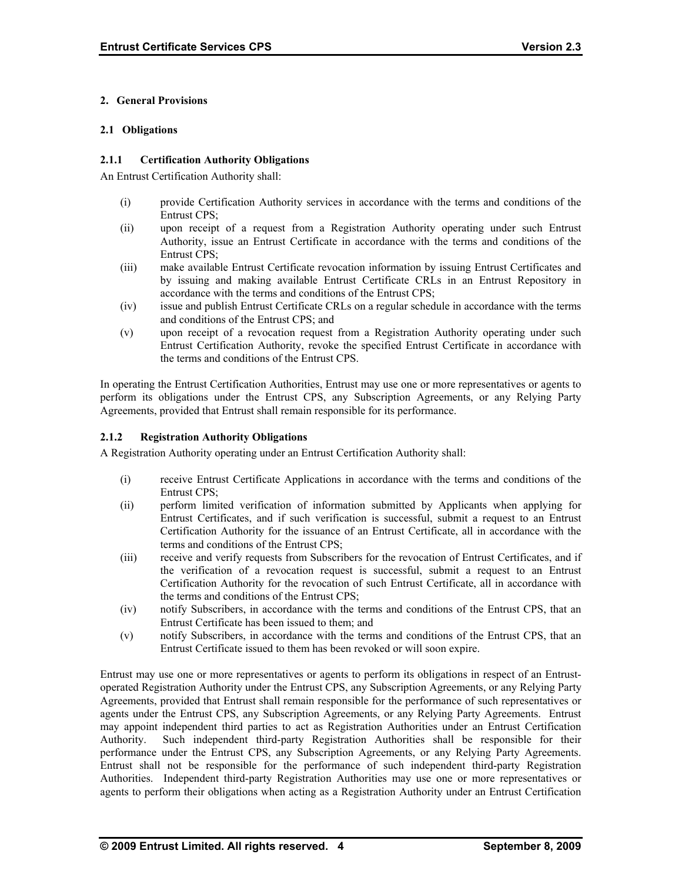## **2. General Provisions**

### **2.1 Obligations**

### **2.1.1 Certification Authority Obligations**

An Entrust Certification Authority shall:

- (i) provide Certification Authority services in accordance with the terms and conditions of the Entrust CPS;
- (ii) upon receipt of a request from a Registration Authority operating under such Entrust Authority, issue an Entrust Certificate in accordance with the terms and conditions of the Entrust CPS;
- (iii) make available Entrust Certificate revocation information by issuing Entrust Certificates and by issuing and making available Entrust Certificate CRLs in an Entrust Repository in accordance with the terms and conditions of the Entrust CPS;
- (iv) issue and publish Entrust Certificate CRLs on a regular schedule in accordance with the terms and conditions of the Entrust CPS; and
- (v) upon receipt of a revocation request from a Registration Authority operating under such Entrust Certification Authority, revoke the specified Entrust Certificate in accordance with the terms and conditions of the Entrust CPS.

In operating the Entrust Certification Authorities, Entrust may use one or more representatives or agents to perform its obligations under the Entrust CPS, any Subscription Agreements, or any Relying Party Agreements, provided that Entrust shall remain responsible for its performance.

## **2.1.2 Registration Authority Obligations**

A Registration Authority operating under an Entrust Certification Authority shall:

- (i) receive Entrust Certificate Applications in accordance with the terms and conditions of the Entrust CPS;
- (ii) perform limited verification of information submitted by Applicants when applying for Entrust Certificates, and if such verification is successful, submit a request to an Entrust Certification Authority for the issuance of an Entrust Certificate, all in accordance with the terms and conditions of the Entrust CPS;
- (iii) receive and verify requests from Subscribers for the revocation of Entrust Certificates, and if the verification of a revocation request is successful, submit a request to an Entrust Certification Authority for the revocation of such Entrust Certificate, all in accordance with the terms and conditions of the Entrust CPS;
- (iv) notify Subscribers, in accordance with the terms and conditions of the Entrust CPS, that an Entrust Certificate has been issued to them; and
- (v) notify Subscribers, in accordance with the terms and conditions of the Entrust CPS, that an Entrust Certificate issued to them has been revoked or will soon expire.

Entrust may use one or more representatives or agents to perform its obligations in respect of an Entrustoperated Registration Authority under the Entrust CPS, any Subscription Agreements, or any Relying Party Agreements, provided that Entrust shall remain responsible for the performance of such representatives or agents under the Entrust CPS, any Subscription Agreements, or any Relying Party Agreements. Entrust may appoint independent third parties to act as Registration Authorities under an Entrust Certification Authority. Such independent third-party Registration Authorities shall be responsible for their performance under the Entrust CPS, any Subscription Agreements, or any Relying Party Agreements. Entrust shall not be responsible for the performance of such independent third-party Registration Authorities. Independent third-party Registration Authorities may use one or more representatives or agents to perform their obligations when acting as a Registration Authority under an Entrust Certification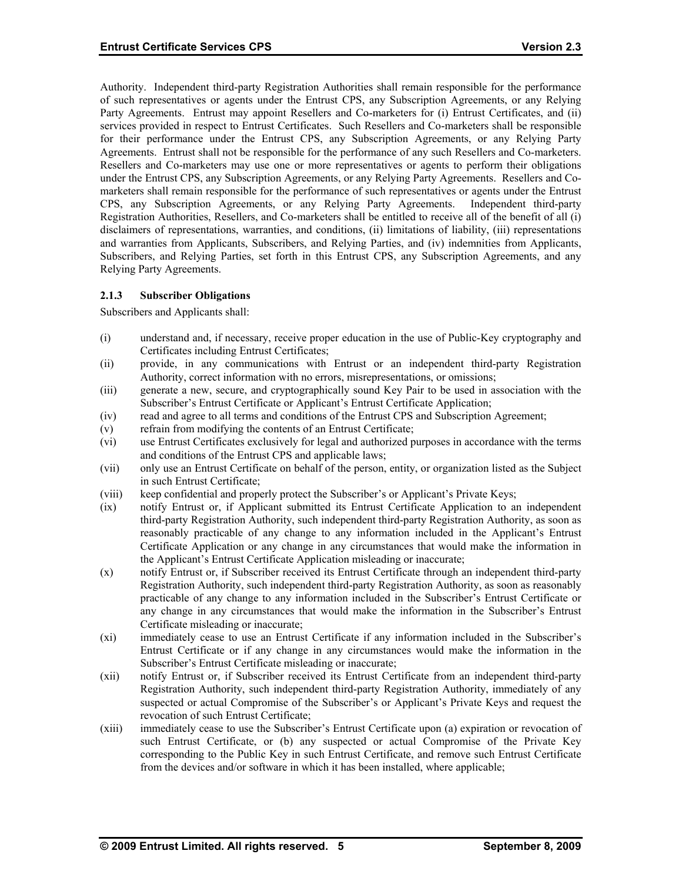Authority. Independent third-party Registration Authorities shall remain responsible for the performance of such representatives or agents under the Entrust CPS, any Subscription Agreements, or any Relying Party Agreements. Entrust may appoint Resellers and Co-marketers for (i) Entrust Certificates, and (ii) services provided in respect to Entrust Certificates. Such Resellers and Co-marketers shall be responsible for their performance under the Entrust CPS, any Subscription Agreements, or any Relying Party Agreements. Entrust shall not be responsible for the performance of any such Resellers and Co-marketers. Resellers and Co-marketers may use one or more representatives or agents to perform their obligations under the Entrust CPS, any Subscription Agreements, or any Relying Party Agreements. Resellers and Comarketers shall remain responsible for the performance of such representatives or agents under the Entrust CPS, any Subscription Agreements, or any Relying Party Agreements. Independent third-party Registration Authorities, Resellers, and Co-marketers shall be entitled to receive all of the benefit of all (i) disclaimers of representations, warranties, and conditions, (ii) limitations of liability, (iii) representations and warranties from Applicants, Subscribers, and Relying Parties, and (iv) indemnities from Applicants, Subscribers, and Relying Parties, set forth in this Entrust CPS, any Subscription Agreements, and any Relying Party Agreements.

## **2.1.3 Subscriber Obligations**

Subscribers and Applicants shall:

- (i) understand and, if necessary, receive proper education in the use of Public-Key cryptography and Certificates including Entrust Certificates;
- (ii) provide, in any communications with Entrust or an independent third-party Registration Authority, correct information with no errors, misrepresentations, or omissions;
- (iii) generate a new, secure, and cryptographically sound Key Pair to be used in association with the Subscriber's Entrust Certificate or Applicant's Entrust Certificate Application;
- (iv) read and agree to all terms and conditions of the Entrust CPS and Subscription Agreement;
- (v) refrain from modifying the contents of an Entrust Certificate;
- (vi) use Entrust Certificates exclusively for legal and authorized purposes in accordance with the terms and conditions of the Entrust CPS and applicable laws;
- (vii) only use an Entrust Certificate on behalf of the person, entity, or organization listed as the Subject in such Entrust Certificate;
- (viii) keep confidential and properly protect the Subscriber's or Applicant's Private Keys;
- (ix) notify Entrust or, if Applicant submitted its Entrust Certificate Application to an independent third-party Registration Authority, such independent third-party Registration Authority, as soon as reasonably practicable of any change to any information included in the Applicant's Entrust Certificate Application or any change in any circumstances that would make the information in the Applicant's Entrust Certificate Application misleading or inaccurate;
- (x) notify Entrust or, if Subscriber received its Entrust Certificate through an independent third-party Registration Authority, such independent third-party Registration Authority, as soon as reasonably practicable of any change to any information included in the Subscriber's Entrust Certificate or any change in any circumstances that would make the information in the Subscriber's Entrust Certificate misleading or inaccurate;
- (xi) immediately cease to use an Entrust Certificate if any information included in the Subscriber's Entrust Certificate or if any change in any circumstances would make the information in the Subscriber's Entrust Certificate misleading or inaccurate;
- (xii) notify Entrust or, if Subscriber received its Entrust Certificate from an independent third-party Registration Authority, such independent third-party Registration Authority, immediately of any suspected or actual Compromise of the Subscriber's or Applicant's Private Keys and request the revocation of such Entrust Certificate;
- (xiii) immediately cease to use the Subscriber's Entrust Certificate upon (a) expiration or revocation of such Entrust Certificate, or (b) any suspected or actual Compromise of the Private Key corresponding to the Public Key in such Entrust Certificate, and remove such Entrust Certificate from the devices and/or software in which it has been installed, where applicable;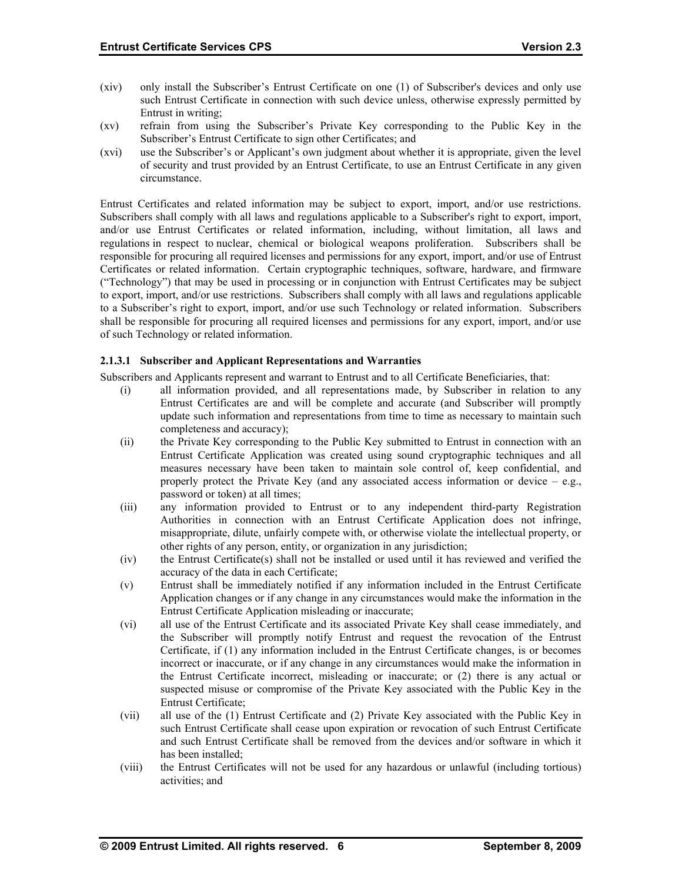- (xiv) only install the Subscriber's Entrust Certificate on one (1) of Subscriber's devices and only use such Entrust Certificate in connection with such device unless, otherwise expressly permitted by Entrust in writing;
- (xv) refrain from using the Subscriber's Private Key corresponding to the Public Key in the Subscriber's Entrust Certificate to sign other Certificates; and
- (xvi) use the Subscriber's or Applicant's own judgment about whether it is appropriate, given the level of security and trust provided by an Entrust Certificate, to use an Entrust Certificate in any given circumstance.

Entrust Certificates and related information may be subject to export, import, and/or use restrictions. Subscribers shall comply with all laws and regulations applicable to a Subscriber's right to export, import, and/or use Entrust Certificates or related information, including, without limitation, all laws and regulations in respect to nuclear, chemical or biological weapons proliferation. Subscribers shall be responsible for procuring all required licenses and permissions for any export, import, and/or use of Entrust Certificates or related information. Certain cryptographic techniques, software, hardware, and firmware ("Technology") that may be used in processing or in conjunction with Entrust Certificates may be subject to export, import, and/or use restrictions. Subscribers shall comply with all laws and regulations applicable to a Subscriber's right to export, import, and/or use such Technology or related information. Subscribers shall be responsible for procuring all required licenses and permissions for any export, import, and/or use of such Technology or related information.

## **2.1.3.1 Subscriber and Applicant Representations and Warranties**

Subscribers and Applicants represent and warrant to Entrust and to all Certificate Beneficiaries, that:

- (i) all information provided, and all representations made, by Subscriber in relation to any Entrust Certificates are and will be complete and accurate (and Subscriber will promptly update such information and representations from time to time as necessary to maintain such completeness and accuracy);
- (ii) the Private Key corresponding to the Public Key submitted to Entrust in connection with an Entrust Certificate Application was created using sound cryptographic techniques and all measures necessary have been taken to maintain sole control of, keep confidential, and properly protect the Private Key (and any associated access information or device  $-$  e.g., password or token) at all times;
- (iii) any information provided to Entrust or to any independent third-party Registration Authorities in connection with an Entrust Certificate Application does not infringe, misappropriate, dilute, unfairly compete with, or otherwise violate the intellectual property, or other rights of any person, entity, or organization in any jurisdiction;
- (iv) the Entrust Certificate(s) shall not be installed or used until it has reviewed and verified the accuracy of the data in each Certificate;
- (v) Entrust shall be immediately notified if any information included in the Entrust Certificate Application changes or if any change in any circumstances would make the information in the Entrust Certificate Application misleading or inaccurate;
- (vi) all use of the Entrust Certificate and its associated Private Key shall cease immediately, and the Subscriber will promptly notify Entrust and request the revocation of the Entrust Certificate, if (1) any information included in the Entrust Certificate changes, is or becomes incorrect or inaccurate, or if any change in any circumstances would make the information in the Entrust Certificate incorrect, misleading or inaccurate; or (2) there is any actual or suspected misuse or compromise of the Private Key associated with the Public Key in the Entrust Certificate;
- (vii) all use of the (1) Entrust Certificate and (2) Private Key associated with the Public Key in such Entrust Certificate shall cease upon expiration or revocation of such Entrust Certificate and such Entrust Certificate shall be removed from the devices and/or software in which it has been installed;
- (viii) the Entrust Certificates will not be used for any hazardous or unlawful (including tortious) activities; and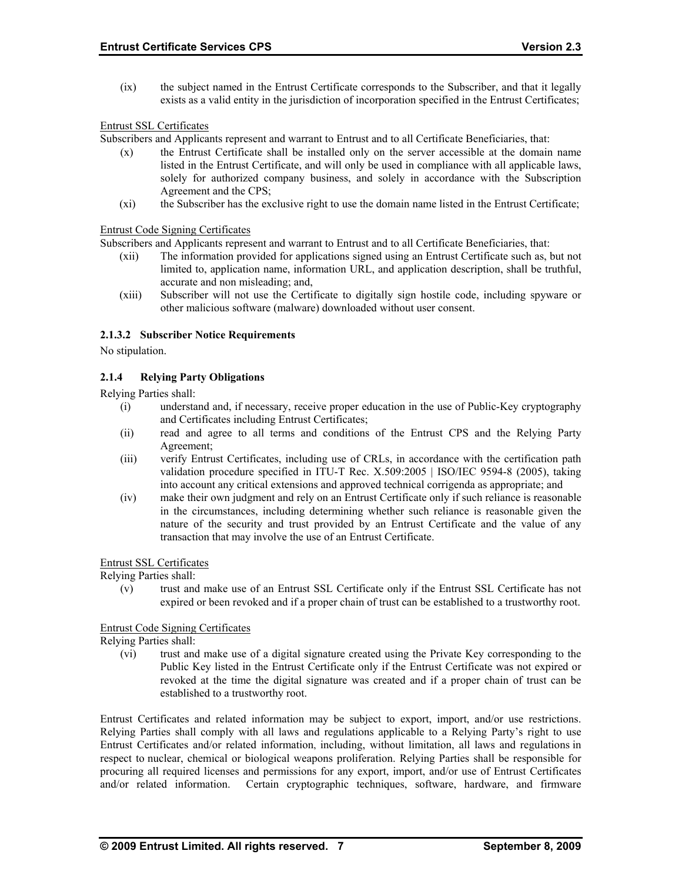(ix) the subject named in the Entrust Certificate corresponds to the Subscriber, and that it legally exists as a valid entity in the jurisdiction of incorporation specified in the Entrust Certificates;

## Entrust SSL Certificates

Subscribers and Applicants represent and warrant to Entrust and to all Certificate Beneficiaries, that:

- (x) the Entrust Certificate shall be installed only on the server accessible at the domain name listed in the Entrust Certificate, and will only be used in compliance with all applicable laws, solely for authorized company business, and solely in accordance with the Subscription Agreement and the CPS;
- (xi) the Subscriber has the exclusive right to use the domain name listed in the Entrust Certificate;

#### Entrust Code Signing Certificates

Subscribers and Applicants represent and warrant to Entrust and to all Certificate Beneficiaries, that:

- (xii) The information provided for applications signed using an Entrust Certificate such as, but not limited to, application name, information URL, and application description, shall be truthful, accurate and non misleading; and,
- (xiii) Subscriber will not use the Certificate to digitally sign hostile code, including spyware or other malicious software (malware) downloaded without user consent.

#### **2.1.3.2 Subscriber Notice Requirements**

No stipulation.

## **2.1.4 Relying Party Obligations**

Relying Parties shall:

- (i) understand and, if necessary, receive proper education in the use of Public-Key cryptography and Certificates including Entrust Certificates;
- (ii) read and agree to all terms and conditions of the Entrust CPS and the Relying Party Agreement;
- (iii) verify Entrust Certificates, including use of CRLs, in accordance with the certification path validation procedure specified in ITU-T Rec. X.509:2005 | ISO/IEC 9594-8 (2005), taking into account any critical extensions and approved technical corrigenda as appropriate; and
- (iv) make their own judgment and rely on an Entrust Certificate only if such reliance is reasonable in the circumstances, including determining whether such reliance is reasonable given the nature of the security and trust provided by an Entrust Certificate and the value of any transaction that may involve the use of an Entrust Certificate.

#### Entrust SSL Certificates

Relying Parties shall:

(v) trust and make use of an Entrust SSL Certificate only if the Entrust SSL Certificate has not expired or been revoked and if a proper chain of trust can be established to a trustworthy root.

#### Entrust Code Signing Certificates

Relying Parties shall:

(vi) trust and make use of a digital signature created using the Private Key corresponding to the Public Key listed in the Entrust Certificate only if the Entrust Certificate was not expired or revoked at the time the digital signature was created and if a proper chain of trust can be established to a trustworthy root.

Entrust Certificates and related information may be subject to export, import, and/or use restrictions. Relying Parties shall comply with all laws and regulations applicable to a Relying Party's right to use Entrust Certificates and/or related information, including, without limitation, all laws and regulations in respect to nuclear, chemical or biological weapons proliferation. Relying Parties shall be responsible for procuring all required licenses and permissions for any export, import, and/or use of Entrust Certificates and/or related information. Certain cryptographic techniques, software, hardware, and firmware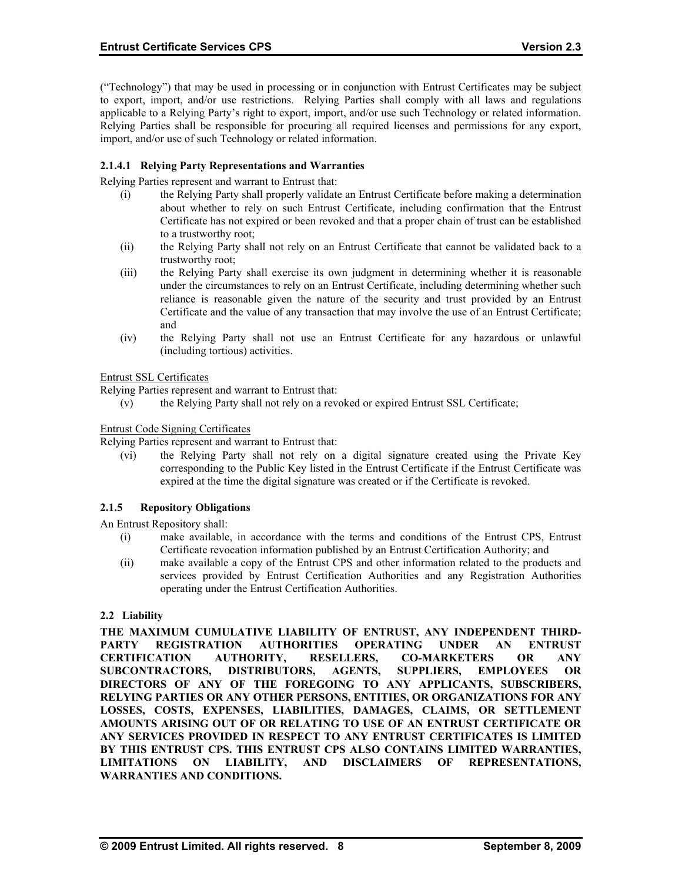("Technology") that may be used in processing or in conjunction with Entrust Certificates may be subject to export, import, and/or use restrictions. Relying Parties shall comply with all laws and regulations applicable to a Relying Party's right to export, import, and/or use such Technology or related information. Relying Parties shall be responsible for procuring all required licenses and permissions for any export, import, and/or use of such Technology or related information.

## **2.1.4.1 Relying Party Representations and Warranties**

Relying Parties represent and warrant to Entrust that:

- (i) the Relying Party shall properly validate an Entrust Certificate before making a determination about whether to rely on such Entrust Certificate, including confirmation that the Entrust Certificate has not expired or been revoked and that a proper chain of trust can be established to a trustworthy root;
- (ii) the Relying Party shall not rely on an Entrust Certificate that cannot be validated back to a trustworthy root;
- (iii) the Relying Party shall exercise its own judgment in determining whether it is reasonable under the circumstances to rely on an Entrust Certificate, including determining whether such reliance is reasonable given the nature of the security and trust provided by an Entrust Certificate and the value of any transaction that may involve the use of an Entrust Certificate; and
- (iv) the Relying Party shall not use an Entrust Certificate for any hazardous or unlawful (including tortious) activities.

Entrust SSL Certificates

Relying Parties represent and warrant to Entrust that:

(v) the Relying Party shall not rely on a revoked or expired Entrust SSL Certificate;

Entrust Code Signing Certificates

Relying Parties represent and warrant to Entrust that:

(vi) the Relying Party shall not rely on a digital signature created using the Private Key corresponding to the Public Key listed in the Entrust Certificate if the Entrust Certificate was expired at the time the digital signature was created or if the Certificate is revoked.

#### **2.1.5 Repository Obligations**

An Entrust Repository shall:

- (i) make available, in accordance with the terms and conditions of the Entrust CPS, Entrust Certificate revocation information published by an Entrust Certification Authority; and
- (ii) make available a copy of the Entrust CPS and other information related to the products and services provided by Entrust Certification Authorities and any Registration Authorities operating under the Entrust Certification Authorities.

## **2.2 Liability**

**THE MAXIMUM CUMULATIVE LIABILITY OF ENTRUST, ANY INDEPENDENT THIRD-PARTY REGISTRATION AUTHORITIES OPERATING UNDER AN ENTRUST CERTIFICATION AUTHORITY, RESELLERS, CO-MARKETERS OR ANY SUBCONTRACTORS, DISTRIBUTORS, AGENTS, SUPPLIERS, EMPLOYEES OR DIRECTORS OF ANY OF THE FOREGOING TO ANY APPLICANTS, SUBSCRIBERS, RELYING PARTIES OR ANY OTHER PERSONS, ENTITIES, OR ORGANIZATIONS FOR ANY LOSSES, COSTS, EXPENSES, LIABILITIES, DAMAGES, CLAIMS, OR SETTLEMENT AMOUNTS ARISING OUT OF OR RELATING TO USE OF AN ENTRUST CERTIFICATE OR ANY SERVICES PROVIDED IN RESPECT TO ANY ENTRUST CERTIFICATES IS LIMITED BY THIS ENTRUST CPS. THIS ENTRUST CPS ALSO CONTAINS LIMITED WARRANTIES, LIMITATIONS ON LIABILITY, AND DISCLAIMERS OF REPRESENTATIONS, WARRANTIES AND CONDITIONS.**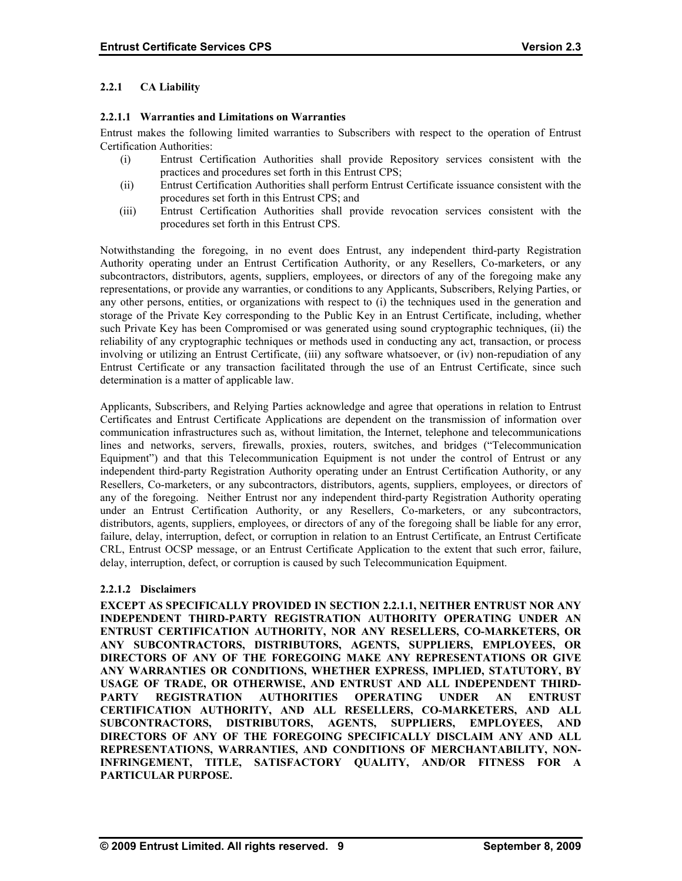## **2.2.1 CA Liability**

## **2.2.1.1 Warranties and Limitations on Warranties**

Entrust makes the following limited warranties to Subscribers with respect to the operation of Entrust Certification Authorities:

- (i) Entrust Certification Authorities shall provide Repository services consistent with the practices and procedures set forth in this Entrust CPS;
- (ii) Entrust Certification Authorities shall perform Entrust Certificate issuance consistent with the procedures set forth in this Entrust CPS; and
- (iii) Entrust Certification Authorities shall provide revocation services consistent with the procedures set forth in this Entrust CPS.

Notwithstanding the foregoing, in no event does Entrust, any independent third-party Registration Authority operating under an Entrust Certification Authority, or any Resellers, Co-marketers, or any subcontractors, distributors, agents, suppliers, employees, or directors of any of the foregoing make any representations, or provide any warranties, or conditions to any Applicants, Subscribers, Relying Parties, or any other persons, entities, or organizations with respect to (i) the techniques used in the generation and storage of the Private Key corresponding to the Public Key in an Entrust Certificate, including, whether such Private Key has been Compromised or was generated using sound cryptographic techniques, (ii) the reliability of any cryptographic techniques or methods used in conducting any act, transaction, or process involving or utilizing an Entrust Certificate, (iii) any software whatsoever, or (iv) non-repudiation of any Entrust Certificate or any transaction facilitated through the use of an Entrust Certificate, since such determination is a matter of applicable law.

Applicants, Subscribers, and Relying Parties acknowledge and agree that operations in relation to Entrust Certificates and Entrust Certificate Applications are dependent on the transmission of information over communication infrastructures such as, without limitation, the Internet, telephone and telecommunications lines and networks, servers, firewalls, proxies, routers, switches, and bridges ("Telecommunication Equipment") and that this Telecommunication Equipment is not under the control of Entrust or any independent third-party Registration Authority operating under an Entrust Certification Authority, or any Resellers, Co-marketers, or any subcontractors, distributors, agents, suppliers, employees, or directors of any of the foregoing. Neither Entrust nor any independent third-party Registration Authority operating under an Entrust Certification Authority, or any Resellers, Co-marketers, or any subcontractors, distributors, agents, suppliers, employees, or directors of any of the foregoing shall be liable for any error, failure, delay, interruption, defect, or corruption in relation to an Entrust Certificate, an Entrust Certificate CRL, Entrust OCSP message, or an Entrust Certificate Application to the extent that such error, failure, delay, interruption, defect, or corruption is caused by such Telecommunication Equipment.

## **2.2.1.2 Disclaimers**

**EXCEPT AS SPECIFICALLY PROVIDED IN SECTION 2.2.1.1, NEITHER ENTRUST NOR ANY INDEPENDENT THIRD-PARTY REGISTRATION AUTHORITY OPERATING UNDER AN ENTRUST CERTIFICATION AUTHORITY, NOR ANY RESELLERS, CO-MARKETERS, OR ANY SUBCONTRACTORS, DISTRIBUTORS, AGENTS, SUPPLIERS, EMPLOYEES, OR DIRECTORS OF ANY OF THE FOREGOING MAKE ANY REPRESENTATIONS OR GIVE ANY WARRANTIES OR CONDITIONS, WHETHER EXPRESS, IMPLIED, STATUTORY, BY USAGE OF TRADE, OR OTHERWISE, AND ENTRUST AND ALL INDEPENDENT THIRD-PARTY REGISTRATION AUTHORITIES OPERATING UNDER AN ENTRUST CERTIFICATION AUTHORITY, AND ALL RESELLERS, CO-MARKETERS, AND ALL SUBCONTRACTORS, DISTRIBUTORS, AGENTS, SUPPLIERS, EMPLOYEES, AND DIRECTORS OF ANY OF THE FOREGOING SPECIFICALLY DISCLAIM ANY AND ALL REPRESENTATIONS, WARRANTIES, AND CONDITIONS OF MERCHANTABILITY, NON-INFRINGEMENT, TITLE, SATISFACTORY QUALITY, AND/OR FITNESS FOR A PARTICULAR PURPOSE.**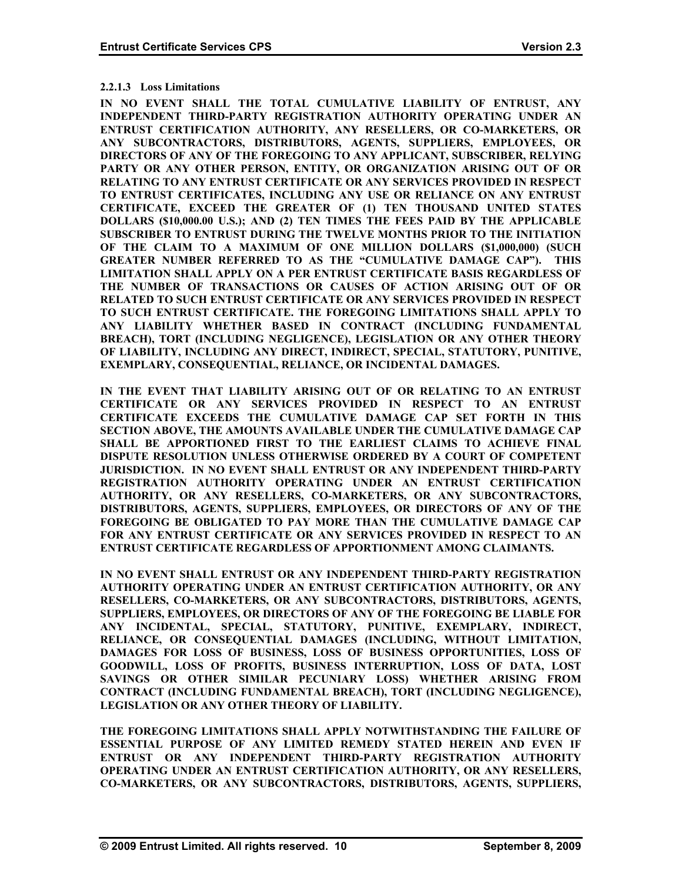#### **2.2.1.3 Loss Limitations**

**IN NO EVENT SHALL THE TOTAL CUMULATIVE LIABILITY OF ENTRUST, ANY INDEPENDENT THIRD-PARTY REGISTRATION AUTHORITY OPERATING UNDER AN ENTRUST CERTIFICATION AUTHORITY, ANY RESELLERS, OR CO-MARKETERS, OR ANY SUBCONTRACTORS, DISTRIBUTORS, AGENTS, SUPPLIERS, EMPLOYEES, OR DIRECTORS OF ANY OF THE FOREGOING TO ANY APPLICANT, SUBSCRIBER, RELYING PARTY OR ANY OTHER PERSON, ENTITY, OR ORGANIZATION ARISING OUT OF OR RELATING TO ANY ENTRUST CERTIFICATE OR ANY SERVICES PROVIDED IN RESPECT TO ENTRUST CERTIFICATES, INCLUDING ANY USE OR RELIANCE ON ANY ENTRUST CERTIFICATE, EXCEED THE GREATER OF (1) TEN THOUSAND UNITED STATES DOLLARS (\$10,000.00 U.S.); AND (2) TEN TIMES THE FEES PAID BY THE APPLICABLE SUBSCRIBER TO ENTRUST DURING THE TWELVE MONTHS PRIOR TO THE INITIATION OF THE CLAIM TO A MAXIMUM OF ONE MILLION DOLLARS (\$1,000,000) (SUCH GREATER NUMBER REFERRED TO AS THE "CUMULATIVE DAMAGE CAP"). THIS LIMITATION SHALL APPLY ON A PER ENTRUST CERTIFICATE BASIS REGARDLESS OF THE NUMBER OF TRANSACTIONS OR CAUSES OF ACTION ARISING OUT OF OR RELATED TO SUCH ENTRUST CERTIFICATE OR ANY SERVICES PROVIDED IN RESPECT TO SUCH ENTRUST CERTIFICATE. THE FOREGOING LIMITATIONS SHALL APPLY TO ANY LIABILITY WHETHER BASED IN CONTRACT (INCLUDING FUNDAMENTAL BREACH), TORT (INCLUDING NEGLIGENCE), LEGISLATION OR ANY OTHER THEORY OF LIABILITY, INCLUDING ANY DIRECT, INDIRECT, SPECIAL, STATUTORY, PUNITIVE, EXEMPLARY, CONSEQUENTIAL, RELIANCE, OR INCIDENTAL DAMAGES.** 

**IN THE EVENT THAT LIABILITY ARISING OUT OF OR RELATING TO AN ENTRUST CERTIFICATE OR ANY SERVICES PROVIDED IN RESPECT TO AN ENTRUST CERTIFICATE EXCEEDS THE CUMULATIVE DAMAGE CAP SET FORTH IN THIS SECTION ABOVE, THE AMOUNTS AVAILABLE UNDER THE CUMULATIVE DAMAGE CAP SHALL BE APPORTIONED FIRST TO THE EARLIEST CLAIMS TO ACHIEVE FINAL DISPUTE RESOLUTION UNLESS OTHERWISE ORDERED BY A COURT OF COMPETENT JURISDICTION. IN NO EVENT SHALL ENTRUST OR ANY INDEPENDENT THIRD-PARTY REGISTRATION AUTHORITY OPERATING UNDER AN ENTRUST CERTIFICATION AUTHORITY, OR ANY RESELLERS, CO-MARKETERS, OR ANY SUBCONTRACTORS, DISTRIBUTORS, AGENTS, SUPPLIERS, EMPLOYEES, OR DIRECTORS OF ANY OF THE FOREGOING BE OBLIGATED TO PAY MORE THAN THE CUMULATIVE DAMAGE CAP FOR ANY ENTRUST CERTIFICATE OR ANY SERVICES PROVIDED IN RESPECT TO AN ENTRUST CERTIFICATE REGARDLESS OF APPORTIONMENT AMONG CLAIMANTS.** 

**IN NO EVENT SHALL ENTRUST OR ANY INDEPENDENT THIRD-PARTY REGISTRATION AUTHORITY OPERATING UNDER AN ENTRUST CERTIFICATION AUTHORITY, OR ANY RESELLERS, CO-MARKETERS, OR ANY SUBCONTRACTORS, DISTRIBUTORS, AGENTS, SUPPLIERS, EMPLOYEES, OR DIRECTORS OF ANY OF THE FOREGOING BE LIABLE FOR ANY INCIDENTAL, SPECIAL, STATUTORY, PUNITIVE, EXEMPLARY, INDIRECT, RELIANCE, OR CONSEQUENTIAL DAMAGES (INCLUDING, WITHOUT LIMITATION, DAMAGES FOR LOSS OF BUSINESS, LOSS OF BUSINESS OPPORTUNITIES, LOSS OF GOODWILL, LOSS OF PROFITS, BUSINESS INTERRUPTION, LOSS OF DATA, LOST SAVINGS OR OTHER SIMILAR PECUNIARY LOSS) WHETHER ARISING FROM CONTRACT (INCLUDING FUNDAMENTAL BREACH), TORT (INCLUDING NEGLIGENCE), LEGISLATION OR ANY OTHER THEORY OF LIABILITY.** 

**THE FOREGOING LIMITATIONS SHALL APPLY NOTWITHSTANDING THE FAILURE OF ESSENTIAL PURPOSE OF ANY LIMITED REMEDY STATED HEREIN AND EVEN IF ENTRUST OR ANY INDEPENDENT THIRD-PARTY REGISTRATION AUTHORITY OPERATING UNDER AN ENTRUST CERTIFICATION AUTHORITY, OR ANY RESELLERS, CO-MARKETERS, OR ANY SUBCONTRACTORS, DISTRIBUTORS, AGENTS, SUPPLIERS,**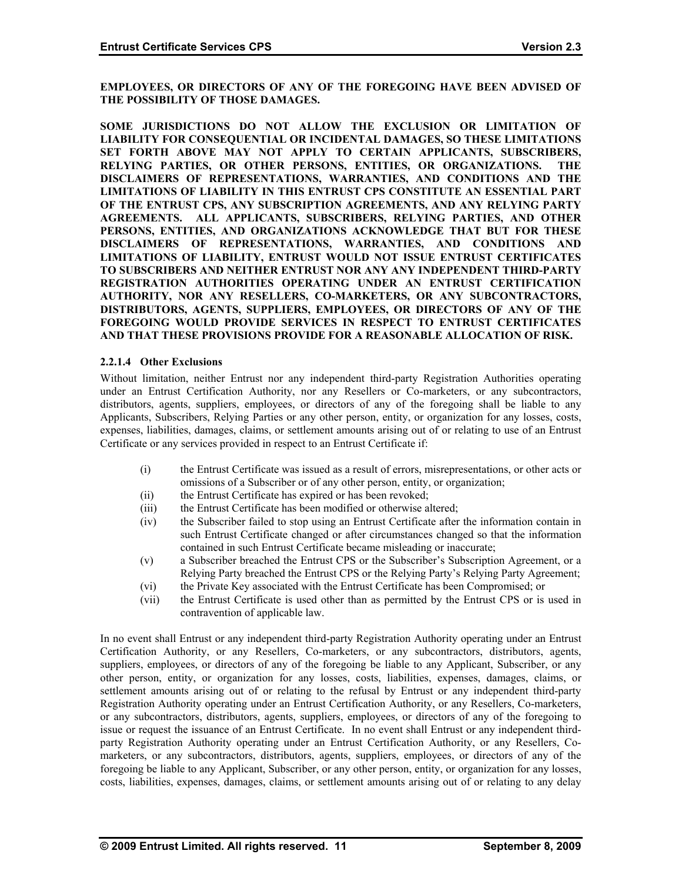**EMPLOYEES, OR DIRECTORS OF ANY OF THE FOREGOING HAVE BEEN ADVISED OF THE POSSIBILITY OF THOSE DAMAGES.** 

**SOME JURISDICTIONS DO NOT ALLOW THE EXCLUSION OR LIMITATION OF LIABILITY FOR CONSEQUENTIAL OR INCIDENTAL DAMAGES, SO THESE LIMITATIONS SET FORTH ABOVE MAY NOT APPLY TO CERTAIN APPLICANTS, SUBSCRIBERS, RELYING PARTIES, OR OTHER PERSONS, ENTITIES, OR ORGANIZATIONS. THE DISCLAIMERS OF REPRESENTATIONS, WARRANTIES, AND CONDITIONS AND THE LIMITATIONS OF LIABILITY IN THIS ENTRUST CPS CONSTITUTE AN ESSENTIAL PART OF THE ENTRUST CPS, ANY SUBSCRIPTION AGREEMENTS, AND ANY RELYING PARTY AGREEMENTS. ALL APPLICANTS, SUBSCRIBERS, RELYING PARTIES, AND OTHER PERSONS, ENTITIES, AND ORGANIZATIONS ACKNOWLEDGE THAT BUT FOR THESE DISCLAIMERS OF REPRESENTATIONS, WARRANTIES, AND CONDITIONS AND LIMITATIONS OF LIABILITY, ENTRUST WOULD NOT ISSUE ENTRUST CERTIFICATES TO SUBSCRIBERS AND NEITHER ENTRUST NOR ANY ANY INDEPENDENT THIRD-PARTY REGISTRATION AUTHORITIES OPERATING UNDER AN ENTRUST CERTIFICATION AUTHORITY, NOR ANY RESELLERS, CO-MARKETERS, OR ANY SUBCONTRACTORS, DISTRIBUTORS, AGENTS, SUPPLIERS, EMPLOYEES, OR DIRECTORS OF ANY OF THE FOREGOING WOULD PROVIDE SERVICES IN RESPECT TO ENTRUST CERTIFICATES AND THAT THESE PROVISIONS PROVIDE FOR A REASONABLE ALLOCATION OF RISK.** 

#### **2.2.1.4 Other Exclusions**

Without limitation, neither Entrust nor any independent third-party Registration Authorities operating under an Entrust Certification Authority, nor any Resellers or Co-marketers, or any subcontractors, distributors, agents, suppliers, employees, or directors of any of the foregoing shall be liable to any Applicants, Subscribers, Relying Parties or any other person, entity, or organization for any losses, costs, expenses, liabilities, damages, claims, or settlement amounts arising out of or relating to use of an Entrust Certificate or any services provided in respect to an Entrust Certificate if:

- (i) the Entrust Certificate was issued as a result of errors, misrepresentations, or other acts or omissions of a Subscriber or of any other person, entity, or organization;
- (ii) the Entrust Certificate has expired or has been revoked;
- (iii) the Entrust Certificate has been modified or otherwise altered;
- (iv) the Subscriber failed to stop using an Entrust Certificate after the information contain in such Entrust Certificate changed or after circumstances changed so that the information contained in such Entrust Certificate became misleading or inaccurate;
- (v) a Subscriber breached the Entrust CPS or the Subscriber's Subscription Agreement, or a Relying Party breached the Entrust CPS or the Relying Party's Relying Party Agreement;
- (vi) the Private Key associated with the Entrust Certificate has been Compromised; or
- (vii) the Entrust Certificate is used other than as permitted by the Entrust CPS or is used in contravention of applicable law.

In no event shall Entrust or any independent third-party Registration Authority operating under an Entrust Certification Authority, or any Resellers, Co-marketers, or any subcontractors, distributors, agents, suppliers, employees, or directors of any of the foregoing be liable to any Applicant, Subscriber, or any other person, entity, or organization for any losses, costs, liabilities, expenses, damages, claims, or settlement amounts arising out of or relating to the refusal by Entrust or any independent third-party Registration Authority operating under an Entrust Certification Authority, or any Resellers, Co-marketers, or any subcontractors, distributors, agents, suppliers, employees, or directors of any of the foregoing to issue or request the issuance of an Entrust Certificate. In no event shall Entrust or any independent thirdparty Registration Authority operating under an Entrust Certification Authority, or any Resellers, Comarketers, or any subcontractors, distributors, agents, suppliers, employees, or directors of any of the foregoing be liable to any Applicant, Subscriber, or any other person, entity, or organization for any losses, costs, liabilities, expenses, damages, claims, or settlement amounts arising out of or relating to any delay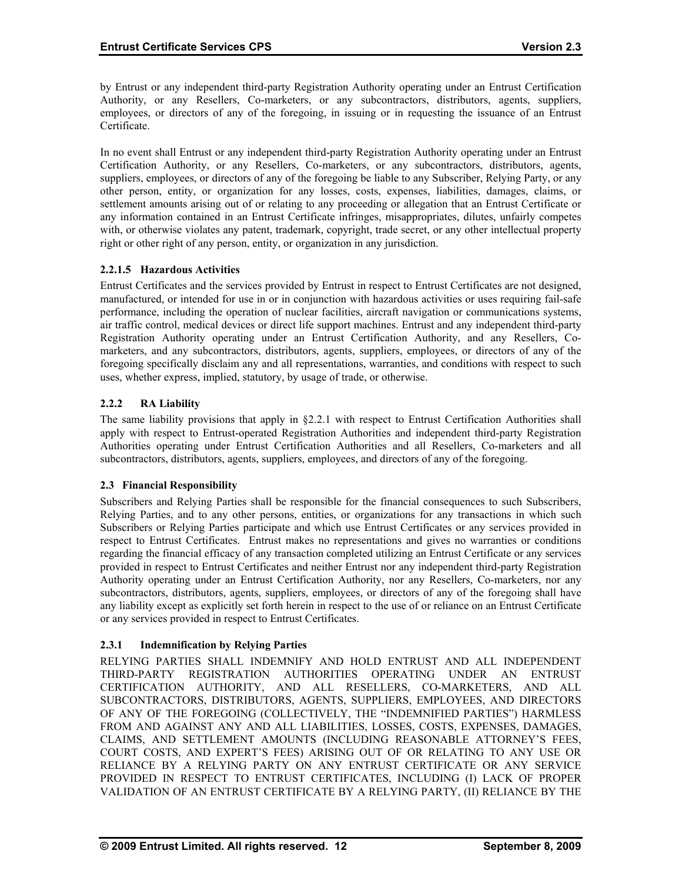by Entrust or any independent third-party Registration Authority operating under an Entrust Certification Authority, or any Resellers, Co-marketers, or any subcontractors, distributors, agents, suppliers, employees, or directors of any of the foregoing, in issuing or in requesting the issuance of an Entrust Certificate.

In no event shall Entrust or any independent third-party Registration Authority operating under an Entrust Certification Authority, or any Resellers, Co-marketers, or any subcontractors, distributors, agents, suppliers, employees, or directors of any of the foregoing be liable to any Subscriber, Relying Party, or any other person, entity, or organization for any losses, costs, expenses, liabilities, damages, claims, or settlement amounts arising out of or relating to any proceeding or allegation that an Entrust Certificate or any information contained in an Entrust Certificate infringes, misappropriates, dilutes, unfairly competes with, or otherwise violates any patent, trademark, copyright, trade secret, or any other intellectual property right or other right of any person, entity, or organization in any jurisdiction.

## **2.2.1.5 Hazardous Activities**

Entrust Certificates and the services provided by Entrust in respect to Entrust Certificates are not designed, manufactured, or intended for use in or in conjunction with hazardous activities or uses requiring fail-safe performance, including the operation of nuclear facilities, aircraft navigation or communications systems, air traffic control, medical devices or direct life support machines. Entrust and any independent third-party Registration Authority operating under an Entrust Certification Authority, and any Resellers, Comarketers, and any subcontractors, distributors, agents, suppliers, employees, or directors of any of the foregoing specifically disclaim any and all representations, warranties, and conditions with respect to such uses, whether express, implied, statutory, by usage of trade, or otherwise.

## **2.2.2 RA Liability**

The same liability provisions that apply in §2.2.1 with respect to Entrust Certification Authorities shall apply with respect to Entrust-operated Registration Authorities and independent third-party Registration Authorities operating under Entrust Certification Authorities and all Resellers, Co-marketers and all subcontractors, distributors, agents, suppliers, employees, and directors of any of the foregoing.

#### **2.3 Financial Responsibility**

Subscribers and Relying Parties shall be responsible for the financial consequences to such Subscribers, Relying Parties, and to any other persons, entities, or organizations for any transactions in which such Subscribers or Relying Parties participate and which use Entrust Certificates or any services provided in respect to Entrust Certificates. Entrust makes no representations and gives no warranties or conditions regarding the financial efficacy of any transaction completed utilizing an Entrust Certificate or any services provided in respect to Entrust Certificates and neither Entrust nor any independent third-party Registration Authority operating under an Entrust Certification Authority, nor any Resellers, Co-marketers, nor any subcontractors, distributors, agents, suppliers, employees, or directors of any of the foregoing shall have any liability except as explicitly set forth herein in respect to the use of or reliance on an Entrust Certificate or any services provided in respect to Entrust Certificates.

## **2.3.1 Indemnification by Relying Parties**

RELYING PARTIES SHALL INDEMNIFY AND HOLD ENTRUST AND ALL INDEPENDENT THIRD-PARTY REGISTRATION AUTHORITIES OPERATING UNDER AN ENTRUST CERTIFICATION AUTHORITY, AND ALL RESELLERS, CO-MARKETERS, AND ALL SUBCONTRACTORS, DISTRIBUTORS, AGENTS, SUPPLIERS, EMPLOYEES, AND DIRECTORS OF ANY OF THE FOREGOING (COLLECTIVELY, THE "INDEMNIFIED PARTIES") HARMLESS FROM AND AGAINST ANY AND ALL LIABILITIES, LOSSES, COSTS, EXPENSES, DAMAGES, CLAIMS, AND SETTLEMENT AMOUNTS (INCLUDING REASONABLE ATTORNEY'S FEES, COURT COSTS, AND EXPERT'S FEES) ARISING OUT OF OR RELATING TO ANY USE OR RELIANCE BY A RELYING PARTY ON ANY ENTRUST CERTIFICATE OR ANY SERVICE PROVIDED IN RESPECT TO ENTRUST CERTIFICATES, INCLUDING (I) LACK OF PROPER VALIDATION OF AN ENTRUST CERTIFICATE BY A RELYING PARTY, (II) RELIANCE BY THE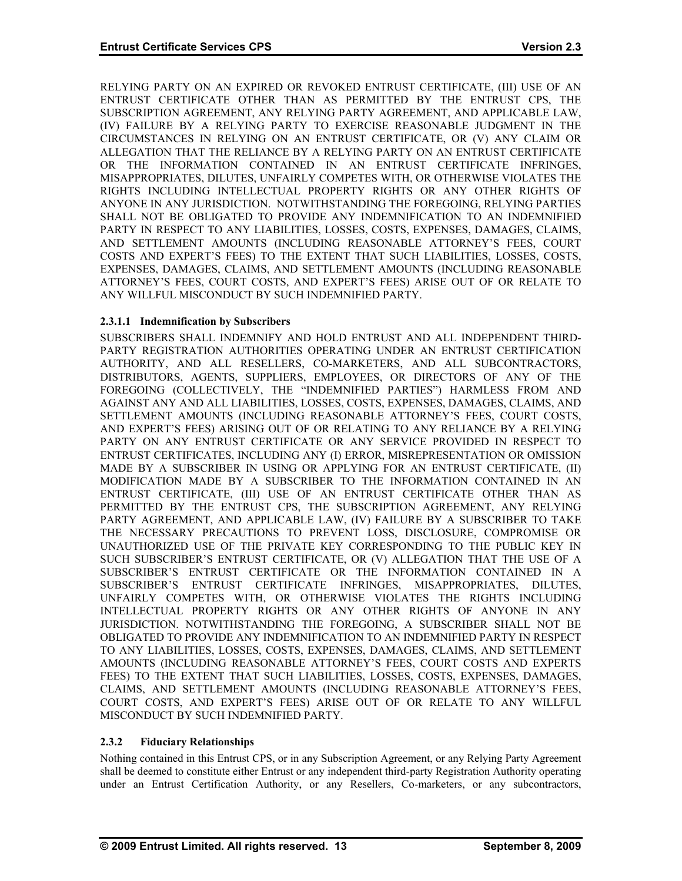RELYING PARTY ON AN EXPIRED OR REVOKED ENTRUST CERTIFICATE, (III) USE OF AN ENTRUST CERTIFICATE OTHER THAN AS PERMITTED BY THE ENTRUST CPS, THE SUBSCRIPTION AGREEMENT, ANY RELYING PARTY AGREEMENT, AND APPLICABLE LAW, (IV) FAILURE BY A RELYING PARTY TO EXERCISE REASONABLE JUDGMENT IN THE CIRCUMSTANCES IN RELYING ON AN ENTRUST CERTIFICATE, OR (V) ANY CLAIM OR ALLEGATION THAT THE RELIANCE BY A RELYING PARTY ON AN ENTRUST CERTIFICATE OR THE INFORMATION CONTAINED IN AN ENTRUST CERTIFICATE INFRINGES, MISAPPROPRIATES, DILUTES, UNFAIRLY COMPETES WITH, OR OTHERWISE VIOLATES THE RIGHTS INCLUDING INTELLECTUAL PROPERTY RIGHTS OR ANY OTHER RIGHTS OF ANYONE IN ANY JURISDICTION. NOTWITHSTANDING THE FOREGOING, RELYING PARTIES SHALL NOT BE OBLIGATED TO PROVIDE ANY INDEMNIFICATION TO AN INDEMNIFIED PARTY IN RESPECT TO ANY LIABILITIES, LOSSES, COSTS, EXPENSES, DAMAGES, CLAIMS, AND SETTLEMENT AMOUNTS (INCLUDING REASONABLE ATTORNEY'S FEES, COURT COSTS AND EXPERT'S FEES) TO THE EXTENT THAT SUCH LIABILITIES, LOSSES, COSTS, EXPENSES, DAMAGES, CLAIMS, AND SETTLEMENT AMOUNTS (INCLUDING REASONABLE ATTORNEY'S FEES, COURT COSTS, AND EXPERT'S FEES) ARISE OUT OF OR RELATE TO ANY WILLFUL MISCONDUCT BY SUCH INDEMNIFIED PARTY.

## **2.3.1.1 Indemnification by Subscribers**

SUBSCRIBERS SHALL INDEMNIFY AND HOLD ENTRUST AND ALL INDEPENDENT THIRD-PARTY REGISTRATION AUTHORITIES OPERATING UNDER AN ENTRUST CERTIFICATION AUTHORITY, AND ALL RESELLERS, CO-MARKETERS, AND ALL SUBCONTRACTORS, DISTRIBUTORS, AGENTS, SUPPLIERS, EMPLOYEES, OR DIRECTORS OF ANY OF THE FOREGOING (COLLECTIVELY, THE "INDEMNIFIED PARTIES") HARMLESS FROM AND AGAINST ANY AND ALL LIABILITIES, LOSSES, COSTS, EXPENSES, DAMAGES, CLAIMS, AND SETTLEMENT AMOUNTS (INCLUDING REASONABLE ATTORNEY'S FEES, COURT COSTS, AND EXPERT'S FEES) ARISING OUT OF OR RELATING TO ANY RELIANCE BY A RELYING PARTY ON ANY ENTRUST CERTIFICATE OR ANY SERVICE PROVIDED IN RESPECT TO ENTRUST CERTIFICATES, INCLUDING ANY (I) ERROR, MISREPRESENTATION OR OMISSION MADE BY A SUBSCRIBER IN USING OR APPLYING FOR AN ENTRUST CERTIFICATE, (II) MODIFICATION MADE BY A SUBSCRIBER TO THE INFORMATION CONTAINED IN AN ENTRUST CERTIFICATE, (III) USE OF AN ENTRUST CERTIFICATE OTHER THAN AS PERMITTED BY THE ENTRUST CPS, THE SUBSCRIPTION AGREEMENT, ANY RELYING PARTY AGREEMENT, AND APPLICABLE LAW, (IV) FAILURE BY A SUBSCRIBER TO TAKE THE NECESSARY PRECAUTIONS TO PREVENT LOSS, DISCLOSURE, COMPROMISE OR UNAUTHORIZED USE OF THE PRIVATE KEY CORRESPONDING TO THE PUBLIC KEY IN SUCH SUBSCRIBER'S ENTRUST CERTIFICATE, OR (V) ALLEGATION THAT THE USE OF A SUBSCRIBER'S ENTRUST CERTIFICATE OR THE INFORMATION CONTAINED IN A SUBSCRIBER'S ENTRUST CERTIFICATE INFRINGES, MISAPPROPRIATES, DILUTES, UNFAIRLY COMPETES WITH, OR OTHERWISE VIOLATES THE RIGHTS INCLUDING INTELLECTUAL PROPERTY RIGHTS OR ANY OTHER RIGHTS OF ANYONE IN ANY JURISDICTION. NOTWITHSTANDING THE FOREGOING, A SUBSCRIBER SHALL NOT BE OBLIGATED TO PROVIDE ANY INDEMNIFICATION TO AN INDEMNIFIED PARTY IN RESPECT TO ANY LIABILITIES, LOSSES, COSTS, EXPENSES, DAMAGES, CLAIMS, AND SETTLEMENT AMOUNTS (INCLUDING REASONABLE ATTORNEY'S FEES, COURT COSTS AND EXPERTS FEES) TO THE EXTENT THAT SUCH LIABILITIES, LOSSES, COSTS, EXPENSES, DAMAGES, CLAIMS, AND SETTLEMENT AMOUNTS (INCLUDING REASONABLE ATTORNEY'S FEES, COURT COSTS, AND EXPERT'S FEES) ARISE OUT OF OR RELATE TO ANY WILLFUL MISCONDUCT BY SUCH INDEMNIFIED PARTY.

## **2.3.2 Fiduciary Relationships**

Nothing contained in this Entrust CPS, or in any Subscription Agreement, or any Relying Party Agreement shall be deemed to constitute either Entrust or any independent third-party Registration Authority operating under an Entrust Certification Authority, or any Resellers, Co-marketers, or any subcontractors,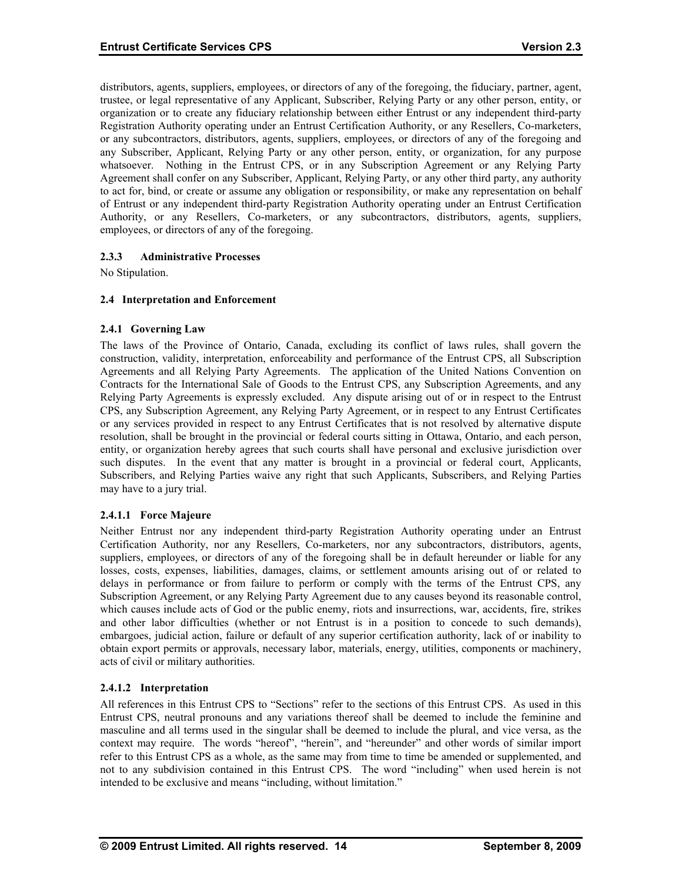distributors, agents, suppliers, employees, or directors of any of the foregoing, the fiduciary, partner, agent, trustee, or legal representative of any Applicant, Subscriber, Relying Party or any other person, entity, or organization or to create any fiduciary relationship between either Entrust or any independent third-party Registration Authority operating under an Entrust Certification Authority, or any Resellers, Co-marketers, or any subcontractors, distributors, agents, suppliers, employees, or directors of any of the foregoing and any Subscriber, Applicant, Relying Party or any other person, entity, or organization, for any purpose whatsoever. Nothing in the Entrust CPS, or in any Subscription Agreement or any Relying Party Agreement shall confer on any Subscriber, Applicant, Relying Party, or any other third party, any authority to act for, bind, or create or assume any obligation or responsibility, or make any representation on behalf of Entrust or any independent third-party Registration Authority operating under an Entrust Certification Authority, or any Resellers, Co-marketers, or any subcontractors, distributors, agents, suppliers, employees, or directors of any of the foregoing.

## **2.3.3 Administrative Processes**

No Stipulation.

## **2.4 Interpretation and Enforcement**

#### **2.4.1 Governing Law**

The laws of the Province of Ontario, Canada, excluding its conflict of laws rules, shall govern the construction, validity, interpretation, enforceability and performance of the Entrust CPS, all Subscription Agreements and all Relying Party Agreements. The application of the United Nations Convention on Contracts for the International Sale of Goods to the Entrust CPS, any Subscription Agreements, and any Relying Party Agreements is expressly excluded. Any dispute arising out of or in respect to the Entrust CPS, any Subscription Agreement, any Relying Party Agreement, or in respect to any Entrust Certificates or any services provided in respect to any Entrust Certificates that is not resolved by alternative dispute resolution, shall be brought in the provincial or federal courts sitting in Ottawa, Ontario, and each person, entity, or organization hereby agrees that such courts shall have personal and exclusive jurisdiction over such disputes. In the event that any matter is brought in a provincial or federal court, Applicants, Subscribers, and Relying Parties waive any right that such Applicants, Subscribers, and Relying Parties may have to a jury trial.

#### **2.4.1.1 Force Majeure**

Neither Entrust nor any independent third-party Registration Authority operating under an Entrust Certification Authority, nor any Resellers, Co-marketers, nor any subcontractors, distributors, agents, suppliers, employees, or directors of any of the foregoing shall be in default hereunder or liable for any losses, costs, expenses, liabilities, damages, claims, or settlement amounts arising out of or related to delays in performance or from failure to perform or comply with the terms of the Entrust CPS, any Subscription Agreement, or any Relying Party Agreement due to any causes beyond its reasonable control, which causes include acts of God or the public enemy, riots and insurrections, war, accidents, fire, strikes and other labor difficulties (whether or not Entrust is in a position to concede to such demands), embargoes, judicial action, failure or default of any superior certification authority, lack of or inability to obtain export permits or approvals, necessary labor, materials, energy, utilities, components or machinery, acts of civil or military authorities.

#### **2.4.1.2 Interpretation**

All references in this Entrust CPS to "Sections" refer to the sections of this Entrust CPS. As used in this Entrust CPS, neutral pronouns and any variations thereof shall be deemed to include the feminine and masculine and all terms used in the singular shall be deemed to include the plural, and vice versa, as the context may require. The words "hereof", "herein", and "hereunder" and other words of similar import refer to this Entrust CPS as a whole, as the same may from time to time be amended or supplemented, and not to any subdivision contained in this Entrust CPS. The word "including" when used herein is not intended to be exclusive and means "including, without limitation."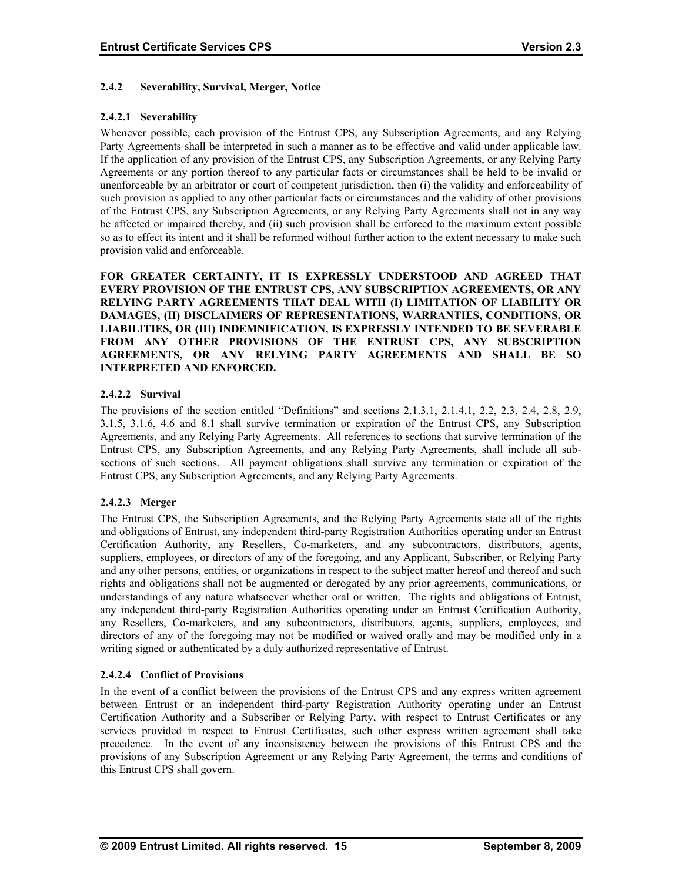#### **2.4.2 Severability, Survival, Merger, Notice**

## **2.4.2.1 Severability**

Whenever possible, each provision of the Entrust CPS, any Subscription Agreements, and any Relying Party Agreements shall be interpreted in such a manner as to be effective and valid under applicable law. If the application of any provision of the Entrust CPS, any Subscription Agreements, or any Relying Party Agreements or any portion thereof to any particular facts or circumstances shall be held to be invalid or unenforceable by an arbitrator or court of competent jurisdiction, then (i) the validity and enforceability of such provision as applied to any other particular facts or circumstances and the validity of other provisions of the Entrust CPS, any Subscription Agreements, or any Relying Party Agreements shall not in any way be affected or impaired thereby, and (ii) such provision shall be enforced to the maximum extent possible so as to effect its intent and it shall be reformed without further action to the extent necessary to make such provision valid and enforceable.

**FOR GREATER CERTAINTY, IT IS EXPRESSLY UNDERSTOOD AND AGREED THAT EVERY PROVISION OF THE ENTRUST CPS, ANY SUBSCRIPTION AGREEMENTS, OR ANY RELYING PARTY AGREEMENTS THAT DEAL WITH (I) LIMITATION OF LIABILITY OR DAMAGES, (II) DISCLAIMERS OF REPRESENTATIONS, WARRANTIES, CONDITIONS, OR LIABILITIES, OR (III) INDEMNIFICATION, IS EXPRESSLY INTENDED TO BE SEVERABLE FROM ANY OTHER PROVISIONS OF THE ENTRUST CPS, ANY SUBSCRIPTION AGREEMENTS, OR ANY RELYING PARTY AGREEMENTS AND SHALL BE SO INTERPRETED AND ENFORCED.** 

## **2.4.2.2 Survival**

The provisions of the section entitled "Definitions" and sections 2.1.3.1, 2.1.4.1, 2.2, 2.3, 2.4, 2.8, 2.9, 3.1.5, 3.1.6, 4.6 and 8.1 shall survive termination or expiration of the Entrust CPS, any Subscription Agreements, and any Relying Party Agreements. All references to sections that survive termination of the Entrust CPS, any Subscription Agreements, and any Relying Party Agreements, shall include all subsections of such sections. All payment obligations shall survive any termination or expiration of the Entrust CPS, any Subscription Agreements, and any Relying Party Agreements.

#### **2.4.2.3 Merger**

The Entrust CPS, the Subscription Agreements, and the Relying Party Agreements state all of the rights and obligations of Entrust, any independent third-party Registration Authorities operating under an Entrust Certification Authority, any Resellers, Co-marketers, and any subcontractors, distributors, agents, suppliers, employees, or directors of any of the foregoing, and any Applicant, Subscriber, or Relying Party and any other persons, entities, or organizations in respect to the subject matter hereof and thereof and such rights and obligations shall not be augmented or derogated by any prior agreements, communications, or understandings of any nature whatsoever whether oral or written. The rights and obligations of Entrust, any independent third-party Registration Authorities operating under an Entrust Certification Authority, any Resellers, Co-marketers, and any subcontractors, distributors, agents, suppliers, employees, and directors of any of the foregoing may not be modified or waived orally and may be modified only in a writing signed or authenticated by a duly authorized representative of Entrust.

#### **2.4.2.4 Conflict of Provisions**

In the event of a conflict between the provisions of the Entrust CPS and any express written agreement between Entrust or an independent third-party Registration Authority operating under an Entrust Certification Authority and a Subscriber or Relying Party, with respect to Entrust Certificates or any services provided in respect to Entrust Certificates, such other express written agreement shall take precedence. In the event of any inconsistency between the provisions of this Entrust CPS and the provisions of any Subscription Agreement or any Relying Party Agreement, the terms and conditions of this Entrust CPS shall govern.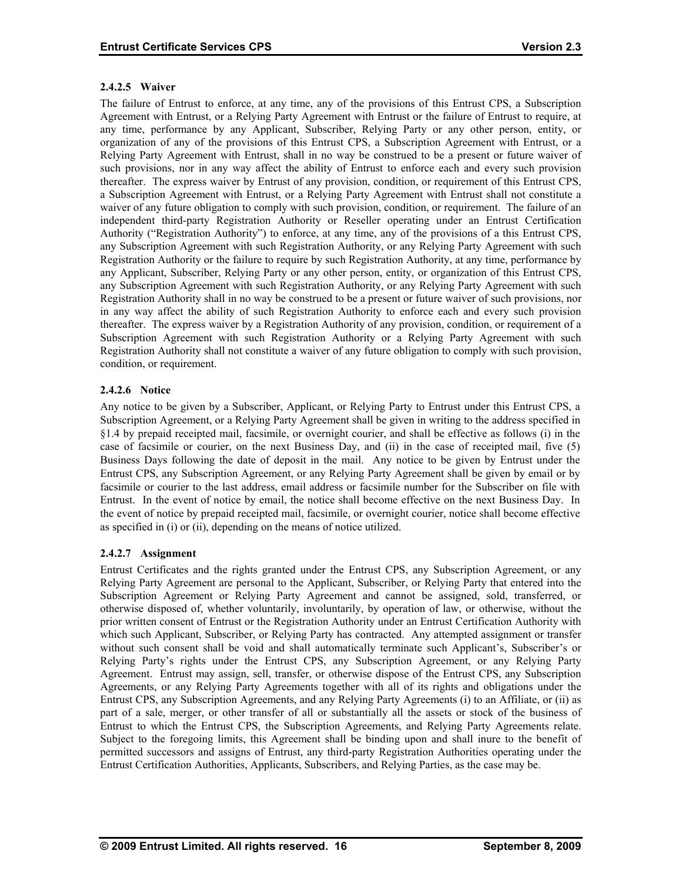## **2.4.2.5 Waiver**

The failure of Entrust to enforce, at any time, any of the provisions of this Entrust CPS, a Subscription Agreement with Entrust, or a Relying Party Agreement with Entrust or the failure of Entrust to require, at any time, performance by any Applicant, Subscriber, Relying Party or any other person, entity, or organization of any of the provisions of this Entrust CPS, a Subscription Agreement with Entrust, or a Relying Party Agreement with Entrust, shall in no way be construed to be a present or future waiver of such provisions, nor in any way affect the ability of Entrust to enforce each and every such provision thereafter. The express waiver by Entrust of any provision, condition, or requirement of this Entrust CPS, a Subscription Agreement with Entrust, or a Relying Party Agreement with Entrust shall not constitute a waiver of any future obligation to comply with such provision, condition, or requirement. The failure of an independent third-party Registration Authority or Reseller operating under an Entrust Certification Authority ("Registration Authority") to enforce, at any time, any of the provisions of a this Entrust CPS, any Subscription Agreement with such Registration Authority, or any Relying Party Agreement with such Registration Authority or the failure to require by such Registration Authority, at any time, performance by any Applicant, Subscriber, Relying Party or any other person, entity, or organization of this Entrust CPS, any Subscription Agreement with such Registration Authority, or any Relying Party Agreement with such Registration Authority shall in no way be construed to be a present or future waiver of such provisions, nor in any way affect the ability of such Registration Authority to enforce each and every such provision thereafter. The express waiver by a Registration Authority of any provision, condition, or requirement of a Subscription Agreement with such Registration Authority or a Relying Party Agreement with such Registration Authority shall not constitute a waiver of any future obligation to comply with such provision, condition, or requirement.

## **2.4.2.6 Notice**

Any notice to be given by a Subscriber, Applicant, or Relying Party to Entrust under this Entrust CPS, a Subscription Agreement, or a Relying Party Agreement shall be given in writing to the address specified in §1.4 by prepaid receipted mail, facsimile, or overnight courier, and shall be effective as follows (i) in the case of facsimile or courier, on the next Business Day, and (ii) in the case of receipted mail, five (5) Business Days following the date of deposit in the mail. Any notice to be given by Entrust under the Entrust CPS, any Subscription Agreement, or any Relying Party Agreement shall be given by email or by facsimile or courier to the last address, email address or facsimile number for the Subscriber on file with Entrust. In the event of notice by email, the notice shall become effective on the next Business Day. In the event of notice by prepaid receipted mail, facsimile, or overnight courier, notice shall become effective as specified in (i) or (ii), depending on the means of notice utilized.

## **2.4.2.7 Assignment**

Entrust Certificates and the rights granted under the Entrust CPS, any Subscription Agreement, or any Relying Party Agreement are personal to the Applicant, Subscriber, or Relying Party that entered into the Subscription Agreement or Relying Party Agreement and cannot be assigned, sold, transferred, or otherwise disposed of, whether voluntarily, involuntarily, by operation of law, or otherwise, without the prior written consent of Entrust or the Registration Authority under an Entrust Certification Authority with which such Applicant, Subscriber, or Relying Party has contracted. Any attempted assignment or transfer without such consent shall be void and shall automatically terminate such Applicant's, Subscriber's or Relying Party's rights under the Entrust CPS, any Subscription Agreement, or any Relying Party Agreement. Entrust may assign, sell, transfer, or otherwise dispose of the Entrust CPS, any Subscription Agreements, or any Relying Party Agreements together with all of its rights and obligations under the Entrust CPS, any Subscription Agreements, and any Relying Party Agreements (i) to an Affiliate, or (ii) as part of a sale, merger, or other transfer of all or substantially all the assets or stock of the business of Entrust to which the Entrust CPS, the Subscription Agreements, and Relying Party Agreements relate. Subject to the foregoing limits, this Agreement shall be binding upon and shall inure to the benefit of permitted successors and assigns of Entrust, any third-party Registration Authorities operating under the Entrust Certification Authorities, Applicants, Subscribers, and Relying Parties, as the case may be.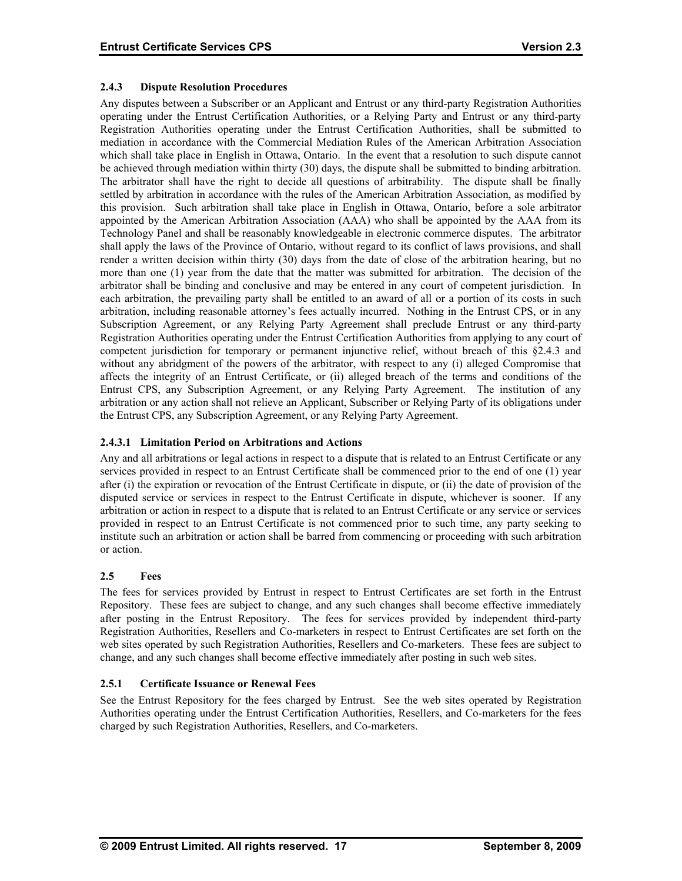## **2.4.3 Dispute Resolution Procedures**

Any disputes between a Subscriber or an Applicant and Entrust or any third-party Registration Authorities operating under the Entrust Certification Authorities, or a Relying Party and Entrust or any third-party Registration Authorities operating under the Entrust Certification Authorities, shall be submitted to mediation in accordance with the Commercial Mediation Rules of the American Arbitration Association which shall take place in English in Ottawa, Ontario. In the event that a resolution to such dispute cannot be achieved through mediation within thirty (30) days, the dispute shall be submitted to binding arbitration. The arbitrator shall have the right to decide all questions of arbitrability. The dispute shall be finally settled by arbitration in accordance with the rules of the American Arbitration Association, as modified by this provision. Such arbitration shall take place in English in Ottawa, Ontario, before a sole arbitrator appointed by the American Arbitration Association (AAA) who shall be appointed by the AAA from its Technology Panel and shall be reasonably knowledgeable in electronic commerce disputes. The arbitrator shall apply the laws of the Province of Ontario, without regard to its conflict of laws provisions, and shall render a written decision within thirty (30) days from the date of close of the arbitration hearing, but no more than one (1) year from the date that the matter was submitted for arbitration. The decision of the arbitrator shall be binding and conclusive and may be entered in any court of competent jurisdiction. In each arbitration, the prevailing party shall be entitled to an award of all or a portion of its costs in such arbitration, including reasonable attorney's fees actually incurred. Nothing in the Entrust CPS, or in any Subscription Agreement, or any Relying Party Agreement shall preclude Entrust or any third-party Registration Authorities operating under the Entrust Certification Authorities from applying to any court of competent jurisdiction for temporary or permanent injunctive relief, without breach of this §2.4.3 and without any abridgment of the powers of the arbitrator, with respect to any (i) alleged Compromise that affects the integrity of an Entrust Certificate, or (ii) alleged breach of the terms and conditions of the Entrust CPS, any Subscription Agreement, or any Relying Party Agreement. The institution of any arbitration or any action shall not relieve an Applicant, Subscriber or Relying Party of its obligations under the Entrust CPS, any Subscription Agreement, or any Relying Party Agreement.

## **2.4.3.1 Limitation Period on Arbitrations and Actions**

Any and all arbitrations or legal actions in respect to a dispute that is related to an Entrust Certificate or any services provided in respect to an Entrust Certificate shall be commenced prior to the end of one (1) year after (i) the expiration or revocation of the Entrust Certificate in dispute, or (ii) the date of provision of the disputed service or services in respect to the Entrust Certificate in dispute, whichever is sooner. If any arbitration or action in respect to a dispute that is related to an Entrust Certificate or any service or services provided in respect to an Entrust Certificate is not commenced prior to such time, any party seeking to institute such an arbitration or action shall be barred from commencing or proceeding with such arbitration or action.

## **2.5 Fees**

The fees for services provided by Entrust in respect to Entrust Certificates are set forth in the Entrust Repository. These fees are subject to change, and any such changes shall become effective immediately after posting in the Entrust Repository. The fees for services provided by independent third-party Registration Authorities, Resellers and Co-marketers in respect to Entrust Certificates are set forth on the web sites operated by such Registration Authorities, Resellers and Co-marketers. These fees are subject to change, and any such changes shall become effective immediately after posting in such web sites.

#### **2.5.1 Certificate Issuance or Renewal Fees**

See the Entrust Repository for the fees charged by Entrust. See the web sites operated by Registration Authorities operating under the Entrust Certification Authorities, Resellers, and Co-marketers for the fees charged by such Registration Authorities, Resellers, and Co-marketers.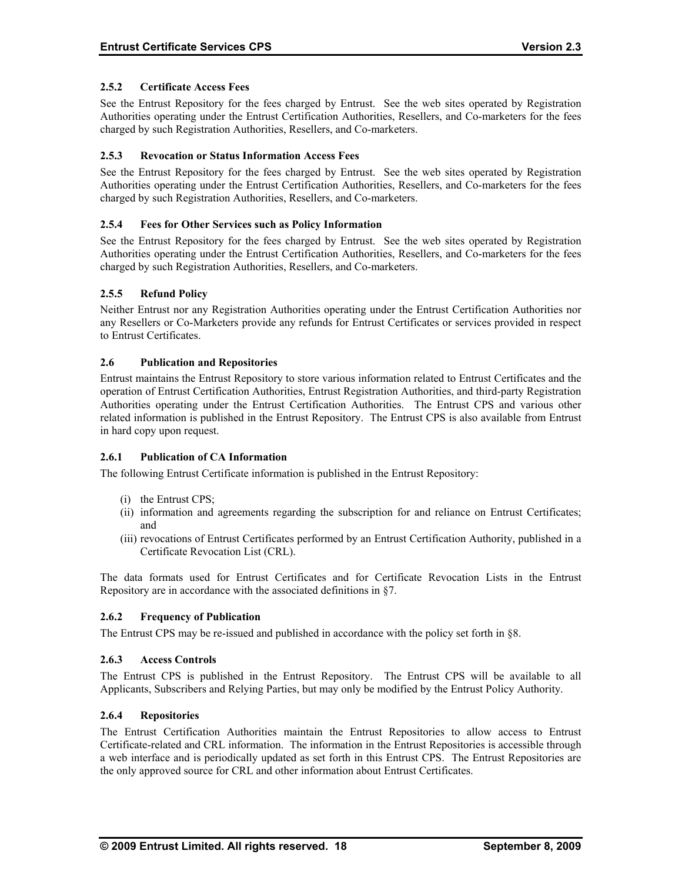## **2.5.2 Certificate Access Fees**

See the Entrust Repository for the fees charged by Entrust. See the web sites operated by Registration Authorities operating under the Entrust Certification Authorities, Resellers, and Co-marketers for the fees charged by such Registration Authorities, Resellers, and Co-marketers.

## **2.5.3 Revocation or Status Information Access Fees**

See the Entrust Repository for the fees charged by Entrust. See the web sites operated by Registration Authorities operating under the Entrust Certification Authorities, Resellers, and Co-marketers for the fees charged by such Registration Authorities, Resellers, and Co-marketers.

#### **2.5.4 Fees for Other Services such as Policy Information**

See the Entrust Repository for the fees charged by Entrust. See the web sites operated by Registration Authorities operating under the Entrust Certification Authorities, Resellers, and Co-marketers for the fees charged by such Registration Authorities, Resellers, and Co-marketers.

## **2.5.5 Refund Policy**

Neither Entrust nor any Registration Authorities operating under the Entrust Certification Authorities nor any Resellers or Co-Marketers provide any refunds for Entrust Certificates or services provided in respect to Entrust Certificates.

#### **2.6 Publication and Repositories**

Entrust maintains the Entrust Repository to store various information related to Entrust Certificates and the operation of Entrust Certification Authorities, Entrust Registration Authorities, and third-party Registration Authorities operating under the Entrust Certification Authorities. The Entrust CPS and various other related information is published in the Entrust Repository. The Entrust CPS is also available from Entrust in hard copy upon request.

#### **2.6.1 Publication of CA Information**

The following Entrust Certificate information is published in the Entrust Repository:

- (i) the Entrust CPS;
- (ii) information and agreements regarding the subscription for and reliance on Entrust Certificates; and
- (iii) revocations of Entrust Certificates performed by an Entrust Certification Authority, published in a Certificate Revocation List (CRL).

The data formats used for Entrust Certificates and for Certificate Revocation Lists in the Entrust Repository are in accordance with the associated definitions in §7.

#### **2.6.2 Frequency of Publication**

The Entrust CPS may be re-issued and published in accordance with the policy set forth in §8.

#### **2.6.3 Access Controls**

The Entrust CPS is published in the Entrust Repository. The Entrust CPS will be available to all Applicants, Subscribers and Relying Parties, but may only be modified by the Entrust Policy Authority.

### **2.6.4 Repositories**

The Entrust Certification Authorities maintain the Entrust Repositories to allow access to Entrust Certificate-related and CRL information. The information in the Entrust Repositories is accessible through a web interface and is periodically updated as set forth in this Entrust CPS. The Entrust Repositories are the only approved source for CRL and other information about Entrust Certificates.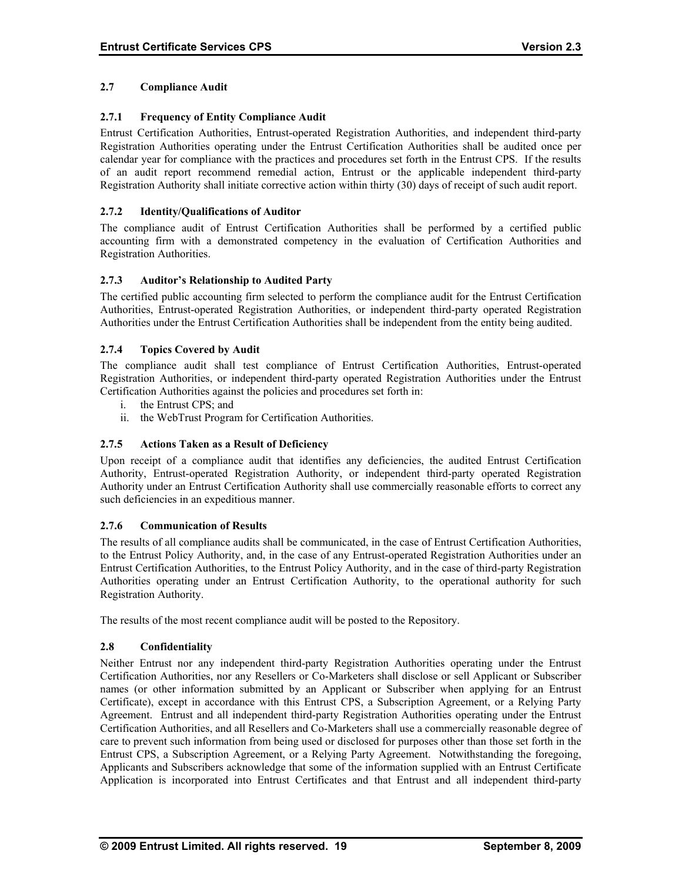## **2.7 Compliance Audit**

## **2.7.1 Frequency of Entity Compliance Audit**

Entrust Certification Authorities, Entrust-operated Registration Authorities, and independent third-party Registration Authorities operating under the Entrust Certification Authorities shall be audited once per calendar year for compliance with the practices and procedures set forth in the Entrust CPS. If the results of an audit report recommend remedial action, Entrust or the applicable independent third-party Registration Authority shall initiate corrective action within thirty (30) days of receipt of such audit report.

### **2.7.2 Identity/Qualifications of Auditor**

The compliance audit of Entrust Certification Authorities shall be performed by a certified public accounting firm with a demonstrated competency in the evaluation of Certification Authorities and Registration Authorities.

## **2.7.3 Auditor's Relationship to Audited Party**

The certified public accounting firm selected to perform the compliance audit for the Entrust Certification Authorities, Entrust-operated Registration Authorities, or independent third-party operated Registration Authorities under the Entrust Certification Authorities shall be independent from the entity being audited.

## **2.7.4 Topics Covered by Audit**

The compliance audit shall test compliance of Entrust Certification Authorities, Entrust-operated Registration Authorities, or independent third-party operated Registration Authorities under the Entrust Certification Authorities against the policies and procedures set forth in:

- i. the Entrust CPS; and
- ii. the WebTrust Program for Certification Authorities.

### **2.7.5 Actions Taken as a Result of Deficiency**

Upon receipt of a compliance audit that identifies any deficiencies, the audited Entrust Certification Authority, Entrust-operated Registration Authority, or independent third-party operated Registration Authority under an Entrust Certification Authority shall use commercially reasonable efforts to correct any such deficiencies in an expeditious manner.

#### **2.7.6 Communication of Results**

The results of all compliance audits shall be communicated, in the case of Entrust Certification Authorities, to the Entrust Policy Authority, and, in the case of any Entrust-operated Registration Authorities under an Entrust Certification Authorities, to the Entrust Policy Authority, and in the case of third-party Registration Authorities operating under an Entrust Certification Authority, to the operational authority for such Registration Authority.

The results of the most recent compliance audit will be posted to the Repository.

#### **2.8 Confidentiality**

Neither Entrust nor any independent third-party Registration Authorities operating under the Entrust Certification Authorities, nor any Resellers or Co-Marketers shall disclose or sell Applicant or Subscriber names (or other information submitted by an Applicant or Subscriber when applying for an Entrust Certificate), except in accordance with this Entrust CPS, a Subscription Agreement, or a Relying Party Agreement. Entrust and all independent third-party Registration Authorities operating under the Entrust Certification Authorities, and all Resellers and Co-Marketers shall use a commercially reasonable degree of care to prevent such information from being used or disclosed for purposes other than those set forth in the Entrust CPS, a Subscription Agreement, or a Relying Party Agreement. Notwithstanding the foregoing, Applicants and Subscribers acknowledge that some of the information supplied with an Entrust Certificate Application is incorporated into Entrust Certificates and that Entrust and all independent third-party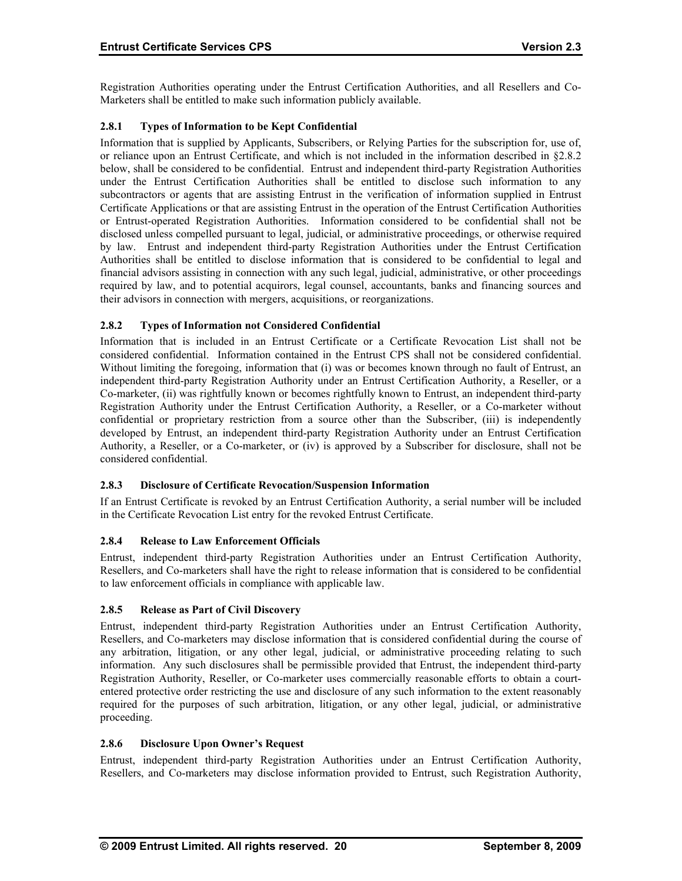Registration Authorities operating under the Entrust Certification Authorities, and all Resellers and Co-Marketers shall be entitled to make such information publicly available.

## **2.8.1 Types of Information to be Kept Confidential**

Information that is supplied by Applicants, Subscribers, or Relying Parties for the subscription for, use of, or reliance upon an Entrust Certificate, and which is not included in the information described in §2.8.2 below, shall be considered to be confidential. Entrust and independent third-party Registration Authorities under the Entrust Certification Authorities shall be entitled to disclose such information to any subcontractors or agents that are assisting Entrust in the verification of information supplied in Entrust Certificate Applications or that are assisting Entrust in the operation of the Entrust Certification Authorities or Entrust-operated Registration Authorities. Information considered to be confidential shall not be disclosed unless compelled pursuant to legal, judicial, or administrative proceedings, or otherwise required by law. Entrust and independent third-party Registration Authorities under the Entrust Certification Authorities shall be entitled to disclose information that is considered to be confidential to legal and financial advisors assisting in connection with any such legal, judicial, administrative, or other proceedings required by law, and to potential acquirors, legal counsel, accountants, banks and financing sources and their advisors in connection with mergers, acquisitions, or reorganizations.

## **2.8.2 Types of Information not Considered Confidential**

Information that is included in an Entrust Certificate or a Certificate Revocation List shall not be considered confidential. Information contained in the Entrust CPS shall not be considered confidential. Without limiting the foregoing, information that (i) was or becomes known through no fault of Entrust, an independent third-party Registration Authority under an Entrust Certification Authority, a Reseller, or a Co-marketer, (ii) was rightfully known or becomes rightfully known to Entrust, an independent third-party Registration Authority under the Entrust Certification Authority, a Reseller, or a Co-marketer without confidential or proprietary restriction from a source other than the Subscriber, (iii) is independently developed by Entrust, an independent third-party Registration Authority under an Entrust Certification Authority, a Reseller, or a Co-marketer, or (iv) is approved by a Subscriber for disclosure, shall not be considered confidential.

#### **2.8.3 Disclosure of Certificate Revocation/Suspension Information**

If an Entrust Certificate is revoked by an Entrust Certification Authority, a serial number will be included in the Certificate Revocation List entry for the revoked Entrust Certificate.

## **2.8.4 Release to Law Enforcement Officials**

Entrust, independent third-party Registration Authorities under an Entrust Certification Authority, Resellers, and Co-marketers shall have the right to release information that is considered to be confidential to law enforcement officials in compliance with applicable law.

#### **2.8.5 Release as Part of Civil Discovery**

Entrust, independent third-party Registration Authorities under an Entrust Certification Authority, Resellers, and Co-marketers may disclose information that is considered confidential during the course of any arbitration, litigation, or any other legal, judicial, or administrative proceeding relating to such information. Any such disclosures shall be permissible provided that Entrust, the independent third-party Registration Authority, Reseller, or Co-marketer uses commercially reasonable efforts to obtain a courtentered protective order restricting the use and disclosure of any such information to the extent reasonably required for the purposes of such arbitration, litigation, or any other legal, judicial, or administrative proceeding.

#### **2.8.6 Disclosure Upon Owner's Request**

Entrust, independent third-party Registration Authorities under an Entrust Certification Authority, Resellers, and Co-marketers may disclose information provided to Entrust, such Registration Authority,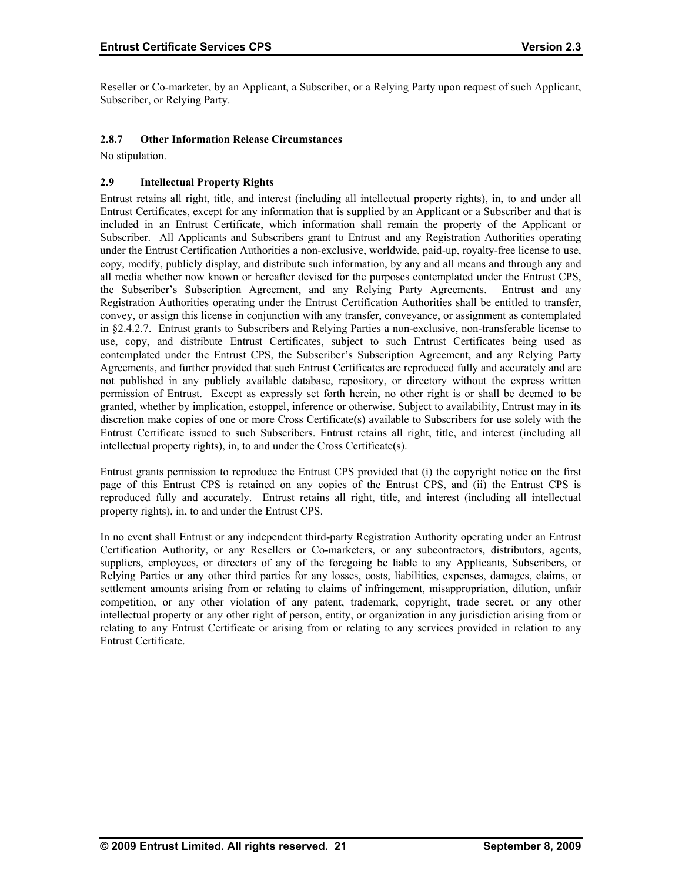Reseller or Co-marketer, by an Applicant, a Subscriber, or a Relying Party upon request of such Applicant, Subscriber, or Relying Party.

## **2.8.7 Other Information Release Circumstances**

No stipulation.

## **2.9 Intellectual Property Rights**

Entrust retains all right, title, and interest (including all intellectual property rights), in, to and under all Entrust Certificates, except for any information that is supplied by an Applicant or a Subscriber and that is included in an Entrust Certificate, which information shall remain the property of the Applicant or Subscriber. All Applicants and Subscribers grant to Entrust and any Registration Authorities operating under the Entrust Certification Authorities a non-exclusive, worldwide, paid-up, royalty-free license to use, copy, modify, publicly display, and distribute such information, by any and all means and through any and all media whether now known or hereafter devised for the purposes contemplated under the Entrust CPS, the Subscriber's Subscription Agreement, and any Relying Party Agreements. Entrust and any Registration Authorities operating under the Entrust Certification Authorities shall be entitled to transfer, convey, or assign this license in conjunction with any transfer, conveyance, or assignment as contemplated in §2.4.2.7. Entrust grants to Subscribers and Relying Parties a non-exclusive, non-transferable license to use, copy, and distribute Entrust Certificates, subject to such Entrust Certificates being used as contemplated under the Entrust CPS, the Subscriber's Subscription Agreement, and any Relying Party Agreements, and further provided that such Entrust Certificates are reproduced fully and accurately and are not published in any publicly available database, repository, or directory without the express written permission of Entrust. Except as expressly set forth herein, no other right is or shall be deemed to be granted, whether by implication, estoppel, inference or otherwise. Subject to availability, Entrust may in its discretion make copies of one or more Cross Certificate(s) available to Subscribers for use solely with the Entrust Certificate issued to such Subscribers. Entrust retains all right, title, and interest (including all intellectual property rights), in, to and under the Cross Certificate(s).

Entrust grants permission to reproduce the Entrust CPS provided that (i) the copyright notice on the first page of this Entrust CPS is retained on any copies of the Entrust CPS, and (ii) the Entrust CPS is reproduced fully and accurately. Entrust retains all right, title, and interest (including all intellectual property rights), in, to and under the Entrust CPS.

In no event shall Entrust or any independent third-party Registration Authority operating under an Entrust Certification Authority, or any Resellers or Co-marketers, or any subcontractors, distributors, agents, suppliers, employees, or directors of any of the foregoing be liable to any Applicants, Subscribers, or Relying Parties or any other third parties for any losses, costs, liabilities, expenses, damages, claims, or settlement amounts arising from or relating to claims of infringement, misappropriation, dilution, unfair competition, or any other violation of any patent, trademark, copyright, trade secret, or any other intellectual property or any other right of person, entity, or organization in any jurisdiction arising from or relating to any Entrust Certificate or arising from or relating to any services provided in relation to any Entrust Certificate.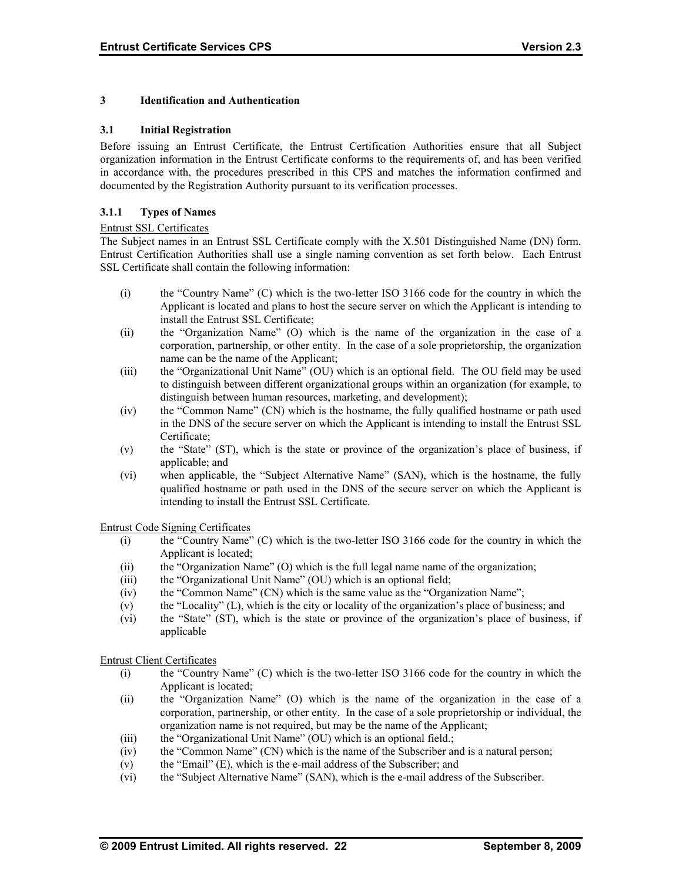## **3 Identification and Authentication**

#### **3.1 Initial Registration**

Before issuing an Entrust Certificate, the Entrust Certification Authorities ensure that all Subject organization information in the Entrust Certificate conforms to the requirements of, and has been verified in accordance with, the procedures prescribed in this CPS and matches the information confirmed and documented by the Registration Authority pursuant to its verification processes.

### **3.1.1 Types of Names**

#### Entrust SSL Certificates

The Subject names in an Entrust SSL Certificate comply with the X.501 Distinguished Name (DN) form. Entrust Certification Authorities shall use a single naming convention as set forth below. Each Entrust SSL Certificate shall contain the following information:

- (i) the "Country Name" (C) which is the two-letter ISO 3166 code for the country in which the Applicant is located and plans to host the secure server on which the Applicant is intending to install the Entrust SSL Certificate;
- (ii) the "Organization Name" (O) which is the name of the organization in the case of a corporation, partnership, or other entity. In the case of a sole proprietorship, the organization name can be the name of the Applicant;
- (iii) the "Organizational Unit Name" (OU) which is an optional field. The OU field may be used to distinguish between different organizational groups within an organization (for example, to distinguish between human resources, marketing, and development);
- (iv) the "Common Name" (CN) which is the hostname, the fully qualified hostname or path used in the DNS of the secure server on which the Applicant is intending to install the Entrust SSL Certificate;
- (v) the "State" (ST), which is the state or province of the organization's place of business, if applicable; and
- (vi) when applicable, the "Subject Alternative Name" (SAN), which is the hostname, the fully qualified hostname or path used in the DNS of the secure server on which the Applicant is intending to install the Entrust SSL Certificate.

Entrust Code Signing Certificates

- (i) the "Country Name" (C) which is the two-letter ISO 3166 code for the country in which the Applicant is located;
- (ii) the "Organization Name" (O) which is the full legal name name of the organization;
- (iii) the "Organizational Unit Name" (OU) which is an optional field;
- (iv) the "Common Name" (CN) which is the same value as the "Organization Name";
- (v) the "Locality" (L), which is the city or locality of the organization's place of business; and
- (vi) the "State" (ST), which is the state or province of the organization's place of business, if applicable

Entrust Client Certificates

- (i) the "Country Name" (C) which is the two-letter ISO 3166 code for the country in which the Applicant is located;
- (ii) the "Organization Name" (O) which is the name of the organization in the case of a corporation, partnership, or other entity. In the case of a sole proprietorship or individual, the organization name is not required, but may be the name of the Applicant;
- (iii) the "Organizational Unit Name" (OU) which is an optional field.;
- (iv) the "Common Name" (CN) which is the name of the Subscriber and is a natural person;
- (v) the "Email" (E), which is the e-mail address of the Subscriber; and
- (vi) the "Subject Alternative Name" (SAN), which is the e-mail address of the Subscriber.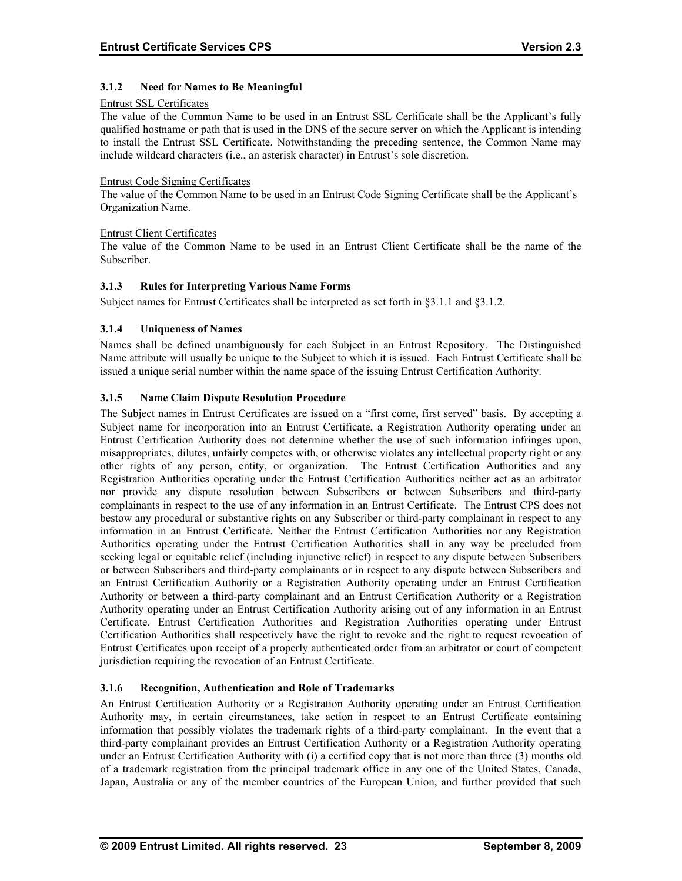## **3.1.2 Need for Names to Be Meaningful**

#### Entrust SSL Certificates

The value of the Common Name to be used in an Entrust SSL Certificate shall be the Applicant's fully qualified hostname or path that is used in the DNS of the secure server on which the Applicant is intending to install the Entrust SSL Certificate. Notwithstanding the preceding sentence, the Common Name may include wildcard characters (i.e., an asterisk character) in Entrust's sole discretion.

#### Entrust Code Signing Certificates

The value of the Common Name to be used in an Entrust Code Signing Certificate shall be the Applicant's Organization Name.

#### Entrust Client Certificates

The value of the Common Name to be used in an Entrust Client Certificate shall be the name of the Subscriber.

#### **3.1.3 Rules for Interpreting Various Name Forms**

Subject names for Entrust Certificates shall be interpreted as set forth in §3.1.1 and §3.1.2.

## **3.1.4 Uniqueness of Names**

Names shall be defined unambiguously for each Subject in an Entrust Repository. The Distinguished Name attribute will usually be unique to the Subject to which it is issued. Each Entrust Certificate shall be issued a unique serial number within the name space of the issuing Entrust Certification Authority.

## **3.1.5 Name Claim Dispute Resolution Procedure**

The Subject names in Entrust Certificates are issued on a "first come, first served" basis. By accepting a Subject name for incorporation into an Entrust Certificate, a Registration Authority operating under an Entrust Certification Authority does not determine whether the use of such information infringes upon, misappropriates, dilutes, unfairly competes with, or otherwise violates any intellectual property right or any other rights of any person, entity, or organization. The Entrust Certification Authorities and any Registration Authorities operating under the Entrust Certification Authorities neither act as an arbitrator nor provide any dispute resolution between Subscribers or between Subscribers and third-party complainants in respect to the use of any information in an Entrust Certificate. The Entrust CPS does not bestow any procedural or substantive rights on any Subscriber or third-party complainant in respect to any information in an Entrust Certificate. Neither the Entrust Certification Authorities nor any Registration Authorities operating under the Entrust Certification Authorities shall in any way be precluded from seeking legal or equitable relief (including injunctive relief) in respect to any dispute between Subscribers or between Subscribers and third-party complainants or in respect to any dispute between Subscribers and an Entrust Certification Authority or a Registration Authority operating under an Entrust Certification Authority or between a third-party complainant and an Entrust Certification Authority or a Registration Authority operating under an Entrust Certification Authority arising out of any information in an Entrust Certificate. Entrust Certification Authorities and Registration Authorities operating under Entrust Certification Authorities shall respectively have the right to revoke and the right to request revocation of Entrust Certificates upon receipt of a properly authenticated order from an arbitrator or court of competent jurisdiction requiring the revocation of an Entrust Certificate.

#### **3.1.6 Recognition, Authentication and Role of Trademarks**

An Entrust Certification Authority or a Registration Authority operating under an Entrust Certification Authority may, in certain circumstances, take action in respect to an Entrust Certificate containing information that possibly violates the trademark rights of a third-party complainant. In the event that a third-party complainant provides an Entrust Certification Authority or a Registration Authority operating under an Entrust Certification Authority with (i) a certified copy that is not more than three (3) months old of a trademark registration from the principal trademark office in any one of the United States, Canada, Japan, Australia or any of the member countries of the European Union, and further provided that such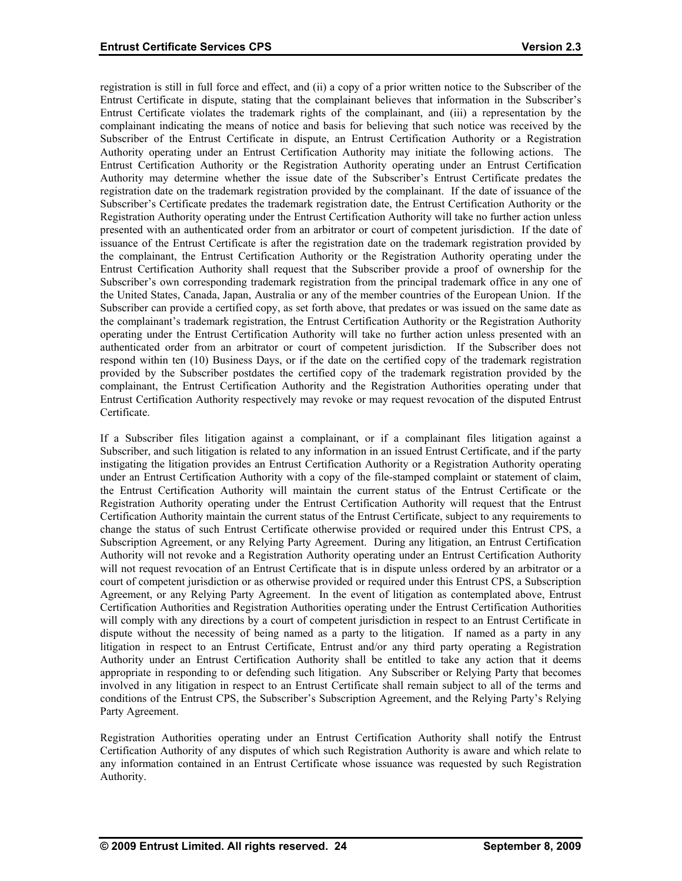registration is still in full force and effect, and (ii) a copy of a prior written notice to the Subscriber of the Entrust Certificate in dispute, stating that the complainant believes that information in the Subscriber's Entrust Certificate violates the trademark rights of the complainant, and (iii) a representation by the complainant indicating the means of notice and basis for believing that such notice was received by the Subscriber of the Entrust Certificate in dispute, an Entrust Certification Authority or a Registration Authority operating under an Entrust Certification Authority may initiate the following actions. The Entrust Certification Authority or the Registration Authority operating under an Entrust Certification Authority may determine whether the issue date of the Subscriber's Entrust Certificate predates the registration date on the trademark registration provided by the complainant. If the date of issuance of the Subscriber's Certificate predates the trademark registration date, the Entrust Certification Authority or the Registration Authority operating under the Entrust Certification Authority will take no further action unless presented with an authenticated order from an arbitrator or court of competent jurisdiction. If the date of issuance of the Entrust Certificate is after the registration date on the trademark registration provided by the complainant, the Entrust Certification Authority or the Registration Authority operating under the Entrust Certification Authority shall request that the Subscriber provide a proof of ownership for the Subscriber's own corresponding trademark registration from the principal trademark office in any one of the United States, Canada, Japan, Australia or any of the member countries of the European Union. If the Subscriber can provide a certified copy, as set forth above, that predates or was issued on the same date as the complainant's trademark registration, the Entrust Certification Authority or the Registration Authority operating under the Entrust Certification Authority will take no further action unless presented with an authenticated order from an arbitrator or court of competent jurisdiction. If the Subscriber does not respond within ten (10) Business Days, or if the date on the certified copy of the trademark registration provided by the Subscriber postdates the certified copy of the trademark registration provided by the complainant, the Entrust Certification Authority and the Registration Authorities operating under that Entrust Certification Authority respectively may revoke or may request revocation of the disputed Entrust Certificate.

If a Subscriber files litigation against a complainant, or if a complainant files litigation against a Subscriber, and such litigation is related to any information in an issued Entrust Certificate, and if the party instigating the litigation provides an Entrust Certification Authority or a Registration Authority operating under an Entrust Certification Authority with a copy of the file-stamped complaint or statement of claim, the Entrust Certification Authority will maintain the current status of the Entrust Certificate or the Registration Authority operating under the Entrust Certification Authority will request that the Entrust Certification Authority maintain the current status of the Entrust Certificate, subject to any requirements to change the status of such Entrust Certificate otherwise provided or required under this Entrust CPS, a Subscription Agreement, or any Relying Party Agreement. During any litigation, an Entrust Certification Authority will not revoke and a Registration Authority operating under an Entrust Certification Authority will not request revocation of an Entrust Certificate that is in dispute unless ordered by an arbitrator or a court of competent jurisdiction or as otherwise provided or required under this Entrust CPS, a Subscription Agreement, or any Relying Party Agreement. In the event of litigation as contemplated above, Entrust Certification Authorities and Registration Authorities operating under the Entrust Certification Authorities will comply with any directions by a court of competent jurisdiction in respect to an Entrust Certificate in dispute without the necessity of being named as a party to the litigation. If named as a party in any litigation in respect to an Entrust Certificate, Entrust and/or any third party operating a Registration Authority under an Entrust Certification Authority shall be entitled to take any action that it deems appropriate in responding to or defending such litigation. Any Subscriber or Relying Party that becomes involved in any litigation in respect to an Entrust Certificate shall remain subject to all of the terms and conditions of the Entrust CPS, the Subscriber's Subscription Agreement, and the Relying Party's Relying Party Agreement.

Registration Authorities operating under an Entrust Certification Authority shall notify the Entrust Certification Authority of any disputes of which such Registration Authority is aware and which relate to any information contained in an Entrust Certificate whose issuance was requested by such Registration Authority.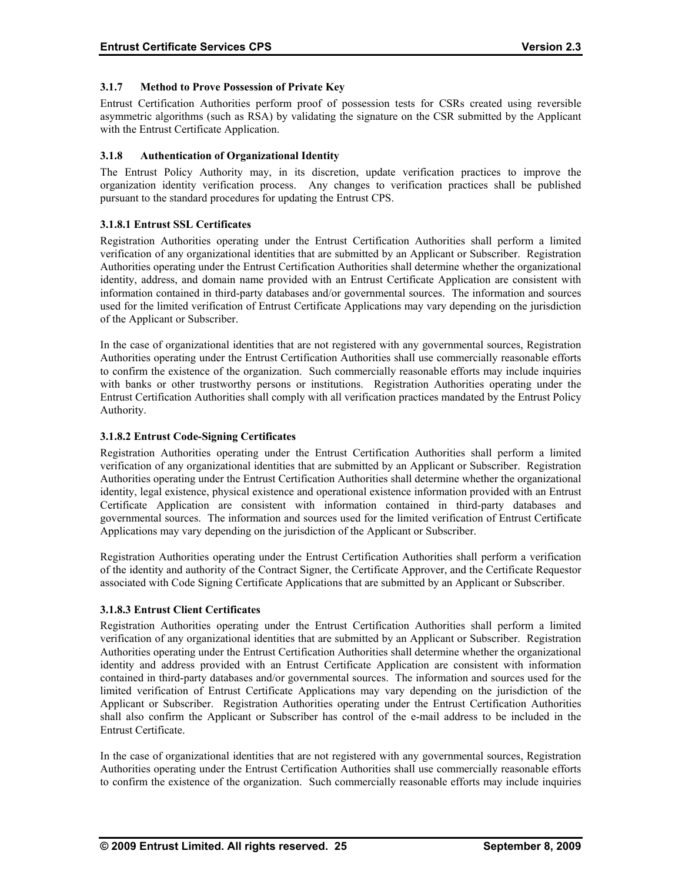## **3.1.7 Method to Prove Possession of Private Key**

Entrust Certification Authorities perform proof of possession tests for CSRs created using reversible asymmetric algorithms (such as RSA) by validating the signature on the CSR submitted by the Applicant with the Entrust Certificate Application.

### **3.1.8 Authentication of Organizational Identity**

The Entrust Policy Authority may, in its discretion, update verification practices to improve the organization identity verification process. Any changes to verification practices shall be published pursuant to the standard procedures for updating the Entrust CPS.

## **3.1.8.1 Entrust SSL Certificates**

Registration Authorities operating under the Entrust Certification Authorities shall perform a limited verification of any organizational identities that are submitted by an Applicant or Subscriber. Registration Authorities operating under the Entrust Certification Authorities shall determine whether the organizational identity, address, and domain name provided with an Entrust Certificate Application are consistent with information contained in third-party databases and/or governmental sources. The information and sources used for the limited verification of Entrust Certificate Applications may vary depending on the jurisdiction of the Applicant or Subscriber.

In the case of organizational identities that are not registered with any governmental sources, Registration Authorities operating under the Entrust Certification Authorities shall use commercially reasonable efforts to confirm the existence of the organization. Such commercially reasonable efforts may include inquiries with banks or other trustworthy persons or institutions. Registration Authorities operating under the Entrust Certification Authorities shall comply with all verification practices mandated by the Entrust Policy Authority.

## **3.1.8.2 Entrust Code-Signing Certificates**

Registration Authorities operating under the Entrust Certification Authorities shall perform a limited verification of any organizational identities that are submitted by an Applicant or Subscriber. Registration Authorities operating under the Entrust Certification Authorities shall determine whether the organizational identity, legal existence, physical existence and operational existence information provided with an Entrust Certificate Application are consistent with information contained in third-party databases and governmental sources. The information and sources used for the limited verification of Entrust Certificate Applications may vary depending on the jurisdiction of the Applicant or Subscriber.

Registration Authorities operating under the Entrust Certification Authorities shall perform a verification of the identity and authority of the Contract Signer, the Certificate Approver, and the Certificate Requestor associated with Code Signing Certificate Applications that are submitted by an Applicant or Subscriber.

#### **3.1.8.3 Entrust Client Certificates**

Registration Authorities operating under the Entrust Certification Authorities shall perform a limited verification of any organizational identities that are submitted by an Applicant or Subscriber. Registration Authorities operating under the Entrust Certification Authorities shall determine whether the organizational identity and address provided with an Entrust Certificate Application are consistent with information contained in third-party databases and/or governmental sources. The information and sources used for the limited verification of Entrust Certificate Applications may vary depending on the jurisdiction of the Applicant or Subscriber. Registration Authorities operating under the Entrust Certification Authorities shall also confirm the Applicant or Subscriber has control of the e-mail address to be included in the Entrust Certificate.

In the case of organizational identities that are not registered with any governmental sources, Registration Authorities operating under the Entrust Certification Authorities shall use commercially reasonable efforts to confirm the existence of the organization. Such commercially reasonable efforts may include inquiries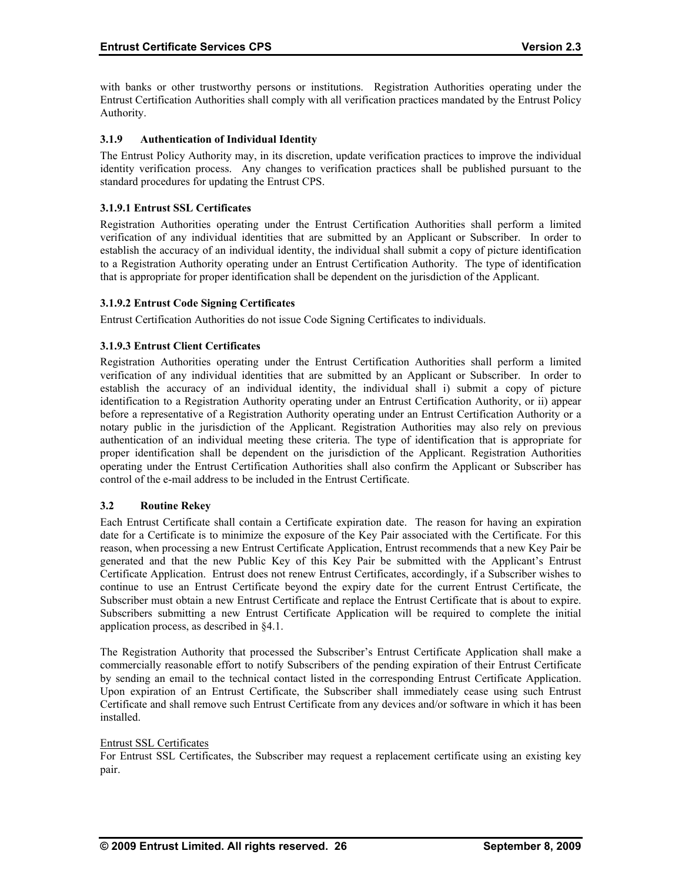with banks or other trustworthy persons or institutions. Registration Authorities operating under the Entrust Certification Authorities shall comply with all verification practices mandated by the Entrust Policy Authority.

### **3.1.9 Authentication of Individual Identity**

The Entrust Policy Authority may, in its discretion, update verification practices to improve the individual identity verification process. Any changes to verification practices shall be published pursuant to the standard procedures for updating the Entrust CPS.

## **3.1.9.1 Entrust SSL Certificates**

Registration Authorities operating under the Entrust Certification Authorities shall perform a limited verification of any individual identities that are submitted by an Applicant or Subscriber. In order to establish the accuracy of an individual identity, the individual shall submit a copy of picture identification to a Registration Authority operating under an Entrust Certification Authority. The type of identification that is appropriate for proper identification shall be dependent on the jurisdiction of the Applicant.

## **3.1.9.2 Entrust Code Signing Certificates**

Entrust Certification Authorities do not issue Code Signing Certificates to individuals.

## **3.1.9.3 Entrust Client Certificates**

Registration Authorities operating under the Entrust Certification Authorities shall perform a limited verification of any individual identities that are submitted by an Applicant or Subscriber. In order to establish the accuracy of an individual identity, the individual shall i) submit a copy of picture identification to a Registration Authority operating under an Entrust Certification Authority, or ii) appear before a representative of a Registration Authority operating under an Entrust Certification Authority or a notary public in the jurisdiction of the Applicant. Registration Authorities may also rely on previous authentication of an individual meeting these criteria. The type of identification that is appropriate for proper identification shall be dependent on the jurisdiction of the Applicant. Registration Authorities operating under the Entrust Certification Authorities shall also confirm the Applicant or Subscriber has control of the e-mail address to be included in the Entrust Certificate.

#### **3.2 Routine Rekey**

Each Entrust Certificate shall contain a Certificate expiration date. The reason for having an expiration date for a Certificate is to minimize the exposure of the Key Pair associated with the Certificate. For this reason, when processing a new Entrust Certificate Application, Entrust recommends that a new Key Pair be generated and that the new Public Key of this Key Pair be submitted with the Applicant's Entrust Certificate Application. Entrust does not renew Entrust Certificates, accordingly, if a Subscriber wishes to continue to use an Entrust Certificate beyond the expiry date for the current Entrust Certificate, the Subscriber must obtain a new Entrust Certificate and replace the Entrust Certificate that is about to expire. Subscribers submitting a new Entrust Certificate Application will be required to complete the initial application process, as described in §4.1.

The Registration Authority that processed the Subscriber's Entrust Certificate Application shall make a commercially reasonable effort to notify Subscribers of the pending expiration of their Entrust Certificate by sending an email to the technical contact listed in the corresponding Entrust Certificate Application. Upon expiration of an Entrust Certificate, the Subscriber shall immediately cease using such Entrust Certificate and shall remove such Entrust Certificate from any devices and/or software in which it has been installed.

#### Entrust SSL Certificates

For Entrust SSL Certificates, the Subscriber may request a replacement certificate using an existing key pair.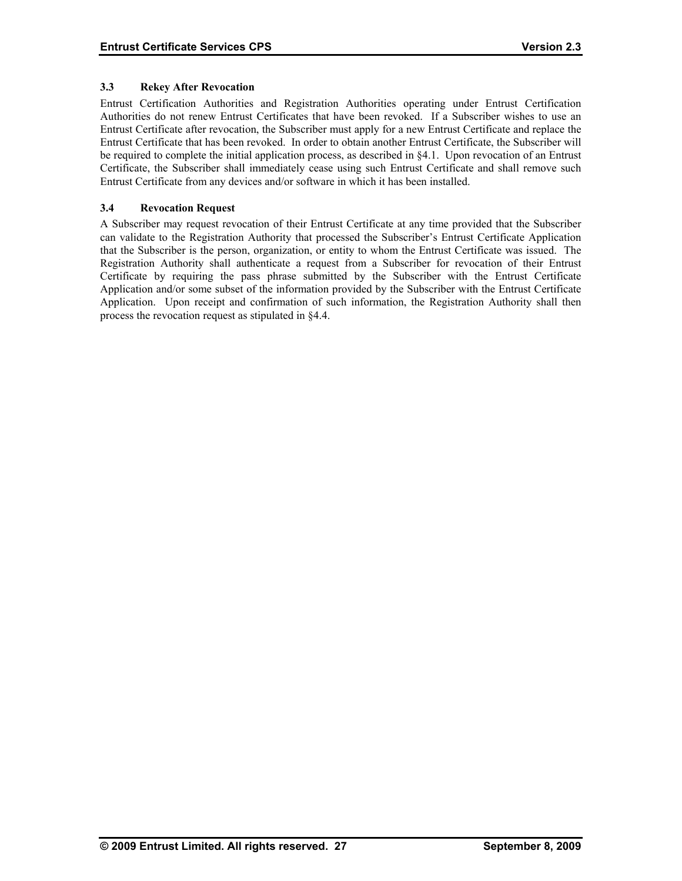## **3.3 Rekey After Revocation**

Entrust Certification Authorities and Registration Authorities operating under Entrust Certification Authorities do not renew Entrust Certificates that have been revoked. If a Subscriber wishes to use an Entrust Certificate after revocation, the Subscriber must apply for a new Entrust Certificate and replace the Entrust Certificate that has been revoked. In order to obtain another Entrust Certificate, the Subscriber will be required to complete the initial application process, as described in §4.1. Upon revocation of an Entrust Certificate, the Subscriber shall immediately cease using such Entrust Certificate and shall remove such Entrust Certificate from any devices and/or software in which it has been installed.

## **3.4 Revocation Request**

A Subscriber may request revocation of their Entrust Certificate at any time provided that the Subscriber can validate to the Registration Authority that processed the Subscriber's Entrust Certificate Application that the Subscriber is the person, organization, or entity to whom the Entrust Certificate was issued. The Registration Authority shall authenticate a request from a Subscriber for revocation of their Entrust Certificate by requiring the pass phrase submitted by the Subscriber with the Entrust Certificate Application and/or some subset of the information provided by the Subscriber with the Entrust Certificate Application. Upon receipt and confirmation of such information, the Registration Authority shall then process the revocation request as stipulated in §4.4.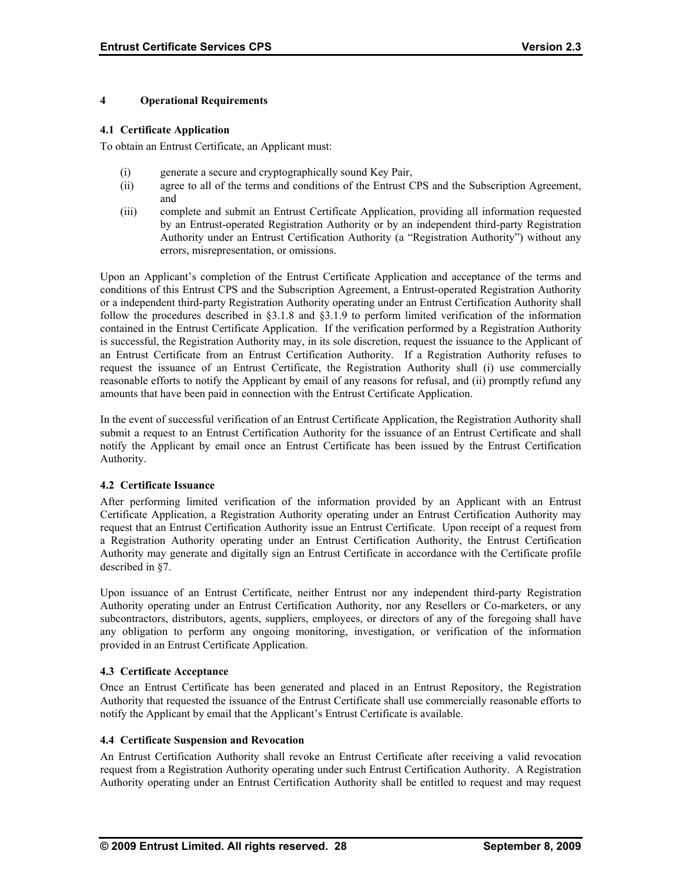#### **4 Operational Requirements**

#### **4.1 Certificate Application**

To obtain an Entrust Certificate, an Applicant must:

- (i) generate a secure and cryptographically sound Key Pair,
- (ii) agree to all of the terms and conditions of the Entrust CPS and the Subscription Agreement, and
- (iii) complete and submit an Entrust Certificate Application, providing all information requested by an Entrust-operated Registration Authority or by an independent third-party Registration Authority under an Entrust Certification Authority (a "Registration Authority") without any errors, misrepresentation, or omissions.

Upon an Applicant's completion of the Entrust Certificate Application and acceptance of the terms and conditions of this Entrust CPS and the Subscription Agreement, a Entrust-operated Registration Authority or a independent third-party Registration Authority operating under an Entrust Certification Authority shall follow the procedures described in §3.1.8 and §3.1.9 to perform limited verification of the information contained in the Entrust Certificate Application. If the verification performed by a Registration Authority is successful, the Registration Authority may, in its sole discretion, request the issuance to the Applicant of an Entrust Certificate from an Entrust Certification Authority. If a Registration Authority refuses to request the issuance of an Entrust Certificate, the Registration Authority shall (i) use commercially reasonable efforts to notify the Applicant by email of any reasons for refusal, and (ii) promptly refund any amounts that have been paid in connection with the Entrust Certificate Application.

In the event of successful verification of an Entrust Certificate Application, the Registration Authority shall submit a request to an Entrust Certification Authority for the issuance of an Entrust Certificate and shall notify the Applicant by email once an Entrust Certificate has been issued by the Entrust Certification Authority.

#### **4.2 Certificate Issuance**

After performing limited verification of the information provided by an Applicant with an Entrust Certificate Application, a Registration Authority operating under an Entrust Certification Authority may request that an Entrust Certification Authority issue an Entrust Certificate. Upon receipt of a request from a Registration Authority operating under an Entrust Certification Authority, the Entrust Certification Authority may generate and digitally sign an Entrust Certificate in accordance with the Certificate profile described in §7.

Upon issuance of an Entrust Certificate, neither Entrust nor any independent third-party Registration Authority operating under an Entrust Certification Authority, nor any Resellers or Co-marketers, or any subcontractors, distributors, agents, suppliers, employees, or directors of any of the foregoing shall have any obligation to perform any ongoing monitoring, investigation, or verification of the information provided in an Entrust Certificate Application.

#### **4.3 Certificate Acceptance**

Once an Entrust Certificate has been generated and placed in an Entrust Repository, the Registration Authority that requested the issuance of the Entrust Certificate shall use commercially reasonable efforts to notify the Applicant by email that the Applicant's Entrust Certificate is available.

#### **4.4 Certificate Suspension and Revocation**

An Entrust Certification Authority shall revoke an Entrust Certificate after receiving a valid revocation request from a Registration Authority operating under such Entrust Certification Authority. A Registration Authority operating under an Entrust Certification Authority shall be entitled to request and may request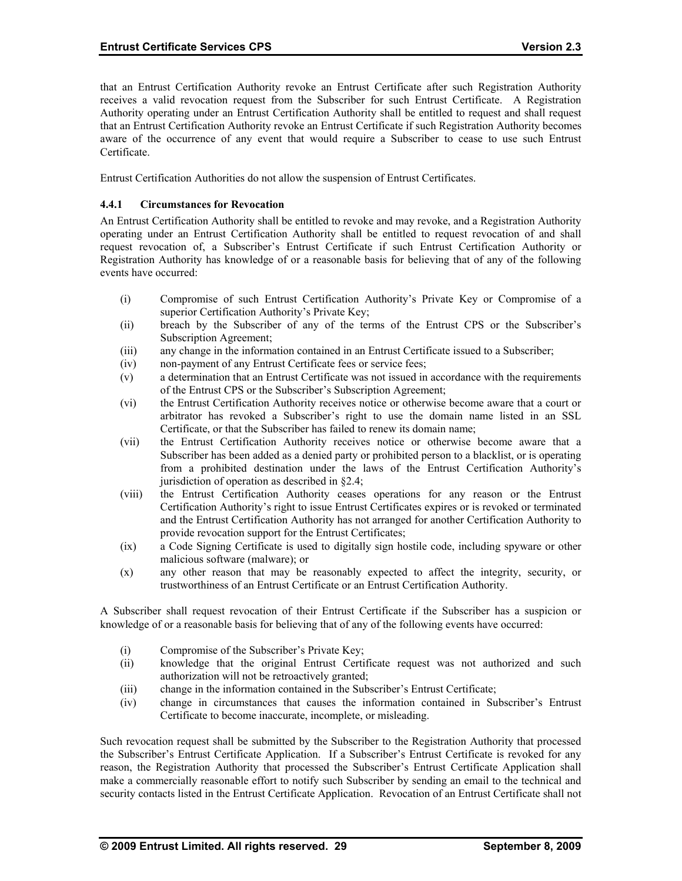that an Entrust Certification Authority revoke an Entrust Certificate after such Registration Authority receives a valid revocation request from the Subscriber for such Entrust Certificate. A Registration Authority operating under an Entrust Certification Authority shall be entitled to request and shall request that an Entrust Certification Authority revoke an Entrust Certificate if such Registration Authority becomes aware of the occurrence of any event that would require a Subscriber to cease to use such Entrust Certificate.

Entrust Certification Authorities do not allow the suspension of Entrust Certificates.

## **4.4.1 Circumstances for Revocation**

An Entrust Certification Authority shall be entitled to revoke and may revoke, and a Registration Authority operating under an Entrust Certification Authority shall be entitled to request revocation of and shall request revocation of, a Subscriber's Entrust Certificate if such Entrust Certification Authority or Registration Authority has knowledge of or a reasonable basis for believing that of any of the following events have occurred:

- (i) Compromise of such Entrust Certification Authority's Private Key or Compromise of a superior Certification Authority's Private Key;
- (ii) breach by the Subscriber of any of the terms of the Entrust CPS or the Subscriber's Subscription Agreement;
- (iii) any change in the information contained in an Entrust Certificate issued to a Subscriber;
- (iv) non-payment of any Entrust Certificate fees or service fees;
- (v) a determination that an Entrust Certificate was not issued in accordance with the requirements of the Entrust CPS or the Subscriber's Subscription Agreement;
- (vi) the Entrust Certification Authority receives notice or otherwise become aware that a court or arbitrator has revoked a Subscriber's right to use the domain name listed in an SSL Certificate, or that the Subscriber has failed to renew its domain name;
- (vii) the Entrust Certification Authority receives notice or otherwise become aware that a Subscriber has been added as a denied party or prohibited person to a blacklist, or is operating from a prohibited destination under the laws of the Entrust Certification Authority's jurisdiction of operation as described in §2.4;
- (viii) the Entrust Certification Authority ceases operations for any reason or the Entrust Certification Authority's right to issue Entrust Certificates expires or is revoked or terminated and the Entrust Certification Authority has not arranged for another Certification Authority to provide revocation support for the Entrust Certificates;
- (ix) a Code Signing Certificate is used to digitally sign hostile code, including spyware or other malicious software (malware); or
- (x) any other reason that may be reasonably expected to affect the integrity, security, or trustworthiness of an Entrust Certificate or an Entrust Certification Authority.

A Subscriber shall request revocation of their Entrust Certificate if the Subscriber has a suspicion or knowledge of or a reasonable basis for believing that of any of the following events have occurred:

- (i) Compromise of the Subscriber's Private Key;
- (ii) knowledge that the original Entrust Certificate request was not authorized and such authorization will not be retroactively granted;
- (iii) change in the information contained in the Subscriber's Entrust Certificate;
- (iv) change in circumstances that causes the information contained in Subscriber's Entrust Certificate to become inaccurate, incomplete, or misleading.

Such revocation request shall be submitted by the Subscriber to the Registration Authority that processed the Subscriber's Entrust Certificate Application. If a Subscriber's Entrust Certificate is revoked for any reason, the Registration Authority that processed the Subscriber's Entrust Certificate Application shall make a commercially reasonable effort to notify such Subscriber by sending an email to the technical and security contacts listed in the Entrust Certificate Application. Revocation of an Entrust Certificate shall not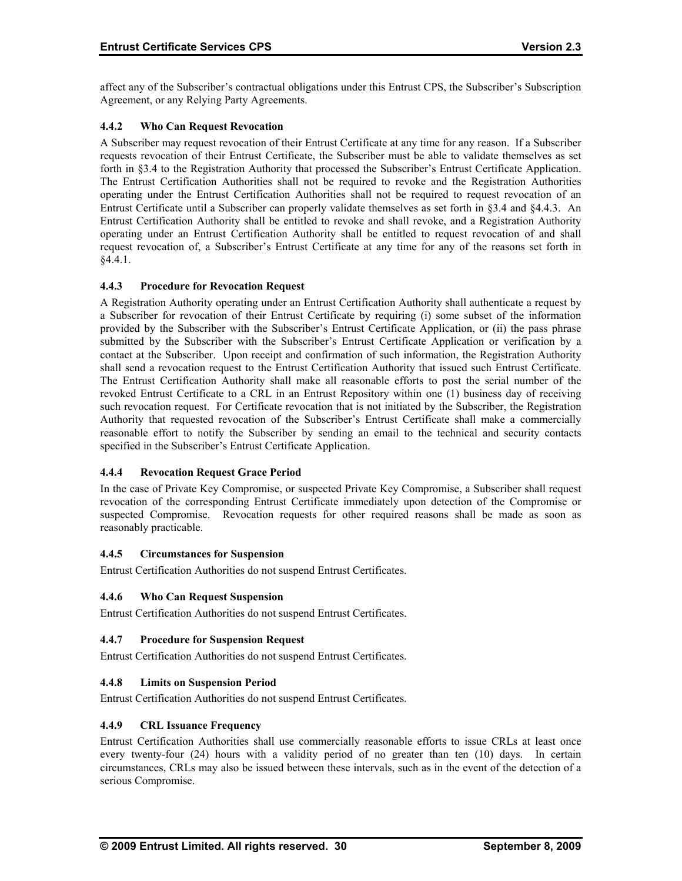affect any of the Subscriber's contractual obligations under this Entrust CPS, the Subscriber's Subscription Agreement, or any Relying Party Agreements.

## **4.4.2 Who Can Request Revocation**

A Subscriber may request revocation of their Entrust Certificate at any time for any reason. If a Subscriber requests revocation of their Entrust Certificate, the Subscriber must be able to validate themselves as set forth in §3.4 to the Registration Authority that processed the Subscriber's Entrust Certificate Application. The Entrust Certification Authorities shall not be required to revoke and the Registration Authorities operating under the Entrust Certification Authorities shall not be required to request revocation of an Entrust Certificate until a Subscriber can properly validate themselves as set forth in §3.4 and §4.4.3. An Entrust Certification Authority shall be entitled to revoke and shall revoke, and a Registration Authority operating under an Entrust Certification Authority shall be entitled to request revocation of and shall request revocation of, a Subscriber's Entrust Certificate at any time for any of the reasons set forth in §4.4.1.

## **4.4.3 Procedure for Revocation Request**

A Registration Authority operating under an Entrust Certification Authority shall authenticate a request by a Subscriber for revocation of their Entrust Certificate by requiring (i) some subset of the information provided by the Subscriber with the Subscriber's Entrust Certificate Application, or (ii) the pass phrase submitted by the Subscriber with the Subscriber's Entrust Certificate Application or verification by a contact at the Subscriber. Upon receipt and confirmation of such information, the Registration Authority shall send a revocation request to the Entrust Certification Authority that issued such Entrust Certificate. The Entrust Certification Authority shall make all reasonable efforts to post the serial number of the revoked Entrust Certificate to a CRL in an Entrust Repository within one (1) business day of receiving such revocation request. For Certificate revocation that is not initiated by the Subscriber, the Registration Authority that requested revocation of the Subscriber's Entrust Certificate shall make a commercially reasonable effort to notify the Subscriber by sending an email to the technical and security contacts specified in the Subscriber's Entrust Certificate Application.

## **4.4.4 Revocation Request Grace Period**

In the case of Private Key Compromise, or suspected Private Key Compromise, a Subscriber shall request revocation of the corresponding Entrust Certificate immediately upon detection of the Compromise or suspected Compromise. Revocation requests for other required reasons shall be made as soon as reasonably practicable.

#### **4.4.5 Circumstances for Suspension**

Entrust Certification Authorities do not suspend Entrust Certificates.

#### **4.4.6 Who Can Request Suspension**

Entrust Certification Authorities do not suspend Entrust Certificates.

#### **4.4.7 Procedure for Suspension Request**

Entrust Certification Authorities do not suspend Entrust Certificates.

## **4.4.8 Limits on Suspension Period**

Entrust Certification Authorities do not suspend Entrust Certificates.

#### **4.4.9 CRL Issuance Frequency**

Entrust Certification Authorities shall use commercially reasonable efforts to issue CRLs at least once every twenty-four (24) hours with a validity period of no greater than ten (10) days. In certain circumstances, CRLs may also be issued between these intervals, such as in the event of the detection of a serious Compromise.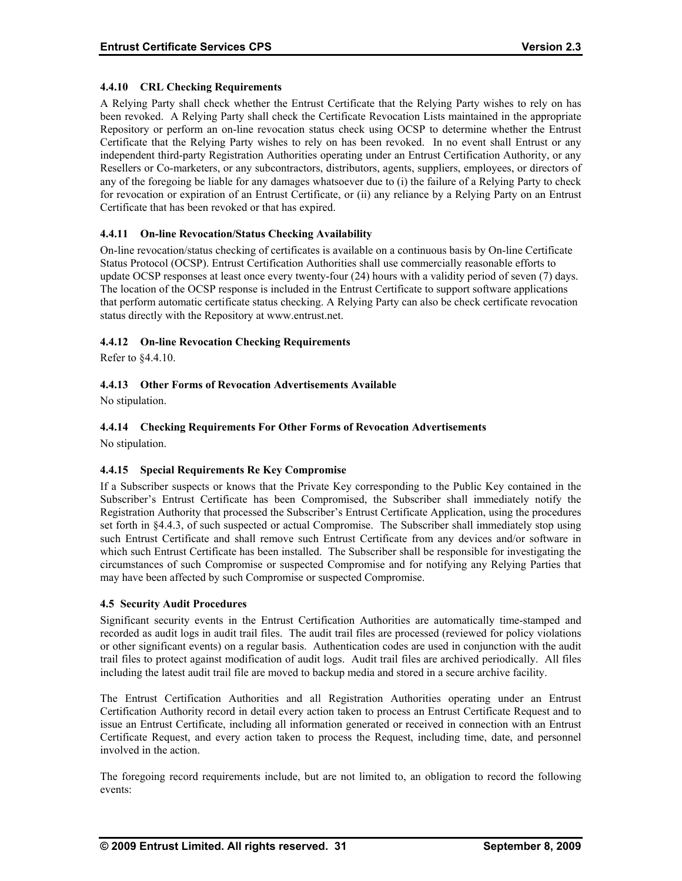## **4.4.10 CRL Checking Requirements**

A Relying Party shall check whether the Entrust Certificate that the Relying Party wishes to rely on has been revoked. A Relying Party shall check the Certificate Revocation Lists maintained in the appropriate Repository or perform an on-line revocation status check using OCSP to determine whether the Entrust Certificate that the Relying Party wishes to rely on has been revoked. In no event shall Entrust or any independent third-party Registration Authorities operating under an Entrust Certification Authority, or any Resellers or Co-marketers, or any subcontractors, distributors, agents, suppliers, employees, or directors of any of the foregoing be liable for any damages whatsoever due to (i) the failure of a Relying Party to check for revocation or expiration of an Entrust Certificate, or (ii) any reliance by a Relying Party on an Entrust Certificate that has been revoked or that has expired.

## **4.4.11 On-line Revocation/Status Checking Availability**

On-line revocation/status checking of certificates is available on a continuous basis by On-line Certificate Status Protocol (OCSP). Entrust Certification Authorities shall use commercially reasonable efforts to update OCSP responses at least once every twenty-four (24) hours with a validity period of seven (7) days. The location of the OCSP response is included in the Entrust Certificate to support software applications that perform automatic certificate status checking. A Relying Party can also be check certificate revocation status directly with the Repository at www.entrust.net.

## **4.4.12 On-line Revocation Checking Requirements**

Refer to §4.4.10.

## **4.4.13 Other Forms of Revocation Advertisements Available**

No stipulation.

## **4.4.14 Checking Requirements For Other Forms of Revocation Advertisements**

No stipulation.

#### **4.4.15 Special Requirements Re Key Compromise**

If a Subscriber suspects or knows that the Private Key corresponding to the Public Key contained in the Subscriber's Entrust Certificate has been Compromised, the Subscriber shall immediately notify the Registration Authority that processed the Subscriber's Entrust Certificate Application, using the procedures set forth in §4.4.3, of such suspected or actual Compromise. The Subscriber shall immediately stop using such Entrust Certificate and shall remove such Entrust Certificate from any devices and/or software in which such Entrust Certificate has been installed. The Subscriber shall be responsible for investigating the circumstances of such Compromise or suspected Compromise and for notifying any Relying Parties that may have been affected by such Compromise or suspected Compromise.

#### **4.5 Security Audit Procedures**

Significant security events in the Entrust Certification Authorities are automatically time-stamped and recorded as audit logs in audit trail files. The audit trail files are processed (reviewed for policy violations or other significant events) on a regular basis. Authentication codes are used in conjunction with the audit trail files to protect against modification of audit logs. Audit trail files are archived periodically. All files including the latest audit trail file are moved to backup media and stored in a secure archive facility.

The Entrust Certification Authorities and all Registration Authorities operating under an Entrust Certification Authority record in detail every action taken to process an Entrust Certificate Request and to issue an Entrust Certificate, including all information generated or received in connection with an Entrust Certificate Request, and every action taken to process the Request, including time, date, and personnel involved in the action.

The foregoing record requirements include, but are not limited to, an obligation to record the following events: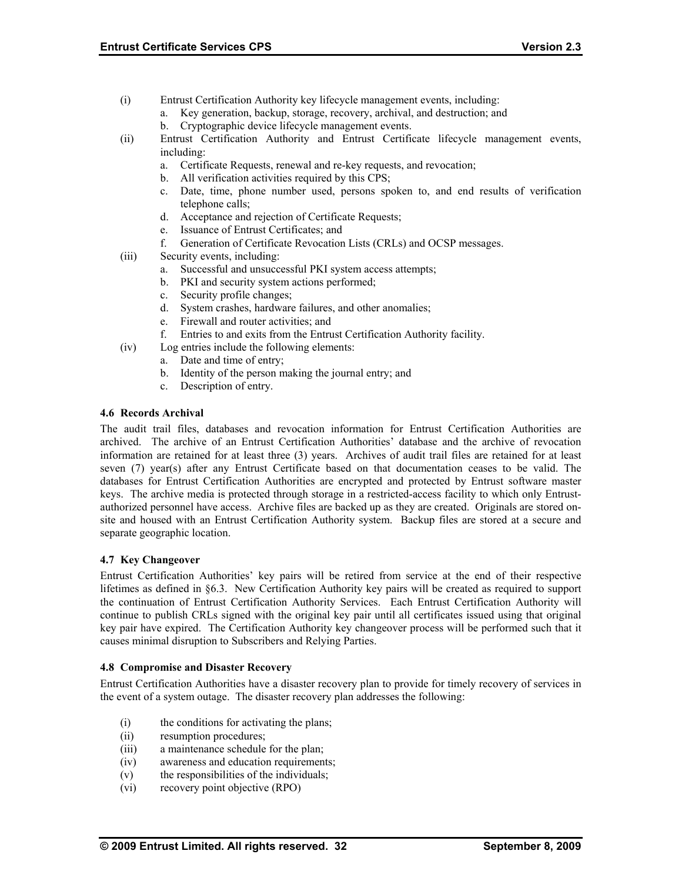- (i) Entrust Certification Authority key lifecycle management events, including:
	- a. Key generation, backup, storage, recovery, archival, and destruction; and
	- b. Cryptographic device lifecycle management events.
- (ii) Entrust Certification Authority and Entrust Certificate lifecycle management events, including:
	- a. Certificate Requests, renewal and re-key requests, and revocation;
	- b. All verification activities required by this CPS;
	- c. Date, time, phone number used, persons spoken to, and end results of verification telephone calls;
	- d. Acceptance and rejection of Certificate Requests;
	- e. Issuance of Entrust Certificates; and
	- f. Generation of Certificate Revocation Lists (CRLs) and OCSP messages.
- (iii) Security events, including:
	- a. Successful and unsuccessful PKI system access attempts;
	- b. PKI and security system actions performed;
	- c. Security profile changes;
	- d. System crashes, hardware failures, and other anomalies;
	- e. Firewall and router activities; and
	- f. Entries to and exits from the Entrust Certification Authority facility.
- (iv) Log entries include the following elements:
	- a. Date and time of entry;
		- b. Identity of the person making the journal entry; and
		- c. Description of entry.

#### **4.6 Records Archival**

The audit trail files, databases and revocation information for Entrust Certification Authorities are archived. The archive of an Entrust Certification Authorities' database and the archive of revocation information are retained for at least three (3) years. Archives of audit trail files are retained for at least seven (7) year(s) after any Entrust Certificate based on that documentation ceases to be valid. The databases for Entrust Certification Authorities are encrypted and protected by Entrust software master keys. The archive media is protected through storage in a restricted-access facility to which only Entrustauthorized personnel have access. Archive files are backed up as they are created. Originals are stored onsite and housed with an Entrust Certification Authority system. Backup files are stored at a secure and separate geographic location.

#### **4.7 Key Changeover**

Entrust Certification Authorities' key pairs will be retired from service at the end of their respective lifetimes as defined in §6.3. New Certification Authority key pairs will be created as required to support the continuation of Entrust Certification Authority Services. Each Entrust Certification Authority will continue to publish CRLs signed with the original key pair until all certificates issued using that original key pair have expired. The Certification Authority key changeover process will be performed such that it causes minimal disruption to Subscribers and Relying Parties.

#### **4.8 Compromise and Disaster Recovery**

Entrust Certification Authorities have a disaster recovery plan to provide for timely recovery of services in the event of a system outage. The disaster recovery plan addresses the following:

- (i) the conditions for activating the plans;
- (ii) resumption procedures;
- (iii) a maintenance schedule for the plan;
- (iv) awareness and education requirements;
- (v) the responsibilities of the individuals;
- (vi) recovery point objective (RPO)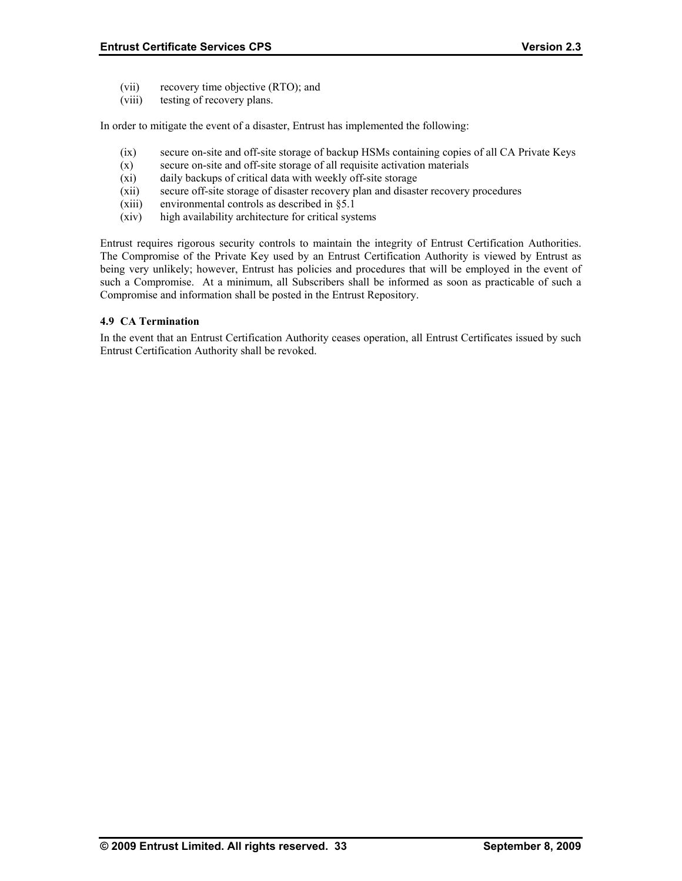- (vii) recovery time objective (RTO); and
- (viii) testing of recovery plans.

In order to mitigate the event of a disaster, Entrust has implemented the following:

- (ix) secure on-site and off-site storage of backup HSMs containing copies of all CA Private Keys
- (x) secure on-site and off-site storage of all requisite activation materials
- (xi) daily backups of critical data with weekly off-site storage
- (xii) secure off-site storage of disaster recovery plan and disaster recovery procedures
- (xiii) environmental controls as described in §5.1
- (xiv) high availability architecture for critical systems

Entrust requires rigorous security controls to maintain the integrity of Entrust Certification Authorities. The Compromise of the Private Key used by an Entrust Certification Authority is viewed by Entrust as being very unlikely; however, Entrust has policies and procedures that will be employed in the event of such a Compromise. At a minimum, all Subscribers shall be informed as soon as practicable of such a Compromise and information shall be posted in the Entrust Repository.

#### **4.9 CA Termination**

In the event that an Entrust Certification Authority ceases operation, all Entrust Certificates issued by such Entrust Certification Authority shall be revoked.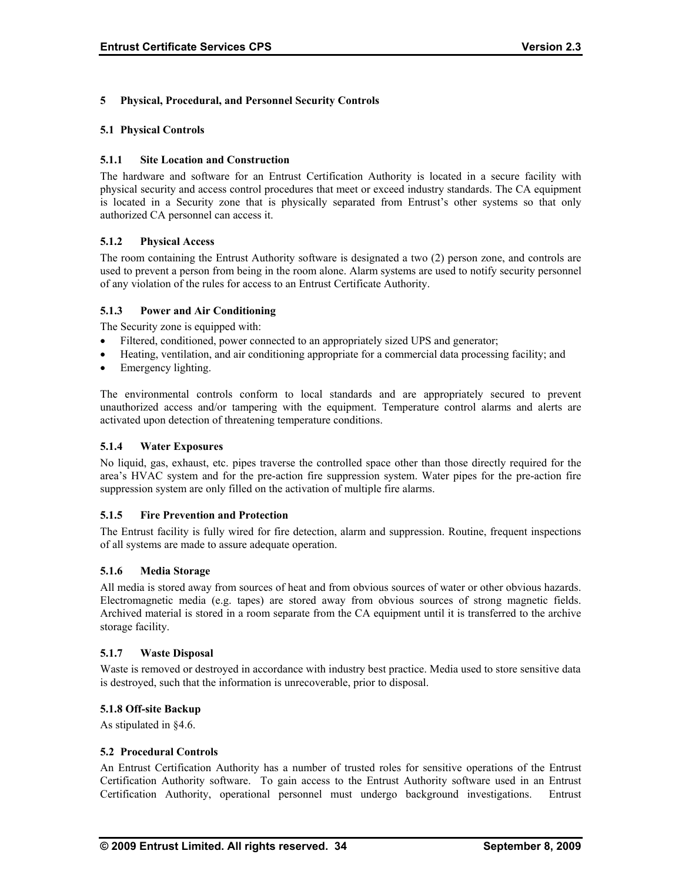#### **5 Physical, Procedural, and Personnel Security Controls**

#### **5.1 Physical Controls**

#### **5.1.1 Site Location and Construction**

The hardware and software for an Entrust Certification Authority is located in a secure facility with physical security and access control procedures that meet or exceed industry standards. The CA equipment is located in a Security zone that is physically separated from Entrust's other systems so that only authorized CA personnel can access it.

#### **5.1.2 Physical Access**

The room containing the Entrust Authority software is designated a two (2) person zone, and controls are used to prevent a person from being in the room alone. Alarm systems are used to notify security personnel of any violation of the rules for access to an Entrust Certificate Authority.

#### **5.1.3 Power and Air Conditioning**

The Security zone is equipped with:

- Filtered, conditioned, power connected to an appropriately sized UPS and generator;
- Heating, ventilation, and air conditioning appropriate for a commercial data processing facility; and
- Emergency lighting.

The environmental controls conform to local standards and are appropriately secured to prevent unauthorized access and/or tampering with the equipment. Temperature control alarms and alerts are activated upon detection of threatening temperature conditions.

#### **5.1.4 Water Exposures**

No liquid, gas, exhaust, etc. pipes traverse the controlled space other than those directly required for the area's HVAC system and for the pre-action fire suppression system. Water pipes for the pre-action fire suppression system are only filled on the activation of multiple fire alarms.

#### **5.1.5 Fire Prevention and Protection**

The Entrust facility is fully wired for fire detection, alarm and suppression. Routine, frequent inspections of all systems are made to assure adequate operation.

#### **5.1.6 Media Storage**

All media is stored away from sources of heat and from obvious sources of water or other obvious hazards. Electromagnetic media (e.g. tapes) are stored away from obvious sources of strong magnetic fields. Archived material is stored in a room separate from the CA equipment until it is transferred to the archive storage facility.

#### **5.1.7 Waste Disposal**

Waste is removed or destroyed in accordance with industry best practice. Media used to store sensitive data is destroyed, such that the information is unrecoverable, prior to disposal.

#### **5.1.8 Off-site Backup**

As stipulated in §4.6.

#### **5.2 Procedural Controls**

An Entrust Certification Authority has a number of trusted roles for sensitive operations of the Entrust Certification Authority software. To gain access to the Entrust Authority software used in an Entrust Certification Authority, operational personnel must undergo background investigations. Entrust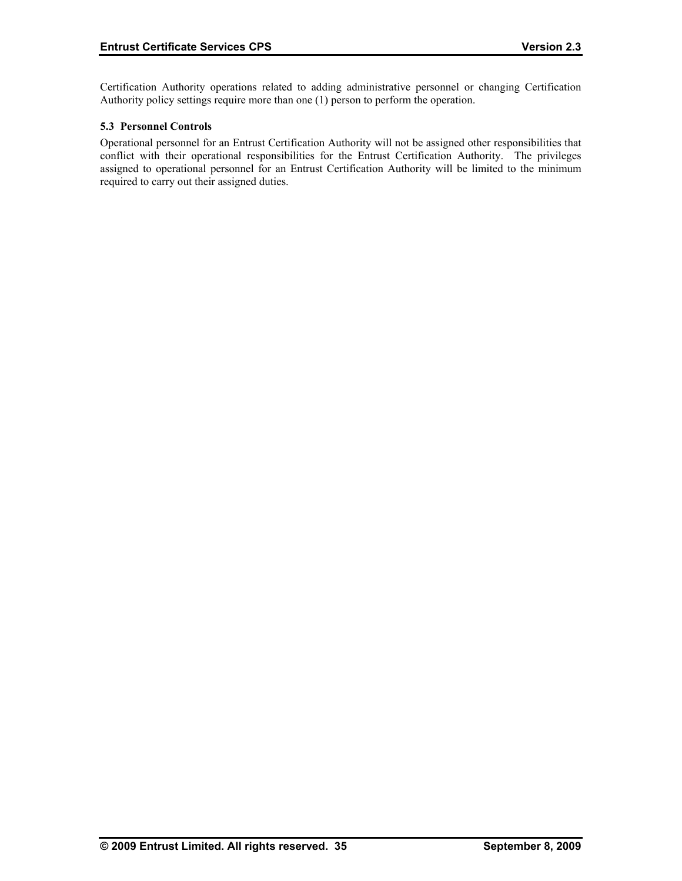Certification Authority operations related to adding administrative personnel or changing Certification Authority policy settings require more than one (1) person to perform the operation.

## **5.3 Personnel Controls**

Operational personnel for an Entrust Certification Authority will not be assigned other responsibilities that conflict with their operational responsibilities for the Entrust Certification Authority. The privileges assigned to operational personnel for an Entrust Certification Authority will be limited to the minimum required to carry out their assigned duties.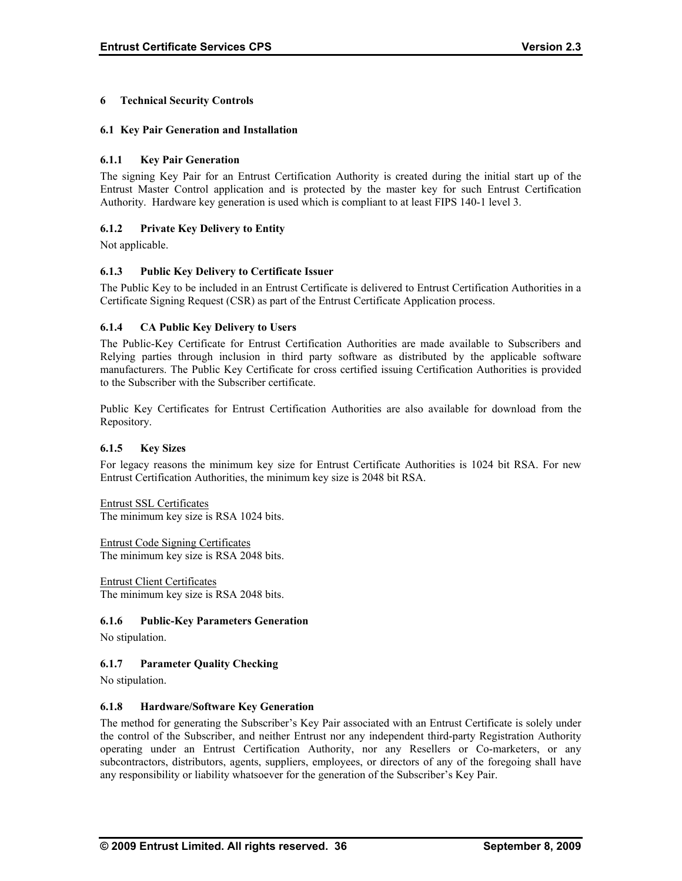## **6 Technical Security Controls**

#### **6.1 Key Pair Generation and Installation**

## **6.1.1 Key Pair Generation**

The signing Key Pair for an Entrust Certification Authority is created during the initial start up of the Entrust Master Control application and is protected by the master key for such Entrust Certification Authority. Hardware key generation is used which is compliant to at least FIPS 140-1 level 3.

## **6.1.2 Private Key Delivery to Entity**

Not applicable.

## **6.1.3 Public Key Delivery to Certificate Issuer**

The Public Key to be included in an Entrust Certificate is delivered to Entrust Certification Authorities in a Certificate Signing Request (CSR) as part of the Entrust Certificate Application process.

## **6.1.4 CA Public Key Delivery to Users**

The Public-Key Certificate for Entrust Certification Authorities are made available to Subscribers and Relying parties through inclusion in third party software as distributed by the applicable software manufacturers. The Public Key Certificate for cross certified issuing Certification Authorities is provided to the Subscriber with the Subscriber certificate.

Public Key Certificates for Entrust Certification Authorities are also available for download from the Repository.

#### **6.1.5 Key Sizes**

For legacy reasons the minimum key size for Entrust Certificate Authorities is 1024 bit RSA. For new Entrust Certification Authorities, the minimum key size is 2048 bit RSA.

Entrust SSL Certificates The minimum key size is RSA 1024 bits.

Entrust Code Signing Certificates The minimum key size is RSA 2048 bits.

Entrust Client Certificates The minimum key size is RSA 2048 bits.

## **6.1.6 Public-Key Parameters Generation**

No stipulation.

## **6.1.7 Parameter Quality Checking**

No stipulation.

#### **6.1.8 Hardware/Software Key Generation**

The method for generating the Subscriber's Key Pair associated with an Entrust Certificate is solely under the control of the Subscriber, and neither Entrust nor any independent third-party Registration Authority operating under an Entrust Certification Authority, nor any Resellers or Co-marketers, or any subcontractors, distributors, agents, suppliers, employees, or directors of any of the foregoing shall have any responsibility or liability whatsoever for the generation of the Subscriber's Key Pair.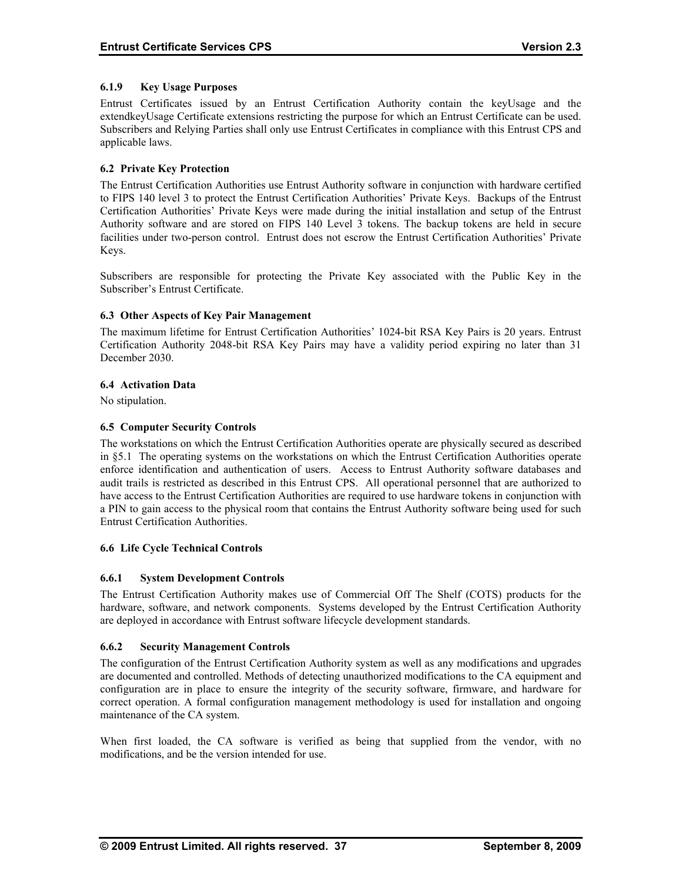## **6.1.9 Key Usage Purposes**

Entrust Certificates issued by an Entrust Certification Authority contain the keyUsage and the extendkeyUsage Certificate extensions restricting the purpose for which an Entrust Certificate can be used. Subscribers and Relying Parties shall only use Entrust Certificates in compliance with this Entrust CPS and applicable laws.

## **6.2 Private Key Protection**

The Entrust Certification Authorities use Entrust Authority software in conjunction with hardware certified to FIPS 140 level 3 to protect the Entrust Certification Authorities' Private Keys. Backups of the Entrust Certification Authorities' Private Keys were made during the initial installation and setup of the Entrust Authority software and are stored on FIPS 140 Level 3 tokens. The backup tokens are held in secure facilities under two-person control. Entrust does not escrow the Entrust Certification Authorities' Private Keys.

Subscribers are responsible for protecting the Private Key associated with the Public Key in the Subscriber's Entrust Certificate.

## **6.3 Other Aspects of Key Pair Management**

The maximum lifetime for Entrust Certification Authorities' 1024-bit RSA Key Pairs is 20 years. Entrust Certification Authority 2048-bit RSA Key Pairs may have a validity period expiring no later than 31 December 2030.

#### **6.4 Activation Data**

No stipulation.

## **6.5 Computer Security Controls**

The workstations on which the Entrust Certification Authorities operate are physically secured as described in §5.1 The operating systems on the workstations on which the Entrust Certification Authorities operate enforce identification and authentication of users. Access to Entrust Authority software databases and audit trails is restricted as described in this Entrust CPS. All operational personnel that are authorized to have access to the Entrust Certification Authorities are required to use hardware tokens in conjunction with a PIN to gain access to the physical room that contains the Entrust Authority software being used for such Entrust Certification Authorities.

#### **6.6 Life Cycle Technical Controls**

## **6.6.1 System Development Controls**

The Entrust Certification Authority makes use of Commercial Off The Shelf (COTS) products for the hardware, software, and network components. Systems developed by the Entrust Certification Authority are deployed in accordance with Entrust software lifecycle development standards.

#### **6.6.2 Security Management Controls**

The configuration of the Entrust Certification Authority system as well as any modifications and upgrades are documented and controlled. Methods of detecting unauthorized modifications to the CA equipment and configuration are in place to ensure the integrity of the security software, firmware, and hardware for correct operation. A formal configuration management methodology is used for installation and ongoing maintenance of the CA system.

When first loaded, the CA software is verified as being that supplied from the vendor, with no modifications, and be the version intended for use.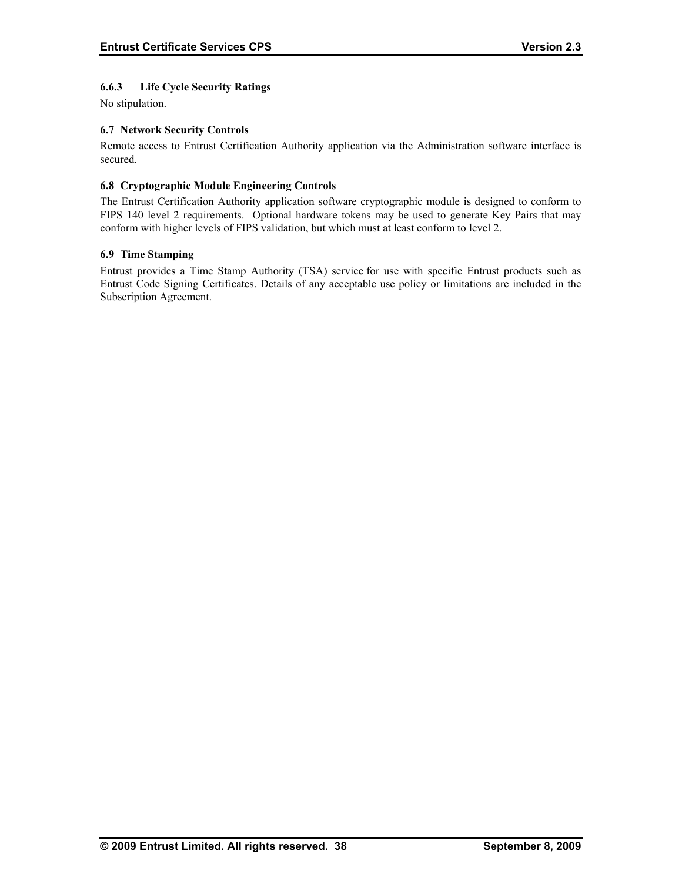## **6.6.3 Life Cycle Security Ratings**

No stipulation.

## **6.7 Network Security Controls**

Remote access to Entrust Certification Authority application via the Administration software interface is secured.

## **6.8 Cryptographic Module Engineering Controls**

The Entrust Certification Authority application software cryptographic module is designed to conform to FIPS 140 level 2 requirements. Optional hardware tokens may be used to generate Key Pairs that may conform with higher levels of FIPS validation, but which must at least conform to level 2.

## **6.9 Time Stamping**

Entrust provides a Time Stamp Authority (TSA) service for use with specific Entrust products such as Entrust Code Signing Certificates. Details of any acceptable use policy or limitations are included in the Subscription Agreement.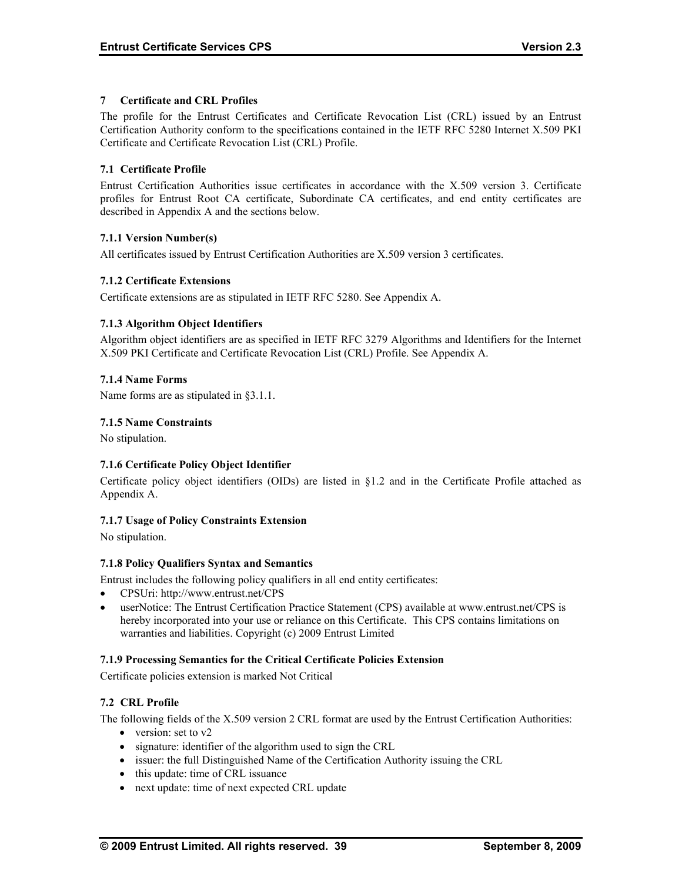## **7 Certificate and CRL Profiles**

The profile for the Entrust Certificates and Certificate Revocation List (CRL) issued by an Entrust Certification Authority conform to the specifications contained in the IETF RFC 5280 Internet X.509 PKI Certificate and Certificate Revocation List (CRL) Profile.

## **7.1 Certificate Profile**

Entrust Certification Authorities issue certificates in accordance with the X.509 version 3. Certificate profiles for Entrust Root CA certificate, Subordinate CA certificates, and end entity certificates are described in Appendix A and the sections below.

## **7.1.1 Version Number(s)**

All certificates issued by Entrust Certification Authorities are X.509 version 3 certificates.

## **7.1.2 Certificate Extensions**

Certificate extensions are as stipulated in IETF RFC 5280. See Appendix A.

## **7.1.3 Algorithm Object Identifiers**

Algorithm object identifiers are as specified in IETF RFC 3279 Algorithms and Identifiers for the Internet X.509 PKI Certificate and Certificate Revocation List (CRL) Profile. See Appendix A.

## **7.1.4 Name Forms**

Name forms are as stipulated in §3.1.1.

## **7.1.5 Name Constraints**

No stipulation.

## **7.1.6 Certificate Policy Object Identifier**

Certificate policy object identifiers (OIDs) are listed in §1.2 and in the Certificate Profile attached as Appendix A.

#### **7.1.7 Usage of Policy Constraints Extension**

No stipulation.

#### **7.1.8 Policy Qualifiers Syntax and Semantics**

Entrust includes the following policy qualifiers in all end entity certificates:

- CPSUri: http://www.entrust.net/CPS
- userNotice: The Entrust Certification Practice Statement (CPS) available at www.entrust.net/CPS is hereby incorporated into your use or reliance on this Certificate. This CPS contains limitations on warranties and liabilities. Copyright (c) 2009 Entrust Limited

#### **7.1.9 Processing Semantics for the Critical Certificate Policies Extension**

Certificate policies extension is marked Not Critical

## **7.2 CRL Profile**

The following fields of the X.509 version 2 CRL format are used by the Entrust Certification Authorities:

- version: set to v2
- signature: identifier of the algorithm used to sign the CRL
- issuer: the full Distinguished Name of the Certification Authority issuing the CRL
- this update: time of CRL issuance
- next update: time of next expected CRL update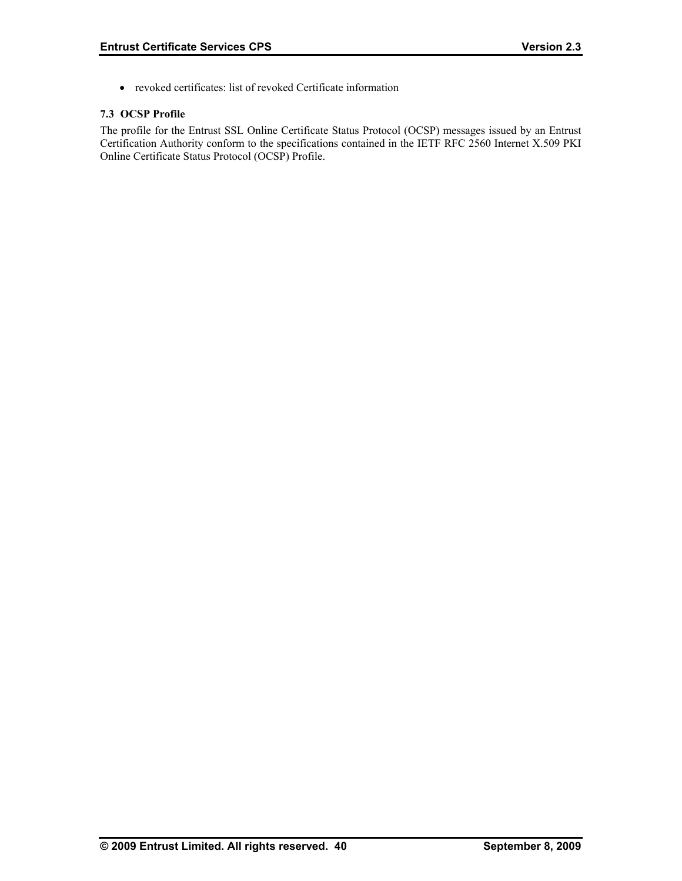• revoked certificates: list of revoked Certificate information

## **7.3 OCSP Profile**

The profile for the Entrust SSL Online Certificate Status Protocol (OCSP) messages issued by an Entrust Certification Authority conform to the specifications contained in the IETF RFC 2560 Internet X.509 PKI Online Certificate Status Protocol (OCSP) Profile.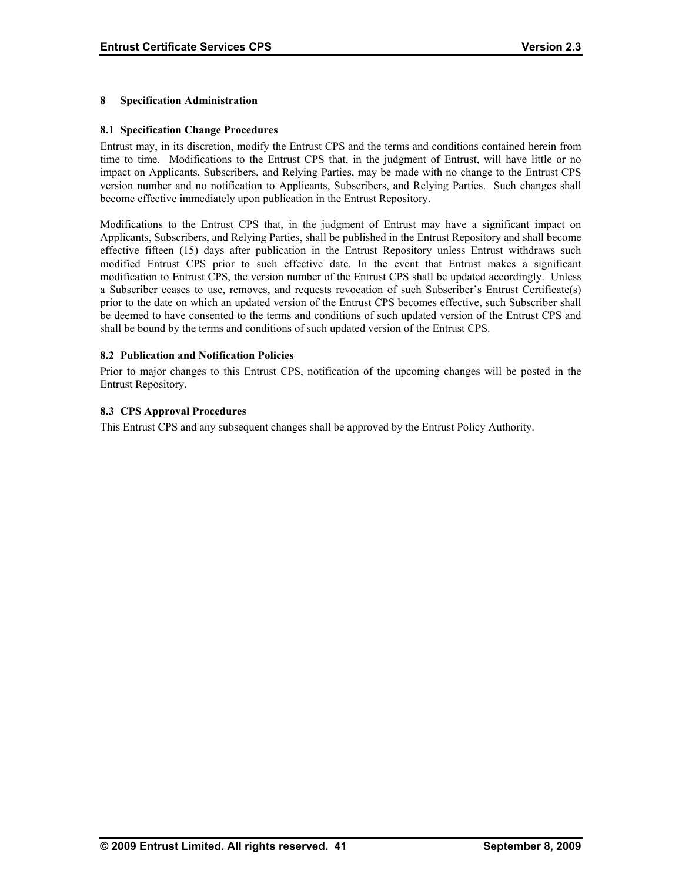## **8 Specification Administration**

### **8.1 Specification Change Procedures**

Entrust may, in its discretion, modify the Entrust CPS and the terms and conditions contained herein from time to time. Modifications to the Entrust CPS that, in the judgment of Entrust, will have little or no impact on Applicants, Subscribers, and Relying Parties, may be made with no change to the Entrust CPS version number and no notification to Applicants, Subscribers, and Relying Parties. Such changes shall become effective immediately upon publication in the Entrust Repository.

Modifications to the Entrust CPS that, in the judgment of Entrust may have a significant impact on Applicants, Subscribers, and Relying Parties, shall be published in the Entrust Repository and shall become effective fifteen (15) days after publication in the Entrust Repository unless Entrust withdraws such modified Entrust CPS prior to such effective date. In the event that Entrust makes a significant modification to Entrust CPS, the version number of the Entrust CPS shall be updated accordingly. Unless a Subscriber ceases to use, removes, and requests revocation of such Subscriber's Entrust Certificate(s) prior to the date on which an updated version of the Entrust CPS becomes effective, such Subscriber shall be deemed to have consented to the terms and conditions of such updated version of the Entrust CPS and shall be bound by the terms and conditions of such updated version of the Entrust CPS.

## **8.2 Publication and Notification Policies**

Prior to major changes to this Entrust CPS, notification of the upcoming changes will be posted in the Entrust Repository.

## **8.3 CPS Approval Procedures**

This Entrust CPS and any subsequent changes shall be approved by the Entrust Policy Authority.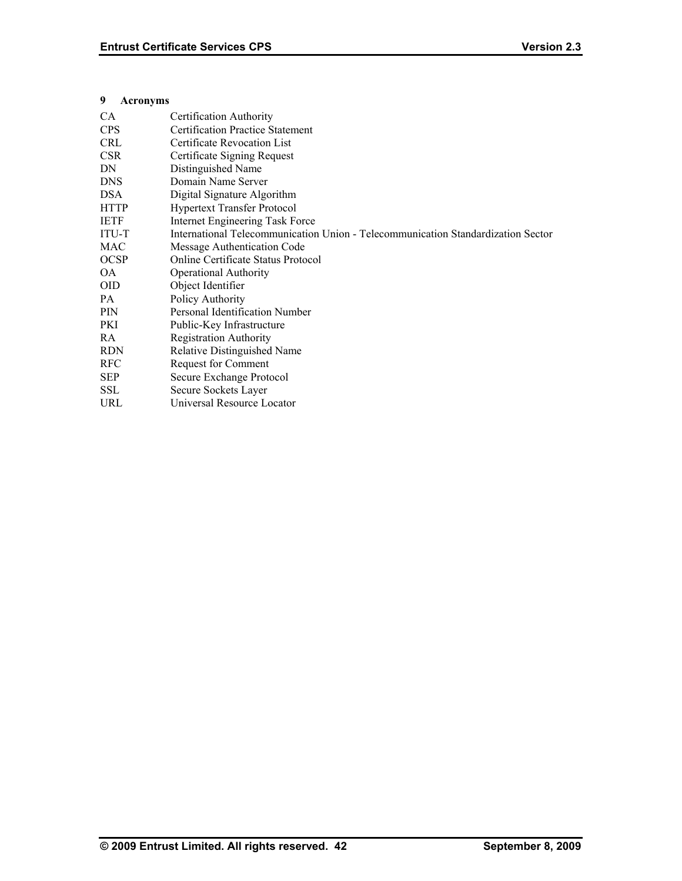## **9 Acronyms**

| CA           | Certification Authority                                                          |
|--------------|----------------------------------------------------------------------------------|
| <b>CPS</b>   | <b>Certification Practice Statement</b>                                          |
| <b>CRL</b>   | Certificate Revocation List                                                      |
| <b>CSR</b>   | Certificate Signing Request                                                      |
| DN           | Distinguished Name                                                               |
| <b>DNS</b>   | Domain Name Server                                                               |
| <b>DSA</b>   | Digital Signature Algorithm                                                      |
| <b>HTTP</b>  | <b>Hypertext Transfer Protocol</b>                                               |
| <b>IETF</b>  | Internet Engineering Task Force                                                  |
| <b>ITU-T</b> | International Telecommunication Union - Telecommunication Standardization Sector |
| MAC          | Message Authentication Code                                                      |
| <b>OCSP</b>  | Online Certificate Status Protocol                                               |
| OA           | <b>Operational Authority</b>                                                     |
| <b>OID</b>   | Object Identifier                                                                |
| PA.          | Policy Authority                                                                 |
| <b>PIN</b>   | Personal Identification Number                                                   |
| PKI          | Public-Key Infrastructure                                                        |
| RA           | <b>Registration Authority</b>                                                    |
| <b>RDN</b>   | Relative Distinguished Name                                                      |
| <b>RFC</b>   | Request for Comment                                                              |
| <b>SEP</b>   | Secure Exchange Protocol                                                         |
| <b>SSL</b>   | Secure Sockets Layer                                                             |
| URL          | Universal Resource Locator                                                       |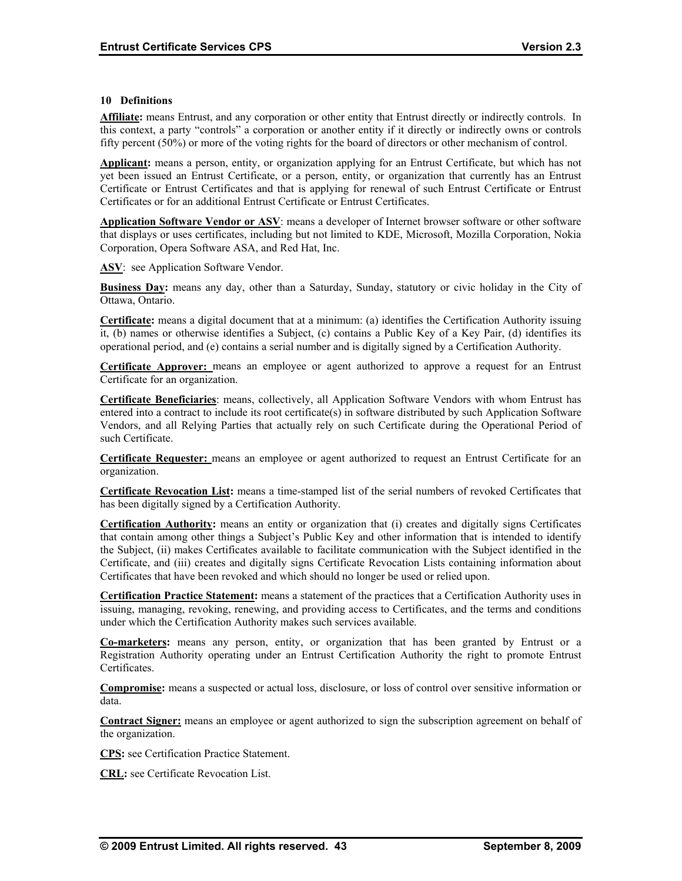#### **10 Definitions**

**Affiliate:** means Entrust, and any corporation or other entity that Entrust directly or indirectly controls. In this context, a party "controls" a corporation or another entity if it directly or indirectly owns or controls fifty percent (50%) or more of the voting rights for the board of directors or other mechanism of control.

**Applicant:** means a person, entity, or organization applying for an Entrust Certificate, but which has not yet been issued an Entrust Certificate, or a person, entity, or organization that currently has an Entrust Certificate or Entrust Certificates and that is applying for renewal of such Entrust Certificate or Entrust Certificates or for an additional Entrust Certificate or Entrust Certificates.

**Application Software Vendor or ASV**: means a developer of Internet browser software or other software that displays or uses certificates, including but not limited to KDE, Microsoft, Mozilla Corporation, Nokia Corporation, Opera Software ASA, and Red Hat, Inc.

**ASV**: see Application Software Vendor.

**Business Day:** means any day, other than a Saturday, Sunday, statutory or civic holiday in the City of Ottawa, Ontario.

**Certificate:** means a digital document that at a minimum: (a) identifies the Certification Authority issuing it, (b) names or otherwise identifies a Subject, (c) contains a Public Key of a Key Pair, (d) identifies its operational period, and (e) contains a serial number and is digitally signed by a Certification Authority.

**Certificate Approver:** means an employee or agent authorized to approve a request for an Entrust Certificate for an organization.

**Certificate Beneficiaries**: means, collectively, all Application Software Vendors with whom Entrust has entered into a contract to include its root certificate(s) in software distributed by such Application Software Vendors, and all Relying Parties that actually rely on such Certificate during the Operational Period of such Certificate.

**Certificate Requester:** means an employee or agent authorized to request an Entrust Certificate for an organization.

**Certificate Revocation List:** means a time-stamped list of the serial numbers of revoked Certificates that has been digitally signed by a Certification Authority.

**Certification Authority:** means an entity or organization that (i) creates and digitally signs Certificates that contain among other things a Subject's Public Key and other information that is intended to identify the Subject, (ii) makes Certificates available to facilitate communication with the Subject identified in the Certificate, and (iii) creates and digitally signs Certificate Revocation Lists containing information about Certificates that have been revoked and which should no longer be used or relied upon.

**Certification Practice Statement:** means a statement of the practices that a Certification Authority uses in issuing, managing, revoking, renewing, and providing access to Certificates, and the terms and conditions under which the Certification Authority makes such services available.

**Co-marketers:** means any person, entity, or organization that has been granted by Entrust or a Registration Authority operating under an Entrust Certification Authority the right to promote Entrust Certificates.

**Compromise:** means a suspected or actual loss, disclosure, or loss of control over sensitive information or data.

**Contract Signer:** means an employee or agent authorized to sign the subscription agreement on behalf of the organization.

**CPS:** see Certification Practice Statement.

**CRL:** see Certificate Revocation List.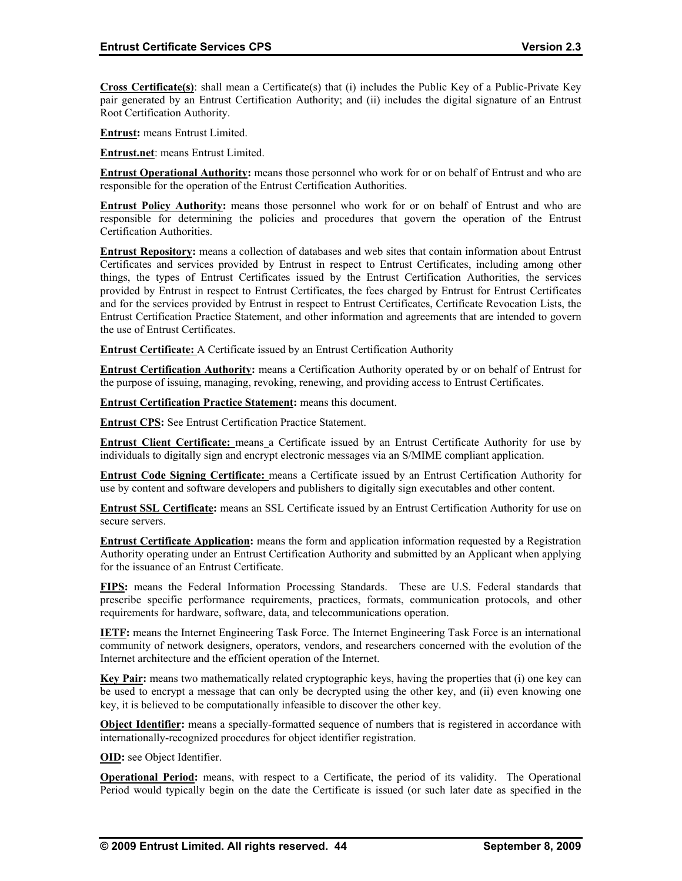**Cross Certificate(s)**: shall mean a Certificate(s) that (i) includes the Public Key of a Public-Private Key pair generated by an Entrust Certification Authority; and (ii) includes the digital signature of an Entrust Root Certification Authority.

**Entrust:** means Entrust Limited.

**Entrust.net**: means Entrust Limited.

**Entrust Operational Authority:** means those personnel who work for or on behalf of Entrust and who are responsible for the operation of the Entrust Certification Authorities.

**Entrust Policy Authority:** means those personnel who work for or on behalf of Entrust and who are responsible for determining the policies and procedures that govern the operation of the Entrust Certification Authorities.

**Entrust Repository:** means a collection of databases and web sites that contain information about Entrust Certificates and services provided by Entrust in respect to Entrust Certificates, including among other things, the types of Entrust Certificates issued by the Entrust Certification Authorities, the services provided by Entrust in respect to Entrust Certificates, the fees charged by Entrust for Entrust Certificates and for the services provided by Entrust in respect to Entrust Certificates, Certificate Revocation Lists, the Entrust Certification Practice Statement, and other information and agreements that are intended to govern the use of Entrust Certificates.

**Entrust Certificate:** A Certificate issued by an Entrust Certification Authority

**Entrust Certification Authority:** means a Certification Authority operated by or on behalf of Entrust for the purpose of issuing, managing, revoking, renewing, and providing access to Entrust Certificates.

**Entrust Certification Practice Statement:** means this document.

**Entrust CPS:** See Entrust Certification Practice Statement.

**Entrust Client Certificate:** means a Certificate issued by an Entrust Certificate Authority for use by individuals to digitally sign and encrypt electronic messages via an S/MIME compliant application.

**Entrust Code Signing Certificate:** means a Certificate issued by an Entrust Certification Authority for use by content and software developers and publishers to digitally sign executables and other content.

**Entrust SSL Certificate:** means an SSL Certificate issued by an Entrust Certification Authority for use on secure servers.

**Entrust Certificate Application:** means the form and application information requested by a Registration Authority operating under an Entrust Certification Authority and submitted by an Applicant when applying for the issuance of an Entrust Certificate.

**FIPS:** means the Federal Information Processing Standards. These are U.S. Federal standards that prescribe specific performance requirements, practices, formats, communication protocols, and other requirements for hardware, software, data, and telecommunications operation.

**IETF:** means the Internet Engineering Task Force. The Internet Engineering Task Force is an international community of network designers, operators, vendors, and researchers concerned with the evolution of the Internet architecture and the efficient operation of the Internet.

**Key Pair:** means two mathematically related cryptographic keys, having the properties that (i) one key can be used to encrypt a message that can only be decrypted using the other key, and (ii) even knowing one key, it is believed to be computationally infeasible to discover the other key.

**Object Identifier:** means a specially-formatted sequence of numbers that is registered in accordance with internationally-recognized procedures for object identifier registration.

**OID:** see Object Identifier.

**Operational Period:** means, with respect to a Certificate, the period of its validity. The Operational Period would typically begin on the date the Certificate is issued (or such later date as specified in the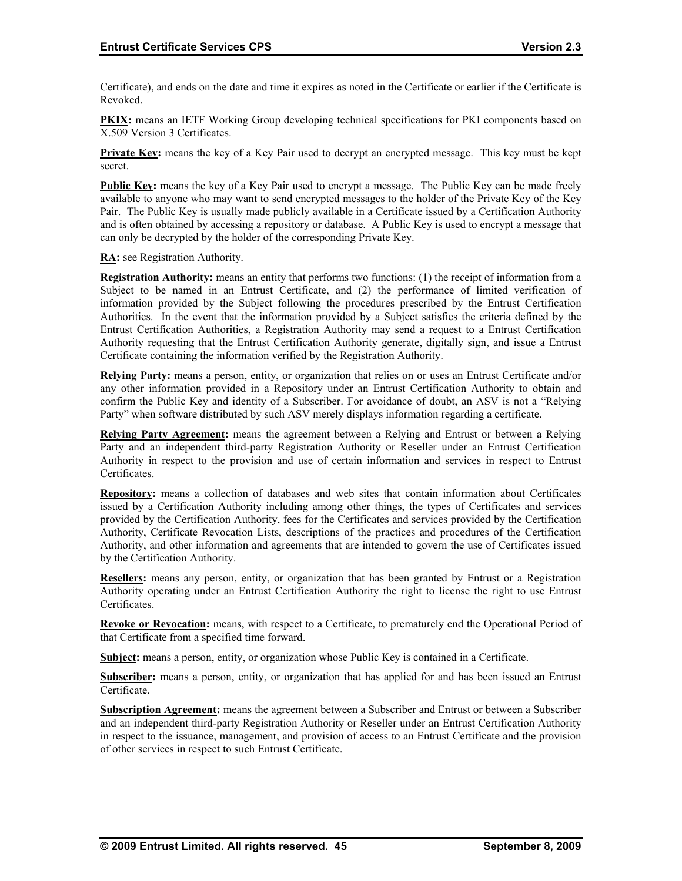Certificate), and ends on the date and time it expires as noted in the Certificate or earlier if the Certificate is Revoked.

**PKIX:** means an IETF Working Group developing technical specifications for PKI components based on X.509 Version 3 Certificates.

**Private Key:** means the key of a Key Pair used to decrypt an encrypted message. This key must be kept secret.

**Public Key:** means the key of a Key Pair used to encrypt a message. The Public Key can be made freely available to anyone who may want to send encrypted messages to the holder of the Private Key of the Key Pair. The Public Key is usually made publicly available in a Certificate issued by a Certification Authority and is often obtained by accessing a repository or database. A Public Key is used to encrypt a message that can only be decrypted by the holder of the corresponding Private Key.

**RA:** see Registration Authority.

**Registration Authority:** means an entity that performs two functions: (1) the receipt of information from a Subject to be named in an Entrust Certificate, and (2) the performance of limited verification of information provided by the Subject following the procedures prescribed by the Entrust Certification Authorities. In the event that the information provided by a Subject satisfies the criteria defined by the Entrust Certification Authorities, a Registration Authority may send a request to a Entrust Certification Authority requesting that the Entrust Certification Authority generate, digitally sign, and issue a Entrust Certificate containing the information verified by the Registration Authority.

**Relying Party:** means a person, entity, or organization that relies on or uses an Entrust Certificate and/or any other information provided in a Repository under an Entrust Certification Authority to obtain and confirm the Public Key and identity of a Subscriber. For avoidance of doubt, an ASV is not a "Relying Party" when software distributed by such ASV merely displays information regarding a certificate.

**Relying Party Agreement:** means the agreement between a Relying and Entrust or between a Relying Party and an independent third-party Registration Authority or Reseller under an Entrust Certification Authority in respect to the provision and use of certain information and services in respect to Entrust Certificates.

**Repository:** means a collection of databases and web sites that contain information about Certificates issued by a Certification Authority including among other things, the types of Certificates and services provided by the Certification Authority, fees for the Certificates and services provided by the Certification Authority, Certificate Revocation Lists, descriptions of the practices and procedures of the Certification Authority, and other information and agreements that are intended to govern the use of Certificates issued by the Certification Authority.

**Resellers:** means any person, entity, or organization that has been granted by Entrust or a Registration Authority operating under an Entrust Certification Authority the right to license the right to use Entrust Certificates.

**Revoke or Revocation:** means, with respect to a Certificate, to prematurely end the Operational Period of that Certificate from a specified time forward.

**Subject:** means a person, entity, or organization whose Public Key is contained in a Certificate.

**Subscriber:** means a person, entity, or organization that has applied for and has been issued an Entrust Certificate.

**Subscription Agreement:** means the agreement between a Subscriber and Entrust or between a Subscriber and an independent third-party Registration Authority or Reseller under an Entrust Certification Authority in respect to the issuance, management, and provision of access to an Entrust Certificate and the provision of other services in respect to such Entrust Certificate.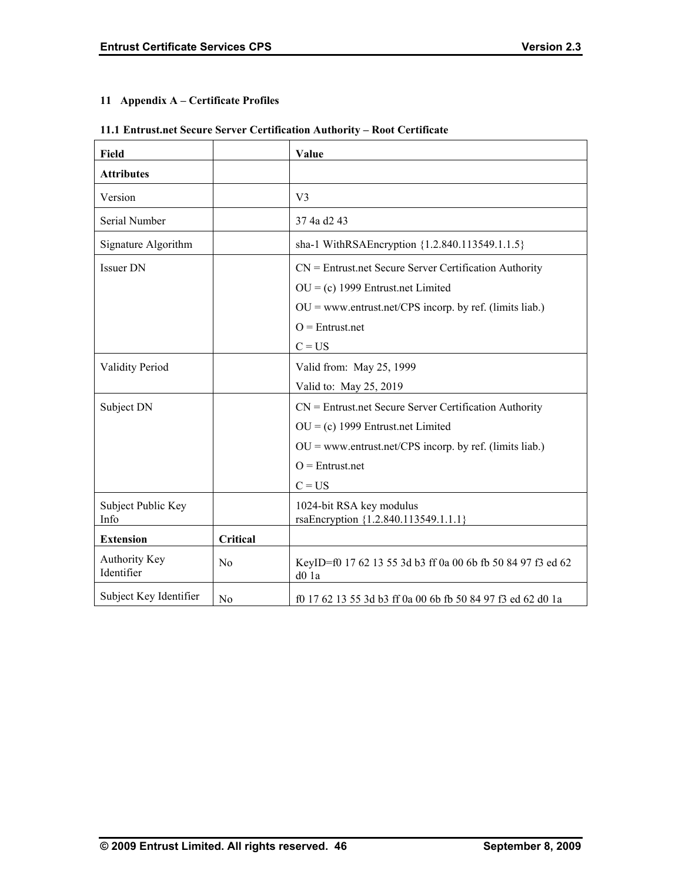## **11 Appendix A – Certificate Profiles**

## **11.1 Entrust.net Secure Server Certification Authority – Root Certificate**

| Field                              |                | Value                                                                                                                                                                                         |
|------------------------------------|----------------|-----------------------------------------------------------------------------------------------------------------------------------------------------------------------------------------------|
| <b>Attributes</b>                  |                |                                                                                                                                                                                               |
| Version                            |                | V <sub>3</sub>                                                                                                                                                                                |
| Serial Number                      |                | 37 4a d2 43                                                                                                                                                                                   |
| Signature Algorithm                |                | sha-1 WithRSAEncryption {1.2.840.113549.1.1.5}                                                                                                                                                |
| <b>Issuer DN</b>                   |                | $CN =$ Entrust.net Secure Server Certification Authority<br>$OU = (c)$ 1999 Entrust.net Limited<br>$OU = www.entrust.net/CPS incorp. by ref. (limits liab.)$<br>$O =$ Entrust.net<br>$C = US$ |
| <b>Validity Period</b>             |                | Valid from: May 25, 1999<br>Valid to: May 25, 2019                                                                                                                                            |
| Subject DN                         |                | $CN =$ Entrust.net Secure Server Certification Authority<br>$OU = (c)$ 1999 Entrust.net Limited<br>$OU = www.entrust.net/CPS incorp. by ref. (limits liab.)$<br>$O =$ Entrust.net<br>$C = US$ |
| Subject Public Key<br>Info         |                | 1024-bit RSA key modulus<br>rsaEncryption {1.2.840.113549.1.1.1}                                                                                                                              |
| <b>Extension</b>                   | Critical       |                                                                                                                                                                                               |
| <b>Authority Key</b><br>Identifier | N <sub>0</sub> | KeyID=f0 17 62 13 55 3d b3 ff 0a 00 6b fb 50 84 97 f3 ed 62<br>$d0$ 1a                                                                                                                        |
| Subject Key Identifier             | N <sub>0</sub> | f0 17 62 13 55 3d b3 ff 0a 00 6b fb 50 84 97 f3 ed 62 d0 1a                                                                                                                                   |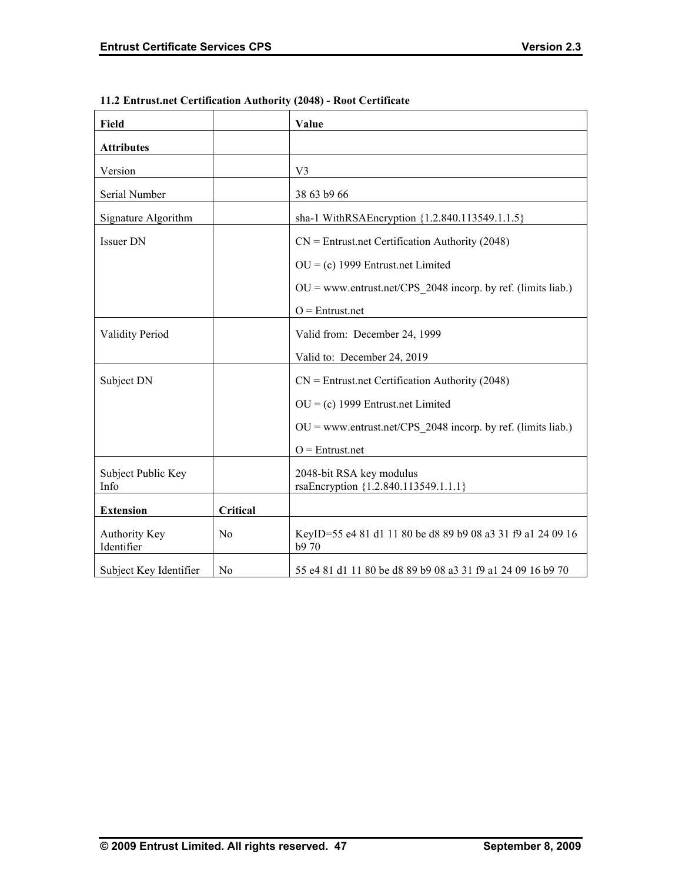| Field                       |                | Value                                                               |
|-----------------------------|----------------|---------------------------------------------------------------------|
| <b>Attributes</b>           |                |                                                                     |
| Version                     |                | V <sub>3</sub>                                                      |
| Serial Number               |                | 38 63 b9 66                                                         |
| Signature Algorithm         |                | sha-1 WithRSAEncryption {1.2.840.113549.1.1.5}                      |
| <b>Issuer DN</b>            |                | $CN =$ Entrust.net Certification Authority (2048)                   |
|                             |                | $OU = (c)$ 1999 Entrust.net Limited                                 |
|                             |                | $OU = www.entrust.net/CPS 2048 incorp. by ref. (limits liab.)$      |
|                             |                | $O =$ Entrust.net                                                   |
| <b>Validity Period</b>      |                | Valid from: December 24, 1999                                       |
|                             |                | Valid to: December 24, 2019                                         |
| Subject DN                  |                | $CN =$ Entrust.net Certification Authority (2048)                   |
|                             |                | $OU = (c)$ 1999 Entrust.net Limited                                 |
|                             |                | $OU = www.entrust.net/CPS 2048 incorp. by ref. (limits liab.)$      |
|                             |                | $O =$ Entrust.net                                                   |
| Subject Public Key<br>Info  |                | 2048-bit RSA key modulus<br>rsaEncryption {1.2.840.113549.1.1.1}    |
| <b>Extension</b>            | Critical       |                                                                     |
| Authority Key<br>Identifier | N <sub>0</sub> | KeyID=55 e4 81 d1 11 80 be d8 89 b9 08 a3 31 f9 a1 24 09 16<br>b970 |
| Subject Key Identifier      | N <sub>0</sub> | 55 e4 81 d1 11 80 be d8 89 b9 08 a3 31 f9 a1 24 09 16 b9 70         |

## **11.2 Entrust.net Certification Authority (2048) - Root Certificate**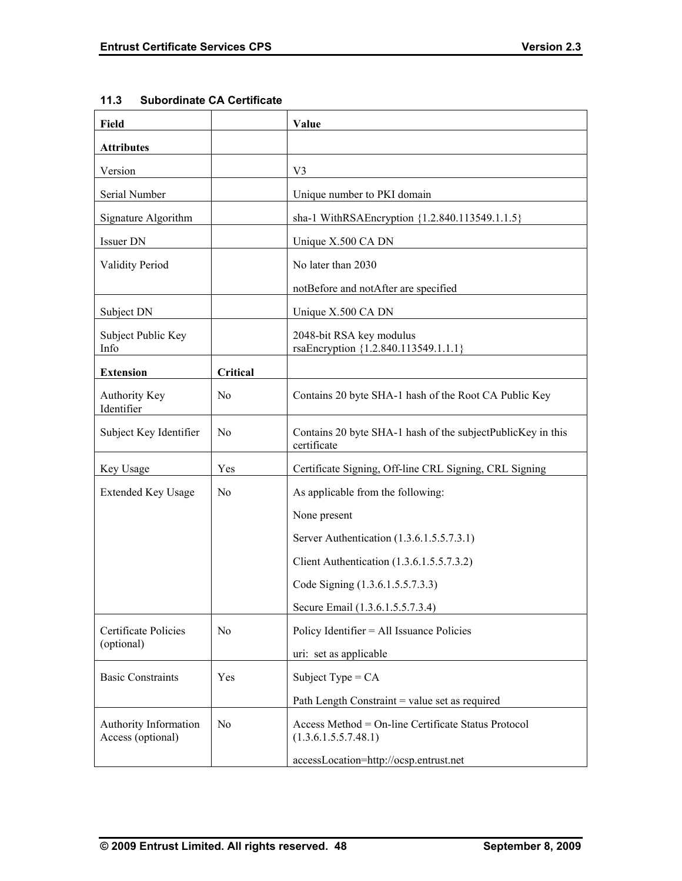| Field                                      |                | Value                                                                       |
|--------------------------------------------|----------------|-----------------------------------------------------------------------------|
| <b>Attributes</b>                          |                |                                                                             |
| Version                                    |                | V <sub>3</sub>                                                              |
| Serial Number                              |                | Unique number to PKI domain                                                 |
| Signature Algorithm                        |                | sha-1 WithRSAEncryption {1.2.840.113549.1.1.5}                              |
| Issuer DN                                  |                | Unique X.500 CA DN                                                          |
| <b>Validity Period</b>                     |                | No later than 2030                                                          |
|                                            |                | notBefore and notAfter are specified                                        |
| Subject DN                                 |                | Unique X.500 CA DN                                                          |
| Subject Public Key<br>Info                 |                | 2048-bit RSA key modulus<br>rsaEncryption {1.2.840.113549.1.1.1}            |
| <b>Extension</b>                           | Critical       |                                                                             |
| <b>Authority Key</b><br>Identifier         | N <sub>0</sub> | Contains 20 byte SHA-1 hash of the Root CA Public Key                       |
| Subject Key Identifier                     | N <sub>0</sub> | Contains 20 byte SHA-1 hash of the subjectPublicKey in this<br>certificate  |
| Key Usage                                  | Yes            | Certificate Signing, Off-line CRL Signing, CRL Signing                      |
| <b>Extended Key Usage</b>                  | N <sub>0</sub> | As applicable from the following:                                           |
|                                            |                | None present                                                                |
|                                            |                | Server Authentication (1.3.6.1.5.5.7.3.1)                                   |
|                                            |                | Client Authentication (1.3.6.1.5.5.7.3.2)                                   |
|                                            |                | Code Signing (1.3.6.1.5.5.7.3.3)                                            |
|                                            |                | Secure Email (1.3.6.1.5.5.7.3.4)                                            |
| Certificate Policies                       | N <sub>0</sub> | Policy Identifier = All Issuance Policies                                   |
| (optional)                                 |                | uri: set as applicable                                                      |
| <b>Basic Constraints</b>                   | Yes            | Subject Type = $CA$                                                         |
|                                            |                | Path Length Constraint = value set as required                              |
| Authority Information<br>Access (optional) | N <sub>0</sub> | Access Method = On-line Certificate Status Protocol<br>(1.3.6.1.5.5.7.48.1) |
|                                            |                | accessLocation=http://ocsp.entrust.net                                      |

## **11.3 Subordinate CA Certificate**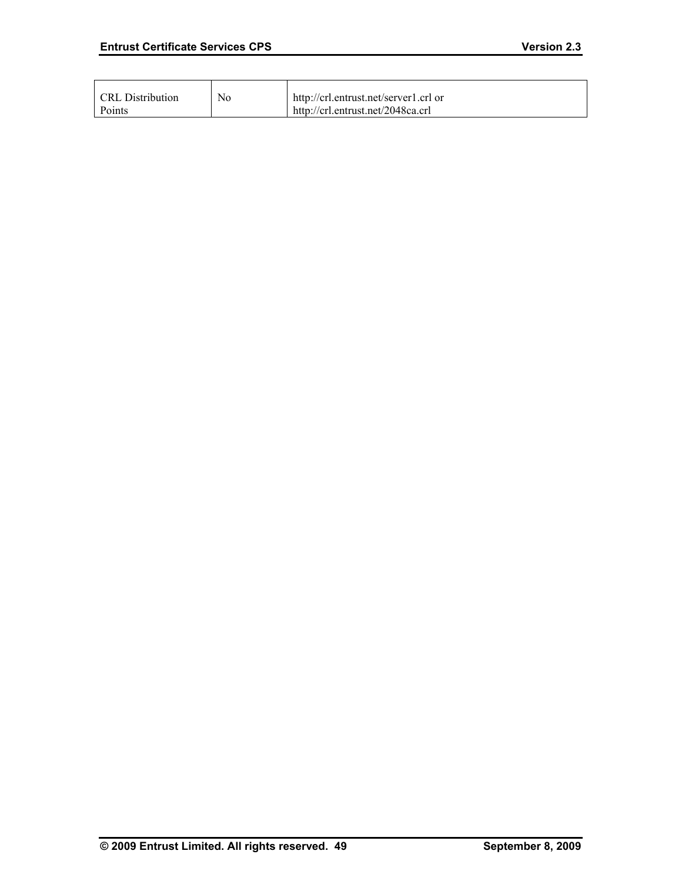| CRL Distribution | No. | http://crl.entrust.net/server1.crl or |
|------------------|-----|---------------------------------------|
| Points           |     | http://crl.entrust.net/2048ca.crl     |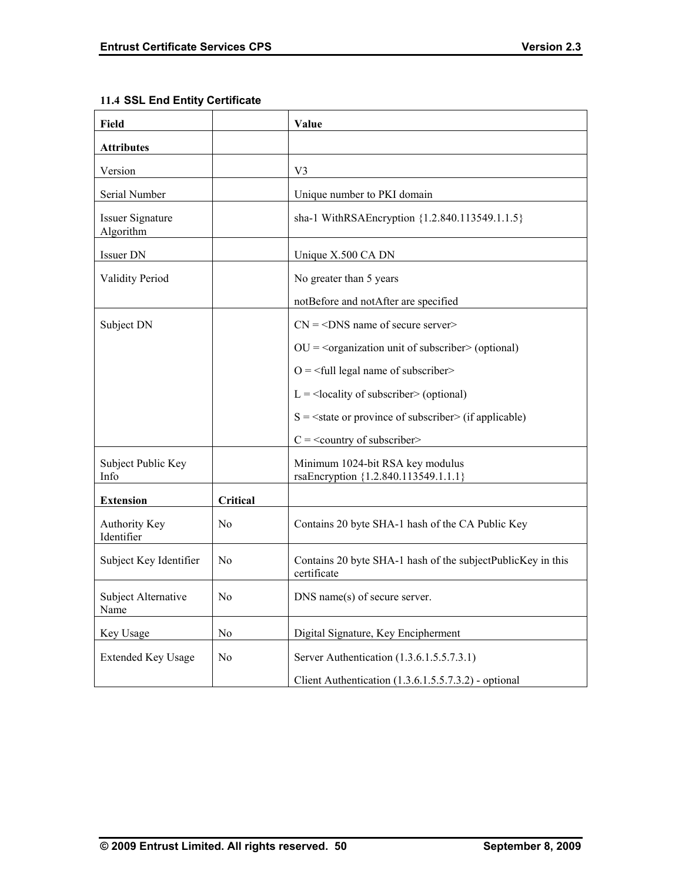| Field                                |                | Value                                                                      |
|--------------------------------------|----------------|----------------------------------------------------------------------------|
| <b>Attributes</b>                    |                |                                                                            |
| Version                              |                | V <sub>3</sub>                                                             |
| Serial Number                        |                | Unique number to PKI domain                                                |
| <b>Issuer Signature</b><br>Algorithm |                | sha-1 WithRSAEncryption {1.2.840.113549.1.1.5}                             |
| <b>Issuer DN</b>                     |                | Unique X.500 CA DN                                                         |
| <b>Validity Period</b>               |                | No greater than 5 years                                                    |
|                                      |                | notBefore and notAfter are specified                                       |
| Subject DN                           |                | $CN = <$ DNS name of secure server>                                        |
|                                      |                | $OU = organization$ unit of subscriber $>$ (optional)                      |
|                                      |                | $O = \frac{1}{2}$ legal name of subscriber                                 |
|                                      |                | $L =$ <locality of="" subscriber=""> (optional)</locality>                 |
|                                      |                | $S = \text{state}$ or province of subscriber (if applicable)               |
|                                      |                | $C =$ < country of subscriber>                                             |
| Subject Public Key<br>Info           |                | Minimum 1024-bit RSA key modulus<br>rsaEncryption {1.2.840.113549.1.1.1}   |
| <b>Extension</b>                     | Critical       |                                                                            |
| <b>Authority Key</b><br>Identifier   | No             | Contains 20 byte SHA-1 hash of the CA Public Key                           |
| Subject Key Identifier               | N <sub>0</sub> | Contains 20 byte SHA-1 hash of the subjectPublicKey in this<br>certificate |
| Subject Alternative<br>Name          | N <sub>0</sub> | DNS name(s) of secure server.                                              |
| Key Usage                            | No             | Digital Signature, Key Encipherment                                        |
| <b>Extended Key Usage</b>            | N <sub>0</sub> | Server Authentication (1.3.6.1.5.5.7.3.1)                                  |
|                                      |                | Client Authentication (1.3.6.1.5.5.7.3.2) - optional                       |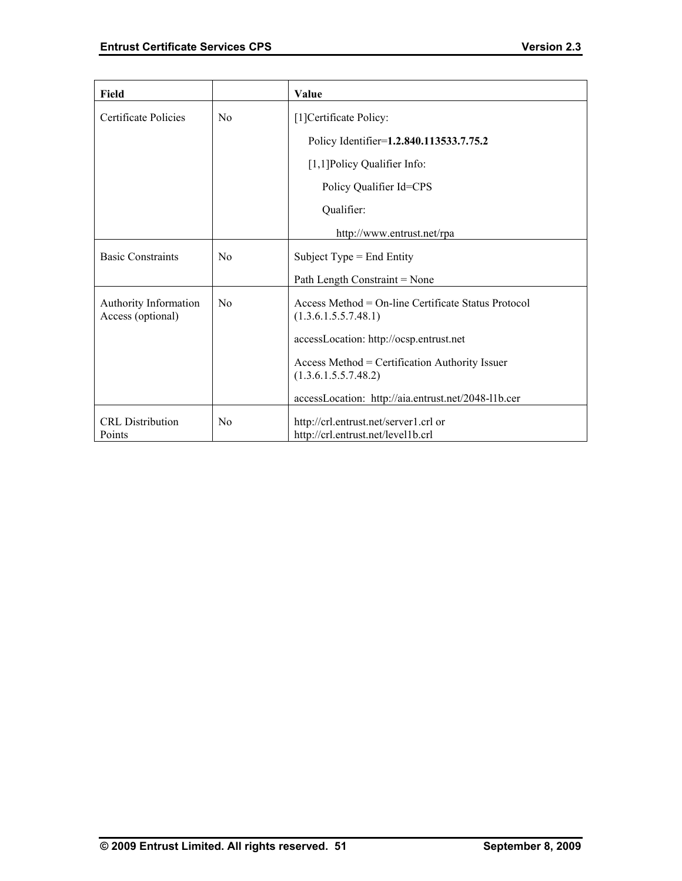| Field                                      |                | Value                                                                       |
|--------------------------------------------|----------------|-----------------------------------------------------------------------------|
| Certificate Policies                       | N <sub>0</sub> | [1] Certificate Policy:                                                     |
|                                            |                | Policy Identifier=1.2.840.113533.7.75.2                                     |
|                                            |                | [1,1] Policy Qualifier Info:                                                |
|                                            |                | Policy Qualifier Id=CPS                                                     |
|                                            |                | Qualifier:                                                                  |
|                                            |                | http://www.entrust.net/rpa                                                  |
| <b>Basic Constraints</b>                   | N <sub>0</sub> | Subject Type $=$ End Entity                                                 |
|                                            |                | Path Length Constraint = None                                               |
| Authority Information<br>Access (optional) | N <sub>0</sub> | Access Method = On-line Certificate Status Protocol<br>(1.3.6.1.5.5.7.48.1) |
|                                            |                | accessLocation: http://ocsp.entrust.net                                     |
|                                            |                | Access Method = Certification Authority Issuer<br>(1.3.6.1.5.5.7.48.2)      |
|                                            |                | accessLocation: http://aia.entrust.net/2048-11b.cer                         |
| <b>CRL</b> Distribution<br>Points          | No             | http://crl.entrust.net/server1.crl or<br>http://crl.entrust.net/level1b.crl |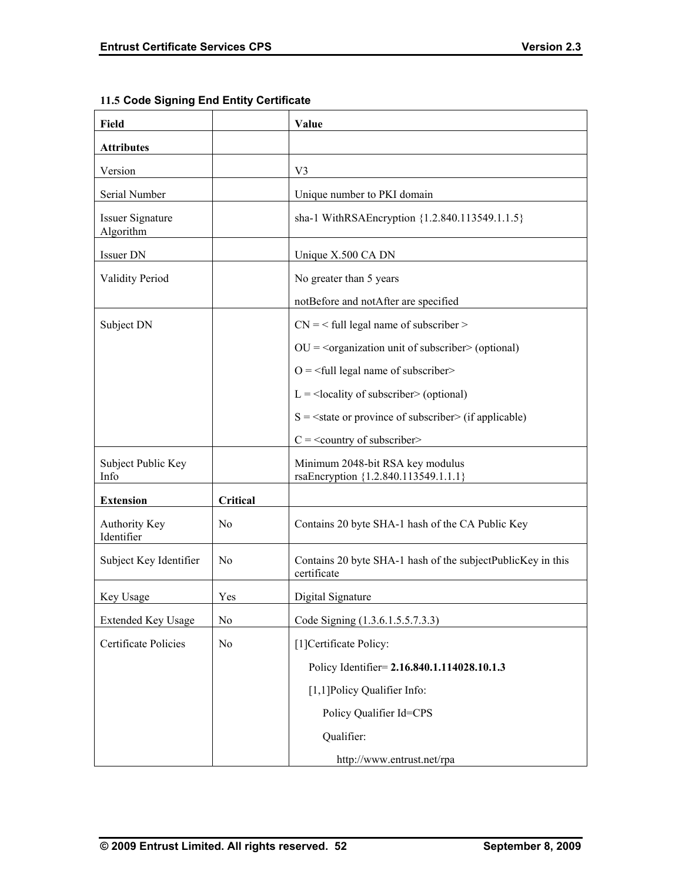| Field                                |                | Value                                                                      |
|--------------------------------------|----------------|----------------------------------------------------------------------------|
| <b>Attributes</b>                    |                |                                                                            |
| Version                              |                | V <sub>3</sub>                                                             |
| Serial Number                        |                | Unique number to PKI domain                                                |
| <b>Issuer Signature</b><br>Algorithm |                | sha-1 WithRSAEncryption {1.2.840.113549.1.1.5}                             |
| Issuer DN                            |                | Unique X.500 CA DN                                                         |
| <b>Validity Period</b>               |                | No greater than 5 years                                                    |
|                                      |                | notBefore and notAfter are specified                                       |
| Subject DN                           |                | $CN =$ < full legal name of subscriber >                                   |
|                                      |                | $OU = organization$ unit of subscriber $>$ (optional)                      |
|                                      |                | $O = \frac{1}{2}$ legal name of subscriber                                 |
|                                      |                | $L =$ <locality of="" subscriber=""> (optional)</locality>                 |
|                                      |                | $S = \text{state}$ or province of subscriber> (if applicable)              |
|                                      |                | $C =$ < country of subscriber>                                             |
| Subject Public Key<br>Info           |                | Minimum 2048-bit RSA key modulus<br>rsaEncryption {1.2.840.113549.1.1.1}   |
| <b>Extension</b>                     | Critical       |                                                                            |
| <b>Authority Key</b><br>Identifier   | N <sub>0</sub> | Contains 20 byte SHA-1 hash of the CA Public Key                           |
| Subject Key Identifier               | N <sub>0</sub> | Contains 20 byte SHA-1 hash of the subjectPublicKey in this<br>certificate |
| Key Usage                            | Yes            | Digital Signature                                                          |
| <b>Extended Key Usage</b>            | No             | Code Signing (1.3.6.1.5.5.7.3.3)                                           |
| Certificate Policies                 | N <sub>0</sub> | [1] Certificate Policy:                                                    |
|                                      |                | Policy Identifier= 2.16.840.1.114028.10.1.3                                |
|                                      |                | [1,1] Policy Qualifier Info:                                               |
|                                      |                | Policy Qualifier Id=CPS                                                    |
|                                      |                | Qualifier:                                                                 |
|                                      |                | http://www.entrust.net/rpa                                                 |

## **11.5 Code Signing End Entity Certificate**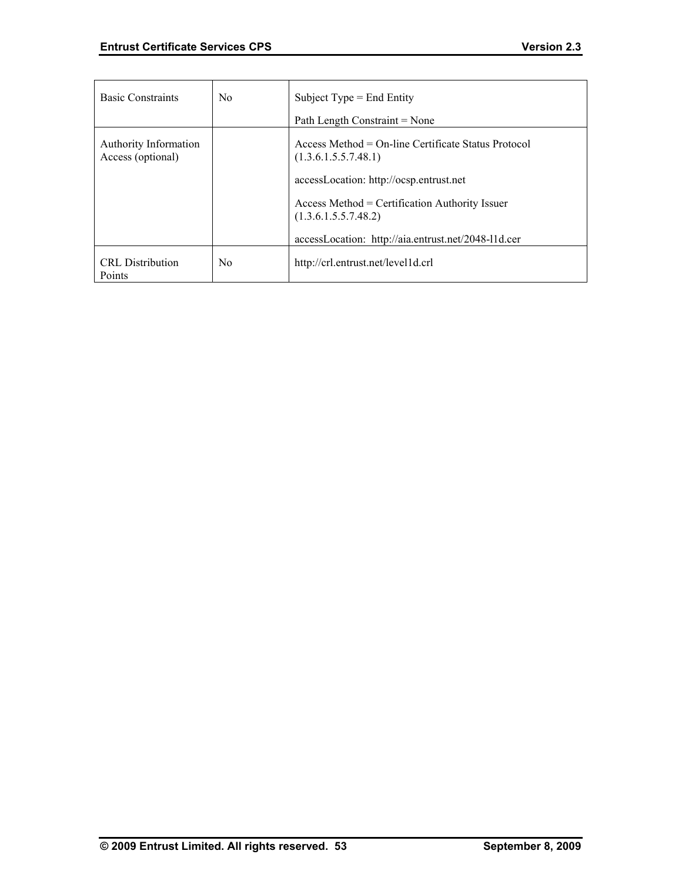| <b>Basic Constraints</b>                          | No. | Subject Type $=$ End Entity                                                  |
|---------------------------------------------------|-----|------------------------------------------------------------------------------|
|                                                   |     | Path Length Constraint = None                                                |
| <b>Authority Information</b><br>Access (optional) |     | $Access Method = On-line Centlicate Status Protocol$<br>(1.3.6.1.5.5.7.48.1) |
|                                                   |     | accessLocation: http://ocsp.entrust.net                                      |
|                                                   |     | Access Method = Certification Authority Issuer<br>(1.3.6.1.5.5.7.48.2)       |
|                                                   |     | accessLocation: http://aia.entrust.net/2048-11d.cer                          |
| <b>CRL</b> Distribution<br>Points                 | No. | http://crl.entrust.net/level1d.crl                                           |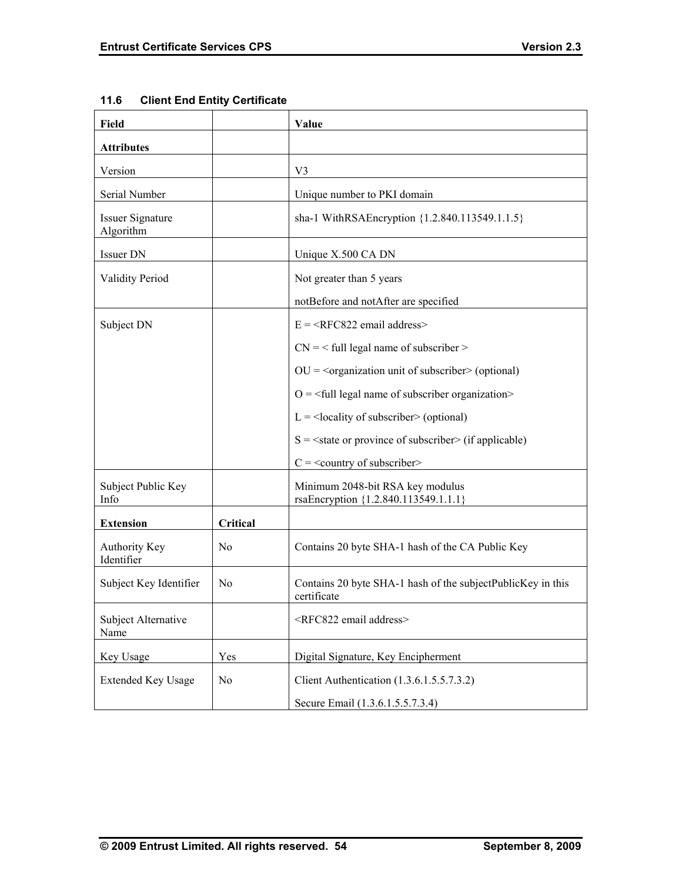| Field                                |                | Value                                                                      |
|--------------------------------------|----------------|----------------------------------------------------------------------------|
| <b>Attributes</b>                    |                |                                                                            |
| Version                              |                | V <sub>3</sub>                                                             |
| Serial Number                        |                | Unique number to PKI domain                                                |
| <b>Issuer Signature</b><br>Algorithm |                | sha-1 WithRSAEncryption {1.2.840.113549.1.1.5}                             |
| Issuer DN                            |                | Unique X.500 CA DN                                                         |
| <b>Validity Period</b>               |                | Not greater than 5 years                                                   |
|                                      |                | notBefore and notAfter are specified                                       |
| Subject DN                           |                | $E =  email address>$                                                      |
|                                      |                | $CN =$ < full legal name of subscriber >                                   |
|                                      |                | $OU = organization$ unit of subscriber $>$ (optional)                      |
|                                      |                | $O = \frac{1}{2}$ legal name of subscriber organization>                   |
|                                      |                | $L =$ <locality of="" subscriber=""> (optional)</locality>                 |
|                                      |                | $S = \text{state}$ or province of subscriber (if applicable)               |
|                                      |                | $C =$ < country of subscriber>                                             |
| Subject Public Key<br>Info           |                | Minimum 2048-bit RSA key modulus<br>rsaEncryption {1.2.840.113549.1.1.1}   |
| <b>Extension</b>                     | Critical       |                                                                            |
| Authority Key<br>Identifier          | No             | Contains 20 byte SHA-1 hash of the CA Public Key                           |
| Subject Key Identifier               | No             | Contains 20 byte SHA-1 hash of the subjectPublicKey in this<br>certificate |
| Subject Alternative<br>Name          |                | <rfc822 address="" email=""></rfc822>                                      |
| Key Usage                            | Yes            | Digital Signature, Key Encipherment                                        |
| <b>Extended Key Usage</b>            | N <sub>0</sub> | Client Authentication (1.3.6.1.5.5.7.3.2)                                  |
|                                      |                | Secure Email (1.3.6.1.5.5.7.3.4)                                           |

## **11.6 Client End Entity Certificate**